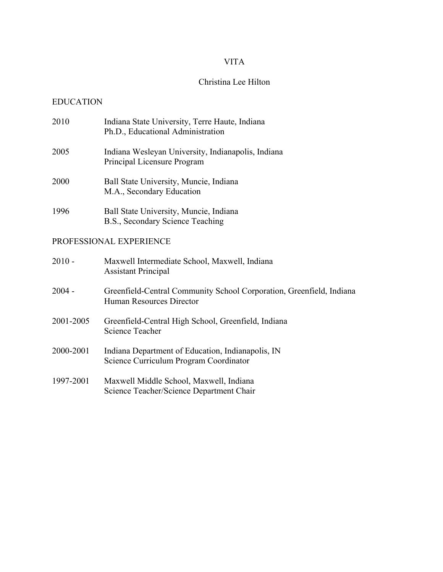## VITA

# Christina Lee Hilton

# EDUCATION

|                         | 2010      | Indiana State University, Terre Haute, Indiana<br>Ph.D., Educational Administration              |
|-------------------------|-----------|--------------------------------------------------------------------------------------------------|
|                         | 2005      | Indiana Wesleyan University, Indianapolis, Indiana<br>Principal Licensure Program                |
|                         | 2000      | Ball State University, Muncie, Indiana<br>M.A., Secondary Education                              |
|                         | 1996      | Ball State University, Muncie, Indiana<br>B.S., Secondary Science Teaching                       |
| PROFESSIONAL EXPERIENCE |           |                                                                                                  |
|                         | $2010 -$  | Maxwell Intermediate School, Maxwell, Indiana<br><b>Assistant Principal</b>                      |
|                         | $2004 -$  | Greenfield-Central Community School Corporation, Greenfield, Indiana<br>Human Resources Director |
|                         | 2001-2005 | Greenfield-Central High School, Greenfield, Indiana<br><b>Science Teacher</b>                    |
|                         | 2000-2001 | Indiana Department of Education, Indianapolis, IN<br>Science Curriculum Program Coordinator      |
|                         | 1997-2001 | Maxwell Middle School, Maxwell, Indiana<br>Science Teacher/Science Department Chair              |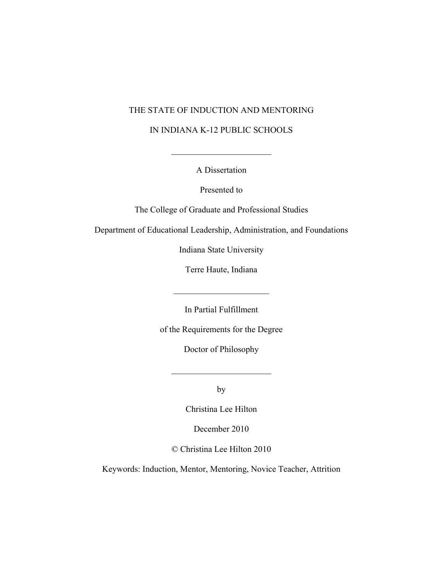### THE STATE OF INDUCTION AND MENTORING

#### IN INDIANA K-12 PUBLIC SCHOOLS

A Dissertation

 $\mathcal{L}_\text{max}$ 

Presented to

The College of Graduate and Professional Studies

Department of Educational Leadership, Administration, and Foundations

Indiana State University

Terre Haute, Indiana

In Partial Fulfillment

 $\mathcal{L}_\text{max}$  , where  $\mathcal{L}_\text{max}$  , we have the set of  $\mathcal{L}_\text{max}$ 

of the Requirements for the Degree

Doctor of Philosophy

by

 $\mathcal{L}_\text{max}$  , where  $\mathcal{L}_\text{max}$  , we have the set of  $\mathcal{L}_\text{max}$ 

Christina Lee Hilton

December 2010

© Christina Lee Hilton 2010

Keywords: Induction, Mentor, Mentoring, Novice Teacher, Attrition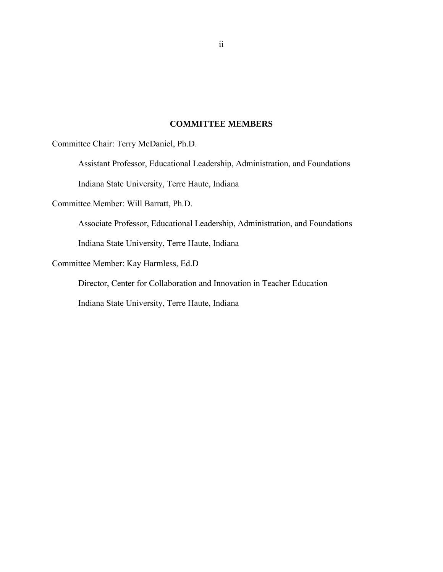## **COMMITTEE MEMBERS**

Committee Chair: Terry McDaniel, Ph.D.

Assistant Professor, Educational Leadership, Administration, and Foundations

Indiana State University, Terre Haute, Indiana

Committee Member: Will Barratt, Ph.D.

Associate Professor, Educational Leadership, Administration, and Foundations

Indiana State University, Terre Haute, Indiana

Committee Member: Kay Harmless, Ed.D

Director, Center for Collaboration and Innovation in Teacher Education

Indiana State University, Terre Haute, Indiana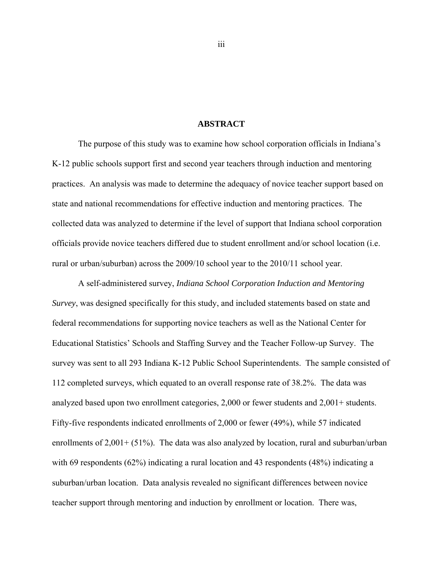### **ABSTRACT**

The purpose of this study was to examine how school corporation officials in Indiana's K-12 public schools support first and second year teachers through induction and mentoring practices. An analysis was made to determine the adequacy of novice teacher support based on state and national recommendations for effective induction and mentoring practices. The collected data was analyzed to determine if the level of support that Indiana school corporation officials provide novice teachers differed due to student enrollment and/or school location (i.e. rural or urban/suburban) across the 2009/10 school year to the 2010/11 school year.

A self-administered survey, *Indiana School Corporation Induction and Mentoring Survey*, was designed specifically for this study, and included statements based on state and federal recommendations for supporting novice teachers as well as the National Center for Educational Statistics' Schools and Staffing Survey and the Teacher Follow-up Survey. The survey was sent to all 293 Indiana K-12 Public School Superintendents. The sample consisted of 112 completed surveys, which equated to an overall response rate of 38.2%. The data was analyzed based upon two enrollment categories, 2,000 or fewer students and 2,001+ students. Fifty-five respondents indicated enrollments of 2,000 or fewer (49%), while 57 indicated enrollments of 2,001+ (51%). The data was also analyzed by location, rural and suburban/urban with 69 respondents (62%) indicating a rural location and 43 respondents (48%) indicating a suburban/urban location. Data analysis revealed no significant differences between novice teacher support through mentoring and induction by enrollment or location. There was,

iii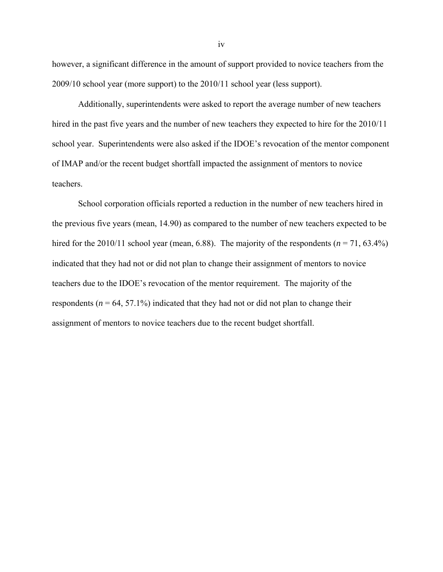however, a significant difference in the amount of support provided to novice teachers from the 2009/10 school year (more support) to the 2010/11 school year (less support).

Additionally, superintendents were asked to report the average number of new teachers hired in the past five years and the number of new teachers they expected to hire for the 2010/11 school year. Superintendents were also asked if the IDOE's revocation of the mentor component of IMAP and/or the recent budget shortfall impacted the assignment of mentors to novice teachers.

School corporation officials reported a reduction in the number of new teachers hired in the previous five years (mean, 14.90) as compared to the number of new teachers expected to be hired for the 2010/11 school year (mean, 6.88). The majority of the respondents ( $n = 71, 63.4\%$ ) indicated that they had not or did not plan to change their assignment of mentors to novice teachers due to the IDOE's revocation of the mentor requirement. The majority of the respondents ( $n = 64, 57.1\%$ ) indicated that they had not or did not plan to change their assignment of mentors to novice teachers due to the recent budget shortfall.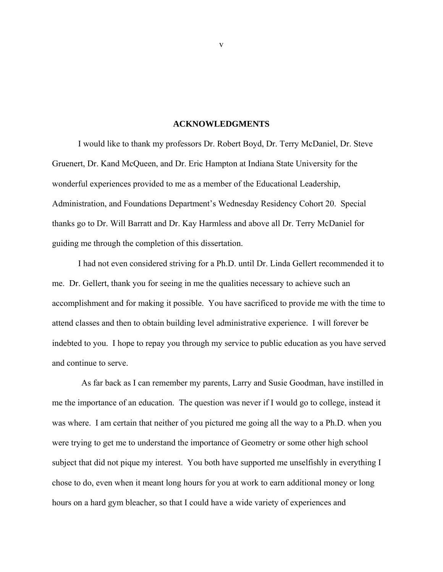#### **ACKNOWLEDGMENTS**

I would like to thank my professors Dr. Robert Boyd, Dr. Terry McDaniel, Dr. Steve Gruenert, Dr. Kand McQueen, and Dr. Eric Hampton at Indiana State University for the wonderful experiences provided to me as a member of the Educational Leadership, Administration, and Foundations Department's Wednesday Residency Cohort 20. Special thanks go to Dr. Will Barratt and Dr. Kay Harmless and above all Dr. Terry McDaniel for guiding me through the completion of this dissertation.

I had not even considered striving for a Ph.D. until Dr. Linda Gellert recommended it to me. Dr. Gellert, thank you for seeing in me the qualities necessary to achieve such an accomplishment and for making it possible. You have sacrificed to provide me with the time to attend classes and then to obtain building level administrative experience. I will forever be indebted to you. I hope to repay you through my service to public education as you have served and continue to serve.

As far back as I can remember my parents, Larry and Susie Goodman, have instilled in me the importance of an education. The question was never if I would go to college, instead it was where. I am certain that neither of you pictured me going all the way to a Ph.D. when you were trying to get me to understand the importance of Geometry or some other high school subject that did not pique my interest. You both have supported me unselfishly in everything I chose to do, even when it meant long hours for you at work to earn additional money or long hours on a hard gym bleacher, so that I could have a wide variety of experiences and

v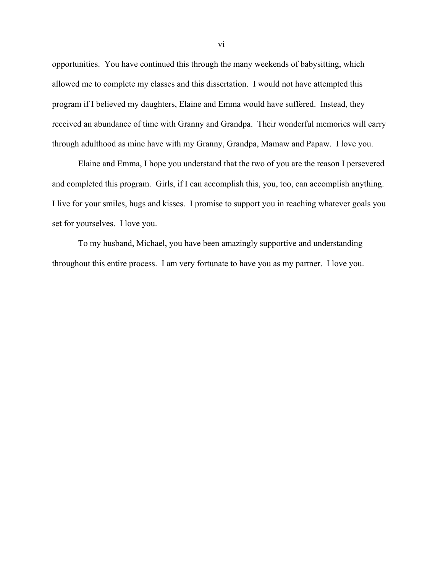opportunities. You have continued this through the many weekends of babysitting, which allowed me to complete my classes and this dissertation. I would not have attempted this program if I believed my daughters, Elaine and Emma would have suffered. Instead, they received an abundance of time with Granny and Grandpa. Their wonderful memories will carry through adulthood as mine have with my Granny, Grandpa, Mamaw and Papaw. I love you.

Elaine and Emma, I hope you understand that the two of you are the reason I persevered and completed this program. Girls, if I can accomplish this, you, too, can accomplish anything. I live for your smiles, hugs and kisses. I promise to support you in reaching whatever goals you set for yourselves. I love you.

To my husband, Michael, you have been amazingly supportive and understanding throughout this entire process. I am very fortunate to have you as my partner. I love you.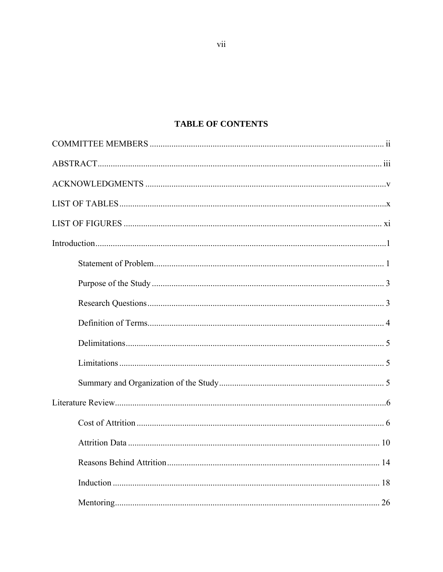# **TABLE OF CONTENTS**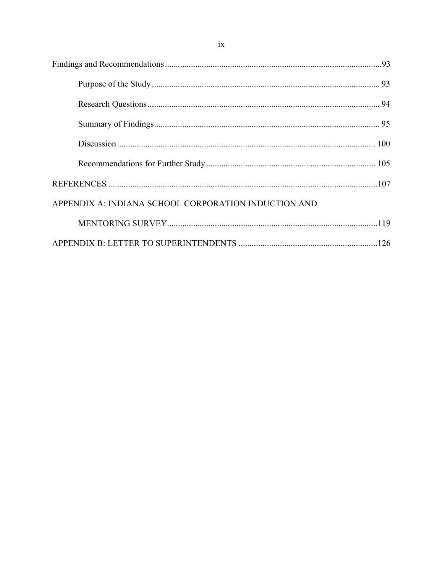| APPENDIX A: INDIANA SCHOOL CORPORATION INDUCTION AND |  |
|------------------------------------------------------|--|
|                                                      |  |
|                                                      |  |

 $ix$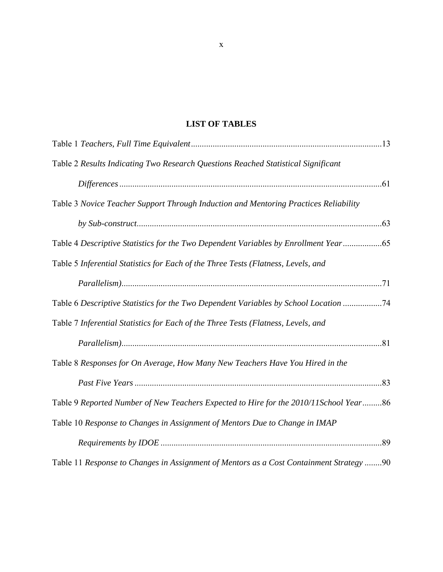# **LIST OF TABLES**

| Table 2 Results Indicating Two Research Questions Reached Statistical Significant       |  |
|-----------------------------------------------------------------------------------------|--|
|                                                                                         |  |
| Table 3 Novice Teacher Support Through Induction and Mentoring Practices Reliability    |  |
|                                                                                         |  |
| Table 4 Descriptive Statistics for the Two Dependent Variables by Enrollment Year65     |  |
| Table 5 Inferential Statistics for Each of the Three Tests (Flatness, Levels, and       |  |
|                                                                                         |  |
| Table 6 Descriptive Statistics for the Two Dependent Variables by School Location 74    |  |
| Table 7 Inferential Statistics for Each of the Three Tests (Flatness, Levels, and       |  |
|                                                                                         |  |
| Table 8 Responses for On Average, How Many New Teachers Have You Hired in the           |  |
|                                                                                         |  |
| Table 9 Reported Number of New Teachers Expected to Hire for the 2010/11School Year86   |  |
| Table 10 Response to Changes in Assignment of Mentors Due to Change in IMAP             |  |
|                                                                                         |  |
| Table 11 Response to Changes in Assignment of Mentors as a Cost Containment Strategy 90 |  |

x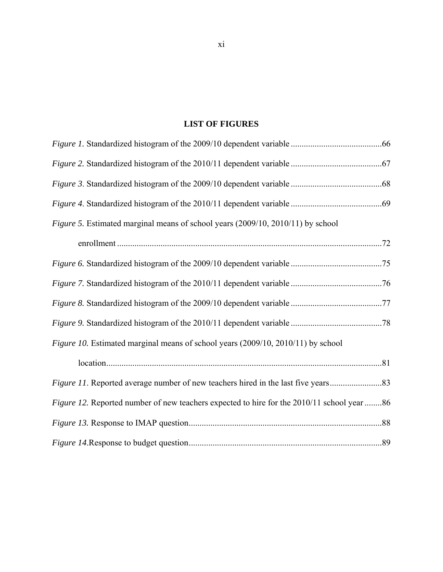# **LIST OF FIGURES**

| Figure 5. Estimated marginal means of school years (2009/10, 2010/11) by school            |  |
|--------------------------------------------------------------------------------------------|--|
|                                                                                            |  |
|                                                                                            |  |
|                                                                                            |  |
|                                                                                            |  |
|                                                                                            |  |
| Figure 10. Estimated marginal means of school years (2009/10, 2010/11) by school           |  |
|                                                                                            |  |
|                                                                                            |  |
| Figure 12. Reported number of new teachers expected to hire for the 2010/11 school year 86 |  |
|                                                                                            |  |
|                                                                                            |  |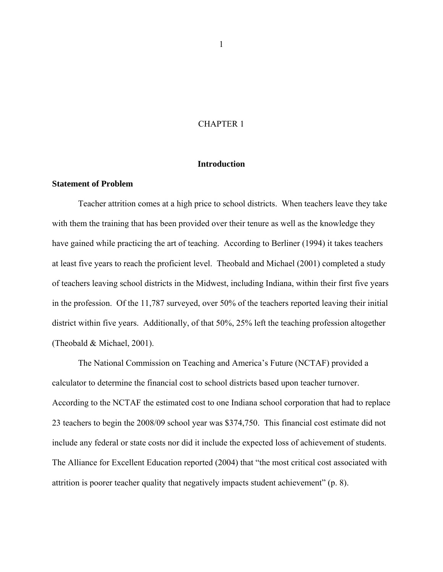## CHAPTER 1

#### **Introduction**

#### **Statement of Problem**

Teacher attrition comes at a high price to school districts. When teachers leave they take with them the training that has been provided over their tenure as well as the knowledge they have gained while practicing the art of teaching. According to Berliner (1994) it takes teachers at least five years to reach the proficient level. Theobald and Michael (2001) completed a study of teachers leaving school districts in the Midwest, including Indiana, within their first five years in the profession. Of the 11,787 surveyed, over 50% of the teachers reported leaving their initial district within five years. Additionally, of that 50%, 25% left the teaching profession altogether (Theobald & Michael, 2001).

The National Commission on Teaching and America's Future (NCTAF) provided a calculator to determine the financial cost to school districts based upon teacher turnover. According to the NCTAF the estimated cost to one Indiana school corporation that had to replace 23 teachers to begin the 2008/09 school year was \$374,750. This financial cost estimate did not include any federal or state costs nor did it include the expected loss of achievement of students. The Alliance for Excellent Education reported (2004) that "the most critical cost associated with attrition is poorer teacher quality that negatively impacts student achievement" (p. 8).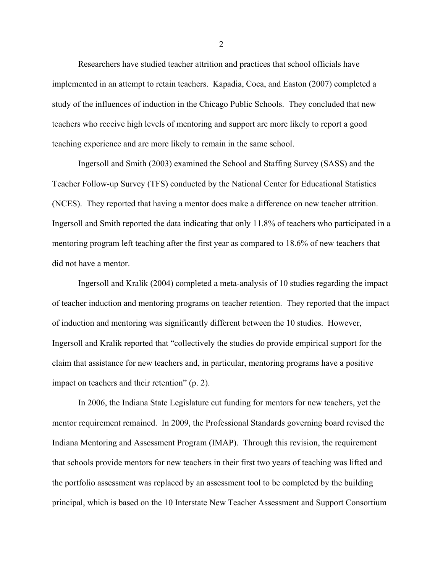Researchers have studied teacher attrition and practices that school officials have implemented in an attempt to retain teachers. Kapadia, Coca, and Easton (2007) completed a study of the influences of induction in the Chicago Public Schools. They concluded that new teachers who receive high levels of mentoring and support are more likely to report a good teaching experience and are more likely to remain in the same school.

Ingersoll and Smith (2003) examined the School and Staffing Survey (SASS) and the Teacher Follow-up Survey (TFS) conducted by the National Center for Educational Statistics (NCES). They reported that having a mentor does make a difference on new teacher attrition. Ingersoll and Smith reported the data indicating that only 11.8% of teachers who participated in a mentoring program left teaching after the first year as compared to 18.6% of new teachers that did not have a mentor.

Ingersoll and Kralik (2004) completed a meta-analysis of 10 studies regarding the impact of teacher induction and mentoring programs on teacher retention. They reported that the impact of induction and mentoring was significantly different between the 10 studies. However, Ingersoll and Kralik reported that "collectively the studies do provide empirical support for the claim that assistance for new teachers and, in particular, mentoring programs have a positive impact on teachers and their retention" (p. 2).

In 2006, the Indiana State Legislature cut funding for mentors for new teachers, yet the mentor requirement remained. In 2009, the Professional Standards governing board revised the Indiana Mentoring and Assessment Program (IMAP). Through this revision, the requirement that schools provide mentors for new teachers in their first two years of teaching was lifted and the portfolio assessment was replaced by an assessment tool to be completed by the building principal, which is based on the 10 Interstate New Teacher Assessment and Support Consortium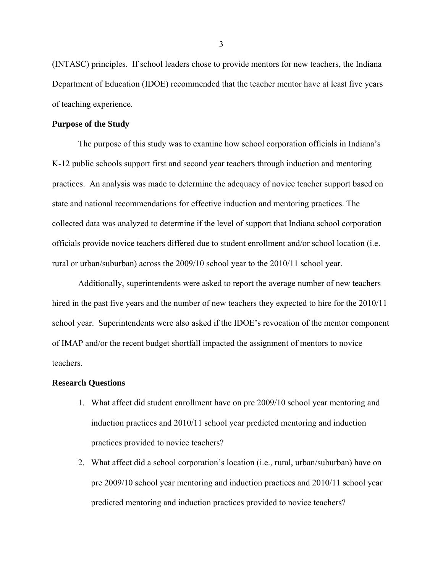(INTASC) principles. If school leaders chose to provide mentors for new teachers, the Indiana Department of Education (IDOE) recommended that the teacher mentor have at least five years of teaching experience.

#### **Purpose of the Study**

The purpose of this study was to examine how school corporation officials in Indiana's K-12 public schools support first and second year teachers through induction and mentoring practices. An analysis was made to determine the adequacy of novice teacher support based on state and national recommendations for effective induction and mentoring practices. The collected data was analyzed to determine if the level of support that Indiana school corporation officials provide novice teachers differed due to student enrollment and/or school location (i.e. rural or urban/suburban) across the 2009/10 school year to the 2010/11 school year.

Additionally, superintendents were asked to report the average number of new teachers hired in the past five years and the number of new teachers they expected to hire for the 2010/11 school year. Superintendents were also asked if the IDOE's revocation of the mentor component of IMAP and/or the recent budget shortfall impacted the assignment of mentors to novice teachers.

#### **Research Questions**

- 1. What affect did student enrollment have on pre 2009/10 school year mentoring and induction practices and 2010/11 school year predicted mentoring and induction practices provided to novice teachers?
- 2. What affect did a school corporation's location (i.e., rural, urban/suburban) have on pre 2009/10 school year mentoring and induction practices and 2010/11 school year predicted mentoring and induction practices provided to novice teachers?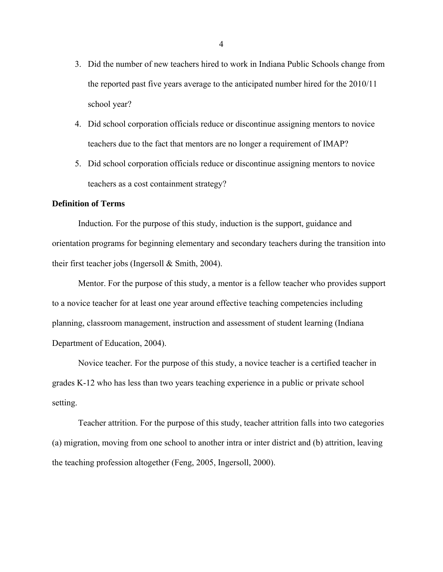- 3. Did the number of new teachers hired to work in Indiana Public Schools change from the reported past five years average to the anticipated number hired for the 2010/11 school year?
- 4. Did school corporation officials reduce or discontinue assigning mentors to novice teachers due to the fact that mentors are no longer a requirement of IMAP?
- 5. Did school corporation officials reduce or discontinue assigning mentors to novice teachers as a cost containment strategy?

### **Definition of Terms**

Induction*.* For the purpose of this study, induction is the support, guidance and orientation programs for beginning elementary and secondary teachers during the transition into their first teacher jobs (Ingersoll & Smith, 2004).

Mentor. For the purpose of this study, a mentor is a fellow teacher who provides support to a novice teacher for at least one year around effective teaching competencies including planning, classroom management, instruction and assessment of student learning (Indiana Department of Education, 2004).

Novice teacher*.* For the purpose of this study, a novice teacher is a certified teacher in grades K-12 who has less than two years teaching experience in a public or private school setting.

Teacher attrition. For the purpose of this study, teacher attrition falls into two categories (a) migration, moving from one school to another intra or inter district and (b) attrition, leaving the teaching profession altogether (Feng, 2005, Ingersoll, 2000).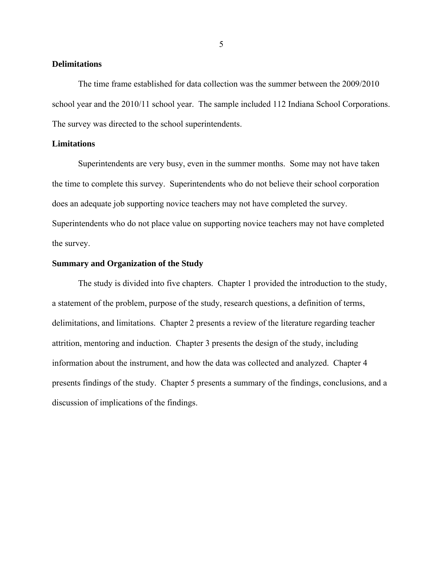## **Delimitations**

The time frame established for data collection was the summer between the 2009/2010 school year and the 2010/11 school year. The sample included 112 Indiana School Corporations. The survey was directed to the school superintendents.

## **Limitations**

Superintendents are very busy, even in the summer months. Some may not have taken the time to complete this survey. Superintendents who do not believe their school corporation does an adequate job supporting novice teachers may not have completed the survey. Superintendents who do not place value on supporting novice teachers may not have completed the survey.

## **Summary and Organization of the Study**

The study is divided into five chapters. Chapter 1 provided the introduction to the study, a statement of the problem, purpose of the study, research questions, a definition of terms, delimitations, and limitations. Chapter 2 presents a review of the literature regarding teacher attrition, mentoring and induction. Chapter 3 presents the design of the study, including information about the instrument, and how the data was collected and analyzed. Chapter 4 presents findings of the study. Chapter 5 presents a summary of the findings, conclusions, and a discussion of implications of the findings.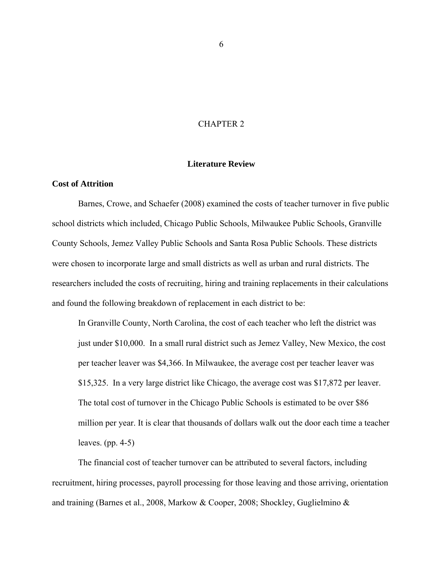## CHAPTER 2

#### **Literature Review**

### **Cost of Attrition**

Barnes, Crowe, and Schaefer (2008) examined the costs of teacher turnover in five public school districts which included, Chicago Public Schools, Milwaukee Public Schools, Granville County Schools, Jemez Valley Public Schools and Santa Rosa Public Schools. These districts were chosen to incorporate large and small districts as well as urban and rural districts. The researchers included the costs of recruiting, hiring and training replacements in their calculations and found the following breakdown of replacement in each district to be:

In Granville County, North Carolina, the cost of each teacher who left the district was just under \$10,000. In a small rural district such as Jemez Valley, New Mexico, the cost per teacher leaver was \$4,366. In Milwaukee, the average cost per teacher leaver was \$15,325. In a very large district like Chicago, the average cost was \$17,872 per leaver. The total cost of turnover in the Chicago Public Schools is estimated to be over \$86 million per year. It is clear that thousands of dollars walk out the door each time a teacher leaves. (pp. 4-5)

The financial cost of teacher turnover can be attributed to several factors, including recruitment, hiring processes, payroll processing for those leaving and those arriving, orientation and training (Barnes et al., 2008, Markow & Cooper, 2008; Shockley, Guglielmino &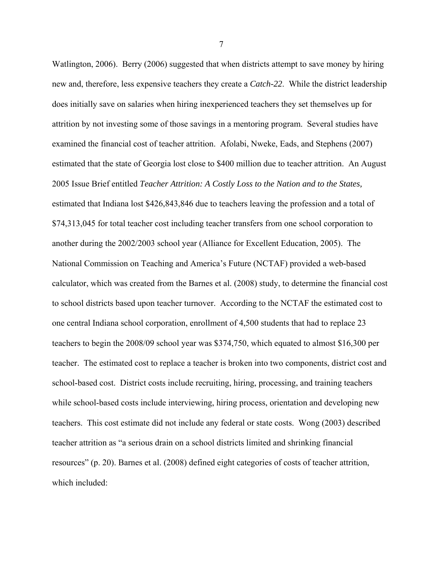Watlington, 2006). Berry (2006) suggested that when districts attempt to save money by hiring new and, therefore, less expensive teachers they create a *Catch-22*. While the district leadership does initially save on salaries when hiring inexperienced teachers they set themselves up for attrition by not investing some of those savings in a mentoring program. Several studies have examined the financial cost of teacher attrition. Afolabi, Nweke, Eads, and Stephens (2007) estimated that the state of Georgia lost close to \$400 million due to teacher attrition. An August 2005 Issue Brief entitled *Teacher Attrition: A Costly Loss to the Nation and to the States,*  estimated that Indiana lost \$426,843,846 due to teachers leaving the profession and a total of \$74,313,045 for total teacher cost including teacher transfers from one school corporation to another during the 2002/2003 school year (Alliance for Excellent Education, 2005). The National Commission on Teaching and America's Future (NCTAF) provided a web-based calculator, which was created from the Barnes et al. (2008) study, to determine the financial cost to school districts based upon teacher turnover. According to the NCTAF the estimated cost to one central Indiana school corporation, enrollment of 4,500 students that had to replace 23 teachers to begin the 2008/09 school year was \$374,750, which equated to almost \$16,300 per teacher. The estimated cost to replace a teacher is broken into two components, district cost and school-based cost. District costs include recruiting, hiring, processing, and training teachers while school-based costs include interviewing, hiring process, orientation and developing new teachers. This cost estimate did not include any federal or state costs. Wong (2003) described teacher attrition as "a serious drain on a school districts limited and shrinking financial resources" (p. 20). Barnes et al. (2008) defined eight categories of costs of teacher attrition, which included: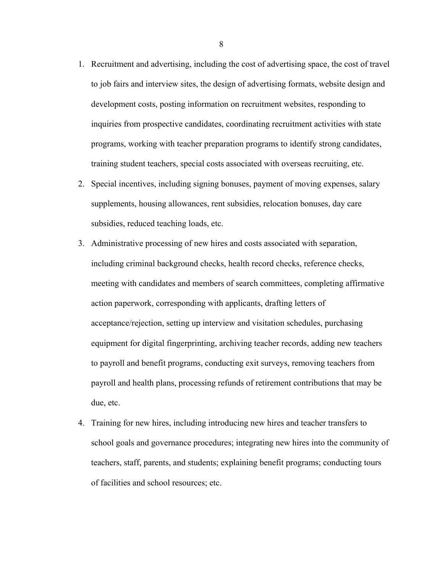- 1. Recruitment and advertising, including the cost of advertising space, the cost of travel to job fairs and interview sites, the design of advertising formats, website design and development costs, posting information on recruitment websites, responding to inquiries from prospective candidates, coordinating recruitment activities with state programs, working with teacher preparation programs to identify strong candidates, training student teachers, special costs associated with overseas recruiting, etc.
- 2. Special incentives, including signing bonuses, payment of moving expenses, salary supplements, housing allowances, rent subsidies, relocation bonuses, day care subsidies, reduced teaching loads, etc.
- 3. Administrative processing of new hires and costs associated with separation, including criminal background checks, health record checks, reference checks, meeting with candidates and members of search committees, completing affirmative action paperwork, corresponding with applicants, drafting letters of acceptance/rejection, setting up interview and visitation schedules, purchasing equipment for digital fingerprinting, archiving teacher records, adding new teachers to payroll and benefit programs, conducting exit surveys, removing teachers from payroll and health plans, processing refunds of retirement contributions that may be due, etc.
- 4. Training for new hires, including introducing new hires and teacher transfers to school goals and governance procedures; integrating new hires into the community of teachers, staff, parents, and students; explaining benefit programs; conducting tours of facilities and school resources; etc.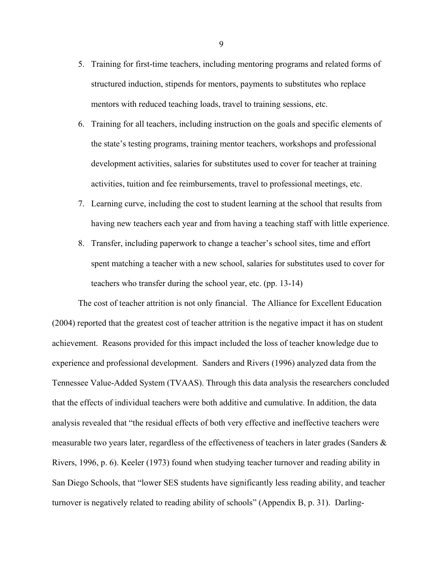- 5. Training for first-time teachers, including mentoring programs and related forms of structured induction, stipends for mentors, payments to substitutes who replace mentors with reduced teaching loads, travel to training sessions, etc.
- 6. Training for all teachers, including instruction on the goals and specific elements of the state's testing programs, training mentor teachers, workshops and professional development activities, salaries for substitutes used to cover for teacher at training activities, tuition and fee reimbursements, travel to professional meetings, etc.
- 7. Learning curve, including the cost to student learning at the school that results from having new teachers each year and from having a teaching staff with little experience.
- 8. Transfer, including paperwork to change a teacher's school sites, time and effort spent matching a teacher with a new school, salaries for substitutes used to cover for teachers who transfer during the school year, etc. (pp. 13-14)

The cost of teacher attrition is not only financial. The Alliance for Excellent Education (2004) reported that the greatest cost of teacher attrition is the negative impact it has on student achievement. Reasons provided for this impact included the loss of teacher knowledge due to experience and professional development. Sanders and Rivers (1996) analyzed data from the Tennessee Value-Added System (TVAAS). Through this data analysis the researchers concluded that the effects of individual teachers were both additive and cumulative. In addition, the data analysis revealed that "the residual effects of both very effective and ineffective teachers were measurable two years later, regardless of the effectiveness of teachers in later grades (Sanders & Rivers, 1996, p. 6). Keeler (1973) found when studying teacher turnover and reading ability in San Diego Schools, that "lower SES students have significantly less reading ability, and teacher turnover is negatively related to reading ability of schools" (Appendix B, p. 31). Darling-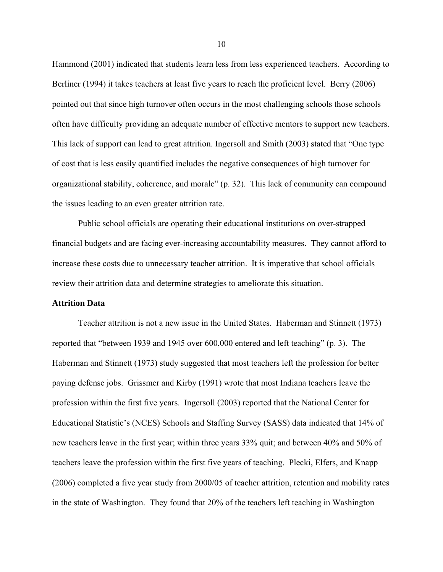Hammond (2001) indicated that students learn less from less experienced teachers. According to Berliner (1994) it takes teachers at least five years to reach the proficient level. Berry (2006) pointed out that since high turnover often occurs in the most challenging schools those schools often have difficulty providing an adequate number of effective mentors to support new teachers. This lack of support can lead to great attrition. Ingersoll and Smith (2003) stated that "One type of cost that is less easily quantified includes the negative consequences of high turnover for organizational stability, coherence, and morale" (p. 32). This lack of community can compound the issues leading to an even greater attrition rate.

Public school officials are operating their educational institutions on over-strapped financial budgets and are facing ever-increasing accountability measures. They cannot afford to increase these costs due to unnecessary teacher attrition. It is imperative that school officials review their attrition data and determine strategies to ameliorate this situation.

#### **Attrition Data**

Teacher attrition is not a new issue in the United States. Haberman and Stinnett (1973) reported that "between 1939 and 1945 over 600,000 entered and left teaching" (p. 3). The Haberman and Stinnett (1973) study suggested that most teachers left the profession for better paying defense jobs. Grissmer and Kirby (1991) wrote that most Indiana teachers leave the profession within the first five years. Ingersoll (2003) reported that the National Center for Educational Statistic's (NCES) Schools and Staffing Survey (SASS) data indicated that 14% of new teachers leave in the first year; within three years 33% quit; and between 40% and 50% of teachers leave the profession within the first five years of teaching. Plecki, Elfers, and Knapp (2006) completed a five year study from 2000/05 of teacher attrition, retention and mobility rates in the state of Washington. They found that 20% of the teachers left teaching in Washington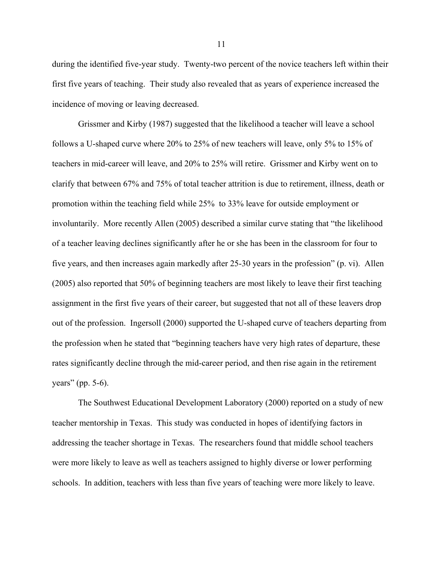during the identified five-year study. Twenty-two percent of the novice teachers left within their first five years of teaching. Their study also revealed that as years of experience increased the incidence of moving or leaving decreased.

Grissmer and Kirby (1987) suggested that the likelihood a teacher will leave a school follows a U-shaped curve where 20% to 25% of new teachers will leave, only 5% to 15% of teachers in mid-career will leave, and 20% to 25% will retire. Grissmer and Kirby went on to clarify that between 67% and 75% of total teacher attrition is due to retirement, illness, death or promotion within the teaching field while 25% to 33% leave for outside employment or involuntarily. More recently Allen (2005) described a similar curve stating that "the likelihood of a teacher leaving declines significantly after he or she has been in the classroom for four to five years, and then increases again markedly after 25-30 years in the profession" (p. vi). Allen (2005) also reported that 50% of beginning teachers are most likely to leave their first teaching assignment in the first five years of their career, but suggested that not all of these leavers drop out of the profession. Ingersoll (2000) supported the U-shaped curve of teachers departing from the profession when he stated that "beginning teachers have very high rates of departure, these rates significantly decline through the mid-career period, and then rise again in the retirement years" (pp. 5-6).

The Southwest Educational Development Laboratory (2000) reported on a study of new teacher mentorship in Texas. This study was conducted in hopes of identifying factors in addressing the teacher shortage in Texas. The researchers found that middle school teachers were more likely to leave as well as teachers assigned to highly diverse or lower performing schools. In addition, teachers with less than five years of teaching were more likely to leave.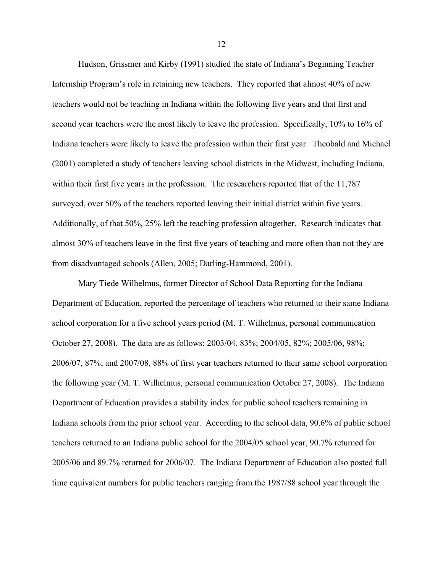Hudson, Grissmer and Kirby (1991) studied the state of Indiana's Beginning Teacher Internship Program's role in retaining new teachers. They reported that almost 40% of new teachers would not be teaching in Indiana within the following five years and that first and second year teachers were the most likely to leave the profession. Specifically, 10% to 16% of Indiana teachers were likely to leave the profession within their first year. Theobald and Michael (2001) completed a study of teachers leaving school districts in the Midwest, including Indiana, within their first five years in the profession. The researchers reported that of the 11,787 surveyed, over 50% of the teachers reported leaving their initial district within five years. Additionally, of that 50%, 25% left the teaching profession altogether. Research indicates that almost 30% of teachers leave in the first five years of teaching and more often than not they are from disadvantaged schools (Allen, 2005; Darling-Hammond, 2001).

Mary Tiede Wilhelmus, former Director of School Data Reporting for the Indiana Department of Education, reported the percentage of teachers who returned to their same Indiana school corporation for a five school years period (M. T. Wilhelmus, personal communication October 27, 2008). The data are as follows: 2003/04, 83%; 2004/05, 82%; 2005/06, 98%; 2006/07, 87%; and 2007/08, 88% of first year teachers returned to their same school corporation the following year (M. T. Wilhelmus, personal communication October 27, 2008). The Indiana Department of Education provides a stability index for public school teachers remaining in Indiana schools from the prior school year. According to the school data, 90.6% of public school teachers returned to an Indiana public school for the 2004/05 school year, 90.7% returned for 2005/06 and 89.7% returned for 2006/07. The Indiana Department of Education also posted full time equivalent numbers for public teachers ranging from the 1987/88 school year through the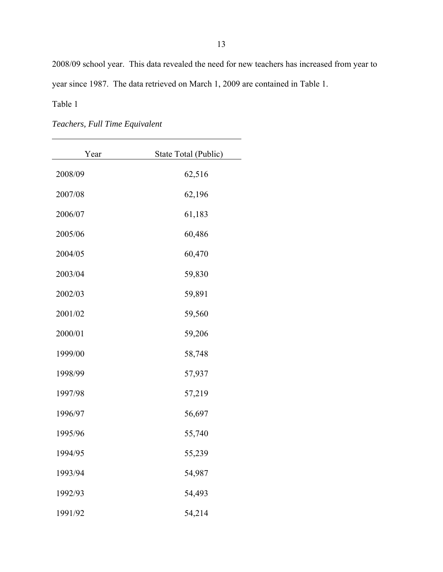2008/09 school year. This data revealed the need for new teachers has increased from year to year since 1987. The data retrieved on March 1, 2009 are contained in Table 1.

Table 1

*Teachers, Full Time Equivalent* 

| Year    | State Total (Public) |
|---------|----------------------|
| 2008/09 | 62,516               |
| 2007/08 | 62,196               |
| 2006/07 | 61,183               |
| 2005/06 | 60,486               |
| 2004/05 | 60,470               |
| 2003/04 | 59,830               |
| 2002/03 | 59,891               |
| 2001/02 | 59,560               |
| 2000/01 | 59,206               |
| 1999/00 | 58,748               |
| 1998/99 | 57,937               |
| 1997/98 | 57,219               |
| 1996/97 | 56,697               |
| 1995/96 | 55,740               |
| 1994/95 | 55,239               |
| 1993/94 | 54,987               |
| 1992/93 | 54,493               |
| 1991/92 | 54,214               |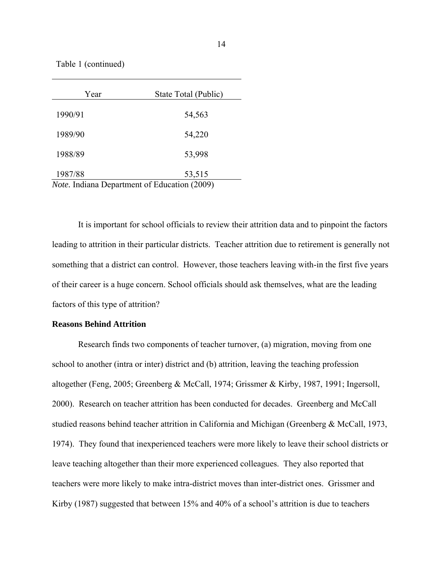Table 1 (continued)

| Year                                                | State Total (Public) |  |
|-----------------------------------------------------|----------------------|--|
| 1990/91                                             | 54,563               |  |
| 1989/90                                             | 54,220               |  |
| 1988/89                                             | 53,998               |  |
| 1987/88                                             | 53,515               |  |
| <i>Note.</i> Indiana Department of Education (2009) |                      |  |

It is important for school officials to review their attrition data and to pinpoint the factors leading to attrition in their particular districts. Teacher attrition due to retirement is generally not something that a district can control. However, those teachers leaving with-in the first five years of their career is a huge concern. School officials should ask themselves, what are the leading factors of this type of attrition?

#### **Reasons Behind Attrition**

Research finds two components of teacher turnover, (a) migration, moving from one school to another (intra or inter) district and (b) attrition, leaving the teaching profession altogether (Feng, 2005; Greenberg & McCall, 1974; Grissmer & Kirby, 1987, 1991; Ingersoll, 2000). Research on teacher attrition has been conducted for decades. Greenberg and McCall studied reasons behind teacher attrition in California and Michigan (Greenberg & McCall, 1973, 1974). They found that inexperienced teachers were more likely to leave their school districts or leave teaching altogether than their more experienced colleagues. They also reported that teachers were more likely to make intra-district moves than inter-district ones. Grissmer and Kirby (1987) suggested that between 15% and 40% of a school's attrition is due to teachers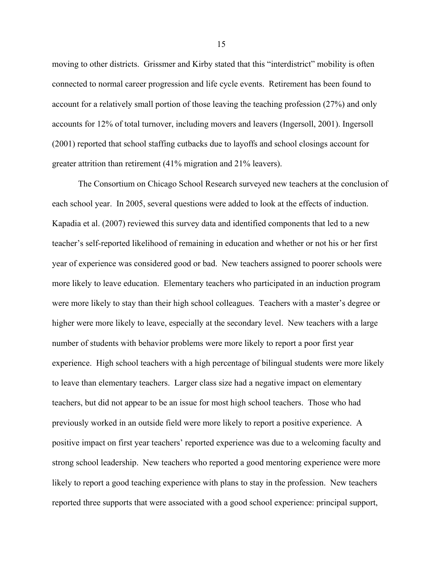moving to other districts. Grissmer and Kirby stated that this "interdistrict" mobility is often connected to normal career progression and life cycle events. Retirement has been found to account for a relatively small portion of those leaving the teaching profession (27%) and only accounts for 12% of total turnover, including movers and leavers (Ingersoll, 2001). Ingersoll (2001) reported that school staffing cutbacks due to layoffs and school closings account for greater attrition than retirement (41% migration and 21% leavers).

The Consortium on Chicago School Research surveyed new teachers at the conclusion of each school year. In 2005, several questions were added to look at the effects of induction. Kapadia et al. (2007) reviewed this survey data and identified components that led to a new teacher's self-reported likelihood of remaining in education and whether or not his or her first year of experience was considered good or bad. New teachers assigned to poorer schools were more likely to leave education. Elementary teachers who participated in an induction program were more likely to stay than their high school colleagues. Teachers with a master's degree or higher were more likely to leave, especially at the secondary level. New teachers with a large number of students with behavior problems were more likely to report a poor first year experience. High school teachers with a high percentage of bilingual students were more likely to leave than elementary teachers. Larger class size had a negative impact on elementary teachers, but did not appear to be an issue for most high school teachers. Those who had previously worked in an outside field were more likely to report a positive experience. A positive impact on first year teachers' reported experience was due to a welcoming faculty and strong school leadership. New teachers who reported a good mentoring experience were more likely to report a good teaching experience with plans to stay in the profession. New teachers reported three supports that were associated with a good school experience: principal support,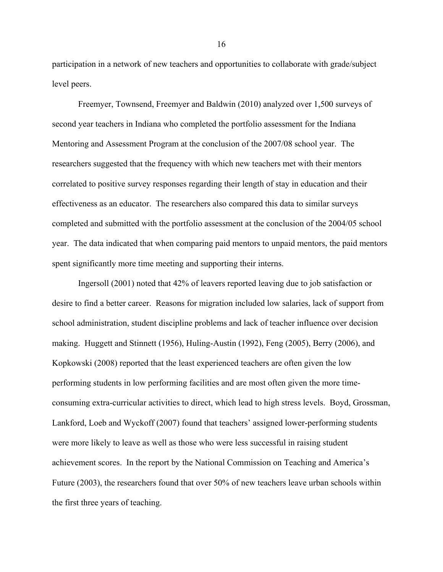participation in a network of new teachers and opportunities to collaborate with grade/subject level peers.

Freemyer, Townsend, Freemyer and Baldwin (2010) analyzed over 1,500 surveys of second year teachers in Indiana who completed the portfolio assessment for the Indiana Mentoring and Assessment Program at the conclusion of the 2007/08 school year. The researchers suggested that the frequency with which new teachers met with their mentors correlated to positive survey responses regarding their length of stay in education and their effectiveness as an educator. The researchers also compared this data to similar surveys completed and submitted with the portfolio assessment at the conclusion of the 2004/05 school year. The data indicated that when comparing paid mentors to unpaid mentors, the paid mentors spent significantly more time meeting and supporting their interns.

Ingersoll (2001) noted that 42% of leavers reported leaving due to job satisfaction or desire to find a better career. Reasons for migration included low salaries, lack of support from school administration, student discipline problems and lack of teacher influence over decision making. Huggett and Stinnett (1956), Huling-Austin (1992), Feng (2005), Berry (2006), and Kopkowski (2008) reported that the least experienced teachers are often given the low performing students in low performing facilities and are most often given the more timeconsuming extra-curricular activities to direct, which lead to high stress levels. Boyd, Grossman, Lankford, Loeb and Wyckoff (2007) found that teachers' assigned lower-performing students were more likely to leave as well as those who were less successful in raising student achievement scores. In the report by the National Commission on Teaching and America's Future (2003), the researchers found that over 50% of new teachers leave urban schools within the first three years of teaching.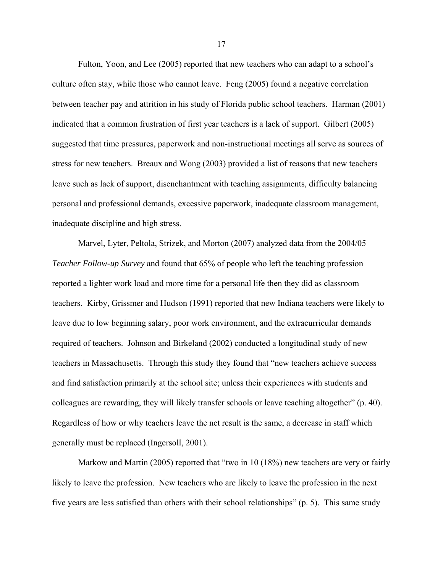Fulton, Yoon, and Lee (2005) reported that new teachers who can adapt to a school's culture often stay, while those who cannot leave. Feng (2005) found a negative correlation between teacher pay and attrition in his study of Florida public school teachers. Harman (2001) indicated that a common frustration of first year teachers is a lack of support. Gilbert (2005) suggested that time pressures, paperwork and non-instructional meetings all serve as sources of stress for new teachers. Breaux and Wong (2003) provided a list of reasons that new teachers leave such as lack of support, disenchantment with teaching assignments, difficulty balancing personal and professional demands, excessive paperwork, inadequate classroom management, inadequate discipline and high stress.

Marvel, Lyter, Peltola, Strizek, and Morton (2007) analyzed data from the 2004/05 *Teacher Follow-up Survey* and found that 65% of people who left the teaching profession reported a lighter work load and more time for a personal life then they did as classroom teachers. Kirby, Grissmer and Hudson (1991) reported that new Indiana teachers were likely to leave due to low beginning salary, poor work environment, and the extracurricular demands required of teachers. Johnson and Birkeland (2002) conducted a longitudinal study of new teachers in Massachusetts. Through this study they found that "new teachers achieve success and find satisfaction primarily at the school site; unless their experiences with students and colleagues are rewarding, they will likely transfer schools or leave teaching altogether" (p. 40). Regardless of how or why teachers leave the net result is the same, a decrease in staff which generally must be replaced (Ingersoll, 2001).

Markow and Martin (2005) reported that "two in 10 (18%) new teachers are very or fairly likely to leave the profession. New teachers who are likely to leave the profession in the next five years are less satisfied than others with their school relationships" (p. 5). This same study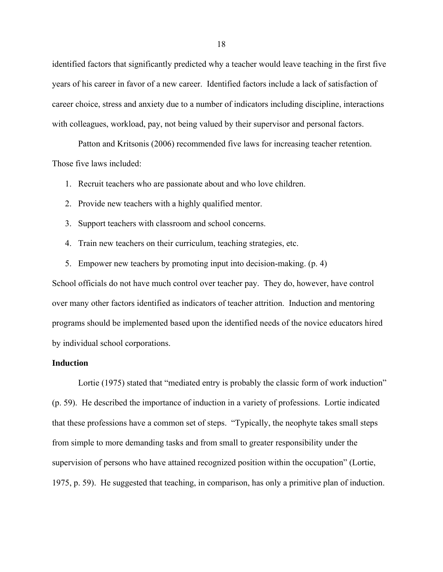identified factors that significantly predicted why a teacher would leave teaching in the first five years of his career in favor of a new career. Identified factors include a lack of satisfaction of career choice, stress and anxiety due to a number of indicators including discipline, interactions with colleagues, workload, pay, not being valued by their supervisor and personal factors.

Patton and Kritsonis (2006) recommended five laws for increasing teacher retention. Those five laws included:

1. Recruit teachers who are passionate about and who love children.

- 2. Provide new teachers with a highly qualified mentor.
- 3. Support teachers with classroom and school concerns.
- 4. Train new teachers on their curriculum, teaching strategies, etc.
- 5. Empower new teachers by promoting input into decision-making. (p. 4)

School officials do not have much control over teacher pay. They do, however, have control over many other factors identified as indicators of teacher attrition. Induction and mentoring programs should be implemented based upon the identified needs of the novice educators hired by individual school corporations.

## **Induction**

Lortie (1975) stated that "mediated entry is probably the classic form of work induction" (p. 59). He described the importance of induction in a variety of professions. Lortie indicated that these professions have a common set of steps. "Typically, the neophyte takes small steps from simple to more demanding tasks and from small to greater responsibility under the supervision of persons who have attained recognized position within the occupation" (Lortie, 1975, p. 59). He suggested that teaching, in comparison, has only a primitive plan of induction.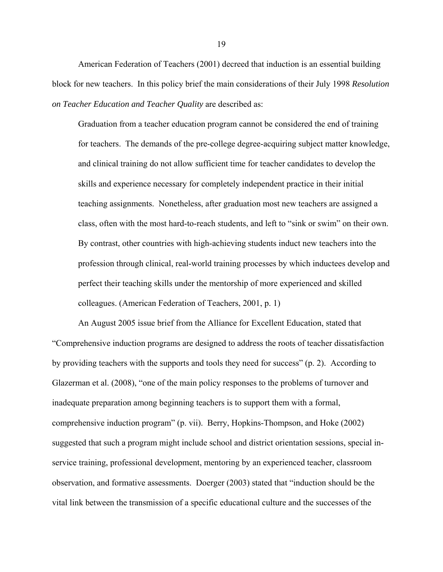American Federation of Teachers (2001) decreed that induction is an essential building block for new teachers. In this policy brief the main considerations of their July 1998 *Resolution on Teacher Education and Teacher Quality* are described as:

Graduation from a teacher education program cannot be considered the end of training for teachers. The demands of the pre-college degree-acquiring subject matter knowledge, and clinical training do not allow sufficient time for teacher candidates to develop the skills and experience necessary for completely independent practice in their initial teaching assignments. Nonetheless, after graduation most new teachers are assigned a class, often with the most hard-to-reach students, and left to "sink or swim" on their own. By contrast, other countries with high-achieving students induct new teachers into the profession through clinical, real-world training processes by which inductees develop and perfect their teaching skills under the mentorship of more experienced and skilled colleagues. (American Federation of Teachers, 2001, p. 1)

An August 2005 issue brief from the Alliance for Excellent Education, stated that "Comprehensive induction programs are designed to address the roots of teacher dissatisfaction by providing teachers with the supports and tools they need for success" (p. 2). According to Glazerman et al. (2008), "one of the main policy responses to the problems of turnover and inadequate preparation among beginning teachers is to support them with a formal, comprehensive induction program" (p. vii). Berry, Hopkins-Thompson, and Hoke (2002) suggested that such a program might include school and district orientation sessions, special inservice training, professional development, mentoring by an experienced teacher, classroom observation, and formative assessments. Doerger (2003) stated that "induction should be the vital link between the transmission of a specific educational culture and the successes of the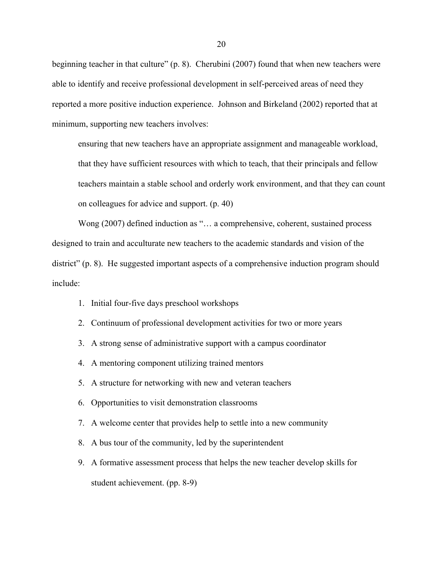beginning teacher in that culture" (p. 8). Cherubini (2007) found that when new teachers were able to identify and receive professional development in self-perceived areas of need they reported a more positive induction experience. Johnson and Birkeland (2002) reported that at minimum, supporting new teachers involves:

ensuring that new teachers have an appropriate assignment and manageable workload, that they have sufficient resources with which to teach, that their principals and fellow teachers maintain a stable school and orderly work environment, and that they can count on colleagues for advice and support. (p. 40)

Wong (2007) defined induction as "... a comprehensive, coherent, sustained process designed to train and acculturate new teachers to the academic standards and vision of the district" (p. 8). He suggested important aspects of a comprehensive induction program should include:

- 1. Initial four-five days preschool workshops
- 2. Continuum of professional development activities for two or more years
- 3. A strong sense of administrative support with a campus coordinator
- 4. A mentoring component utilizing trained mentors
- 5. A structure for networking with new and veteran teachers
- 6. Opportunities to visit demonstration classrooms
- 7. A welcome center that provides help to settle into a new community
- 8. A bus tour of the community, led by the superintendent
- 9. A formative assessment process that helps the new teacher develop skills for student achievement. (pp. 8-9)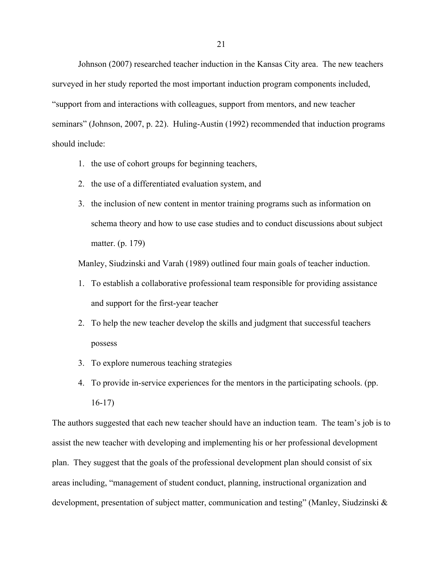Johnson (2007) researched teacher induction in the Kansas City area. The new teachers surveyed in her study reported the most important induction program components included, "support from and interactions with colleagues, support from mentors, and new teacher seminars" (Johnson, 2007, p. 22). Huling-Austin (1992) recommended that induction programs should include:

- 1. the use of cohort groups for beginning teachers,
- 2. the use of a differentiated evaluation system, and
- 3. the inclusion of new content in mentor training programs such as information on schema theory and how to use case studies and to conduct discussions about subject matter. (p. 179)

Manley, Siudzinski and Varah (1989) outlined four main goals of teacher induction.

- 1. To establish a collaborative professional team responsible for providing assistance and support for the first-year teacher
- 2. To help the new teacher develop the skills and judgment that successful teachers possess
- 3. To explore numerous teaching strategies
- 4. To provide in-service experiences for the mentors in the participating schools. (pp. 16-17)

The authors suggested that each new teacher should have an induction team. The team's job is to assist the new teacher with developing and implementing his or her professional development plan. They suggest that the goals of the professional development plan should consist of six areas including, "management of student conduct, planning, instructional organization and development, presentation of subject matter, communication and testing" (Manley, Siudzinski &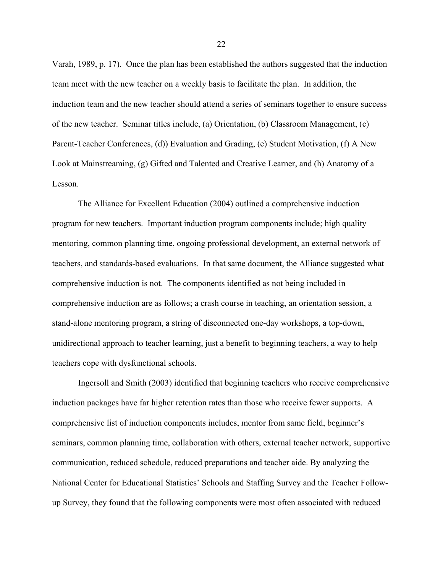Varah, 1989, p. 17). Once the plan has been established the authors suggested that the induction team meet with the new teacher on a weekly basis to facilitate the plan. In addition, the induction team and the new teacher should attend a series of seminars together to ensure success of the new teacher. Seminar titles include, (a) Orientation, (b) Classroom Management, (c) Parent-Teacher Conferences, (d)) Evaluation and Grading, (e) Student Motivation, (f) A New Look at Mainstreaming, (g) Gifted and Talented and Creative Learner, and (h) Anatomy of a Lesson.

The Alliance for Excellent Education (2004) outlined a comprehensive induction program for new teachers. Important induction program components include; high quality mentoring, common planning time, ongoing professional development, an external network of teachers, and standards-based evaluations. In that same document, the Alliance suggested what comprehensive induction is not. The components identified as not being included in comprehensive induction are as follows; a crash course in teaching, an orientation session, a stand-alone mentoring program, a string of disconnected one-day workshops, a top-down, unidirectional approach to teacher learning, just a benefit to beginning teachers, a way to help teachers cope with dysfunctional schools.

Ingersoll and Smith (2003) identified that beginning teachers who receive comprehensive induction packages have far higher retention rates than those who receive fewer supports. A comprehensive list of induction components includes, mentor from same field, beginner's seminars, common planning time, collaboration with others, external teacher network, supportive communication, reduced schedule, reduced preparations and teacher aide. By analyzing the National Center for Educational Statistics' Schools and Staffing Survey and the Teacher Followup Survey, they found that the following components were most often associated with reduced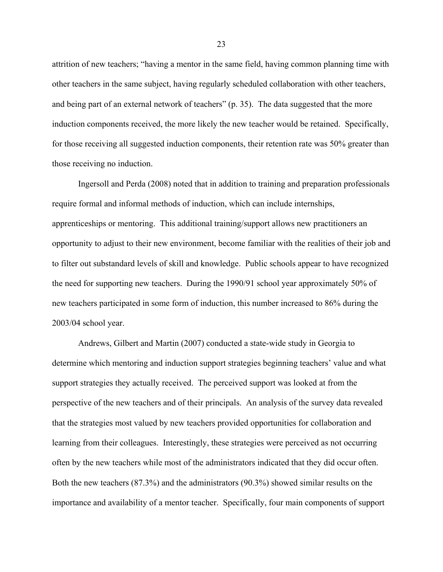attrition of new teachers; "having a mentor in the same field, having common planning time with other teachers in the same subject, having regularly scheduled collaboration with other teachers, and being part of an external network of teachers" (p. 35). The data suggested that the more induction components received, the more likely the new teacher would be retained. Specifically, for those receiving all suggested induction components, their retention rate was 50% greater than those receiving no induction.

Ingersoll and Perda (2008) noted that in addition to training and preparation professionals require formal and informal methods of induction, which can include internships, apprenticeships or mentoring. This additional training/support allows new practitioners an opportunity to adjust to their new environment, become familiar with the realities of their job and to filter out substandard levels of skill and knowledge. Public schools appear to have recognized the need for supporting new teachers. During the 1990/91 school year approximately 50% of new teachers participated in some form of induction, this number increased to 86% during the 2003/04 school year.

Andrews, Gilbert and Martin (2007) conducted a state-wide study in Georgia to determine which mentoring and induction support strategies beginning teachers' value and what support strategies they actually received. The perceived support was looked at from the perspective of the new teachers and of their principals. An analysis of the survey data revealed that the strategies most valued by new teachers provided opportunities for collaboration and learning from their colleagues. Interestingly, these strategies were perceived as not occurring often by the new teachers while most of the administrators indicated that they did occur often. Both the new teachers (87.3%) and the administrators (90.3%) showed similar results on the importance and availability of a mentor teacher. Specifically, four main components of support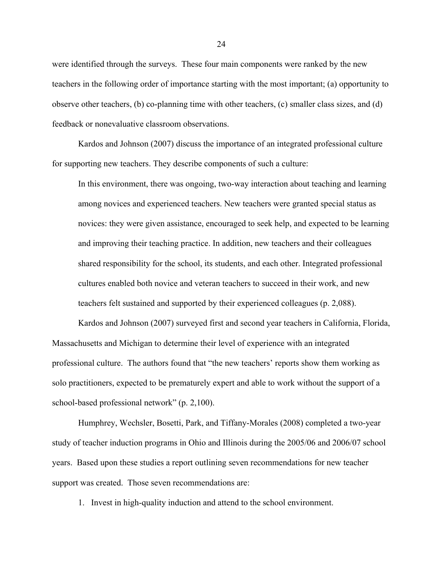were identified through the surveys. These four main components were ranked by the new teachers in the following order of importance starting with the most important; (a) opportunity to observe other teachers, (b) co-planning time with other teachers, (c) smaller class sizes, and (d) feedback or nonevaluative classroom observations.

Kardos and Johnson (2007) discuss the importance of an integrated professional culture for supporting new teachers. They describe components of such a culture:

In this environment, there was ongoing, two-way interaction about teaching and learning among novices and experienced teachers. New teachers were granted special status as novices: they were given assistance, encouraged to seek help, and expected to be learning and improving their teaching practice. In addition, new teachers and their colleagues shared responsibility for the school, its students, and each other. Integrated professional cultures enabled both novice and veteran teachers to succeed in their work, and new teachers felt sustained and supported by their experienced colleagues (p. 2,088).

Kardos and Johnson (2007) surveyed first and second year teachers in California, Florida, Massachusetts and Michigan to determine their level of experience with an integrated professional culture. The authors found that "the new teachers' reports show them working as solo practitioners, expected to be prematurely expert and able to work without the support of a school-based professional network" (p. 2,100).

Humphrey, Wechsler, Bosetti, Park, and Tiffany-Morales (2008) completed a two-year study of teacher induction programs in Ohio and Illinois during the 2005/06 and 2006/07 school years. Based upon these studies a report outlining seven recommendations for new teacher support was created. Those seven recommendations are:

1. Invest in high-quality induction and attend to the school environment.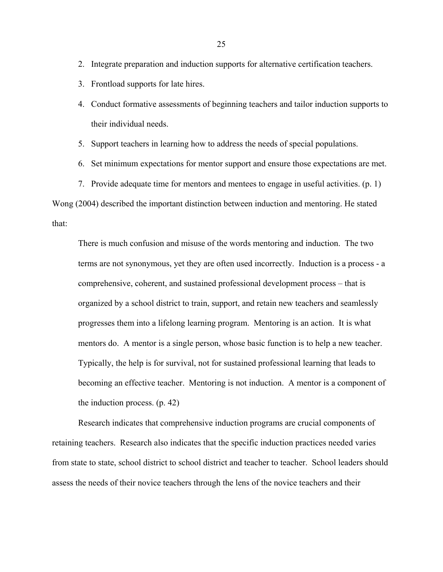- 2. Integrate preparation and induction supports for alternative certification teachers.
- 3. Frontload supports for late hires.
- 4. Conduct formative assessments of beginning teachers and tailor induction supports to their individual needs.
- 5. Support teachers in learning how to address the needs of special populations.
- 6. Set minimum expectations for mentor support and ensure those expectations are met.
- 7. Provide adequate time for mentors and mentees to engage in useful activities. (p. 1)

Wong (2004) described the important distinction between induction and mentoring. He stated that:

There is much confusion and misuse of the words mentoring and induction. The two terms are not synonymous, yet they are often used incorrectly. Induction is a process - a comprehensive, coherent, and sustained professional development process – that is organized by a school district to train, support, and retain new teachers and seamlessly progresses them into a lifelong learning program. Mentoring is an action. It is what mentors do. A mentor is a single person, whose basic function is to help a new teacher. Typically, the help is for survival, not for sustained professional learning that leads to becoming an effective teacher. Mentoring is not induction. A mentor is a component of the induction process. (p. 42)

Research indicates that comprehensive induction programs are crucial components of retaining teachers. Research also indicates that the specific induction practices needed varies from state to state, school district to school district and teacher to teacher. School leaders should assess the needs of their novice teachers through the lens of the novice teachers and their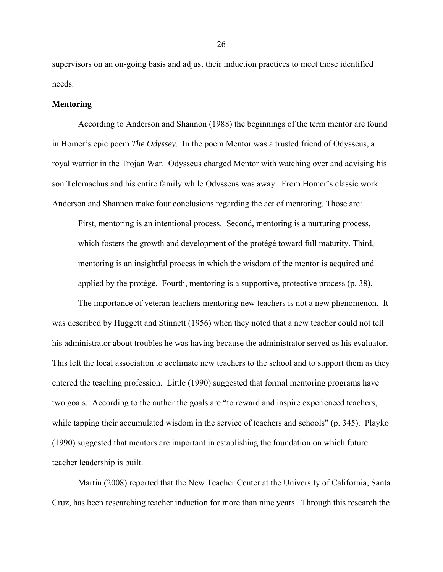supervisors on an on-going basis and adjust their induction practices to meet those identified needs.

#### **Mentoring**

According to Anderson and Shannon (1988) the beginnings of the term mentor are found in Homer's epic poem *The Odyssey*. In the poem Mentor was a trusted friend of Odysseus, a royal warrior in the Trojan War. Odysseus charged Mentor with watching over and advising his son Telemachus and his entire family while Odysseus was away. From Homer's classic work Anderson and Shannon make four conclusions regarding the act of mentoring. Those are:

First, mentoring is an intentional process. Second, mentoring is a nurturing process, which fosters the growth and development of the protégé toward full maturity. Third, mentoring is an insightful process in which the wisdom of the mentor is acquired and applied by the protégé. Fourth, mentoring is a supportive, protective process (p. 38).

The importance of veteran teachers mentoring new teachers is not a new phenomenon. It was described by Huggett and Stinnett (1956) when they noted that a new teacher could not tell his administrator about troubles he was having because the administrator served as his evaluator. This left the local association to acclimate new teachers to the school and to support them as they entered the teaching profession. Little (1990) suggested that formal mentoring programs have two goals. According to the author the goals are "to reward and inspire experienced teachers, while tapping their accumulated wisdom in the service of teachers and schools" (p. 345). Playko (1990) suggested that mentors are important in establishing the foundation on which future teacher leadership is built.

Martin (2008) reported that the New Teacher Center at the University of California, Santa Cruz, has been researching teacher induction for more than nine years. Through this research the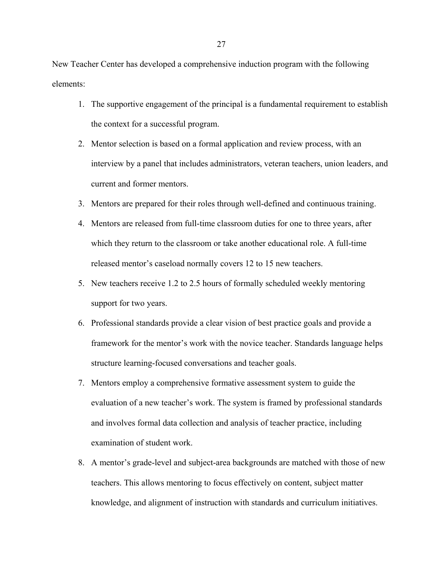New Teacher Center has developed a comprehensive induction program with the following elements:

- 1. The supportive engagement of the principal is a fundamental requirement to establish the context for a successful program.
- 2. Mentor selection is based on a formal application and review process, with an interview by a panel that includes administrators, veteran teachers, union leaders, and current and former mentors.
- 3. Mentors are prepared for their roles through well-defined and continuous training.
- 4. Mentors are released from full-time classroom duties for one to three years, after which they return to the classroom or take another educational role. A full-time released mentor's caseload normally covers 12 to 15 new teachers.
- 5. New teachers receive 1.2 to 2.5 hours of formally scheduled weekly mentoring support for two years.
- 6. Professional standards provide a clear vision of best practice goals and provide a framework for the mentor's work with the novice teacher. Standards language helps structure learning-focused conversations and teacher goals.
- 7. Mentors employ a comprehensive formative assessment system to guide the evaluation of a new teacher's work. The system is framed by professional standards and involves formal data collection and analysis of teacher practice, including examination of student work.
- 8. A mentor's grade-level and subject-area backgrounds are matched with those of new teachers. This allows mentoring to focus effectively on content, subject matter knowledge, and alignment of instruction with standards and curriculum initiatives.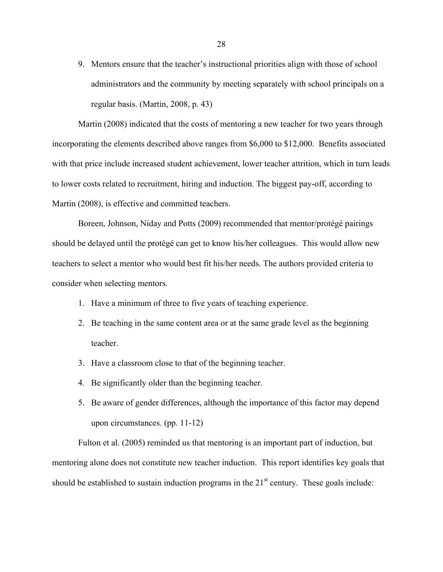9. Mentors ensure that the teacher's instructional priorities align with those of school administrators and the community by meeting separately with school principals on a regular basis. (Martin, 2008, p. 43)

Martin (2008) indicated that the costs of mentoring a new teacher for two years through incorporating the elements described above ranges from \$6,000 to \$12,000. Benefits associated with that price include increased student achievement, lower teacher attrition, which in turn leads to lower costs related to recruitment, hiring and induction. The biggest pay-off, according to Martin (2008), is effective and committed teachers.

Boreen, Johnson, Niday and Potts (2009) recommended that mentor/protégé pairings should be delayed until the protégé can get to know his/her colleagues. This would allow new teachers to select a mentor who would best fit his/her needs. The authors provided criteria to consider when selecting mentors.

- 1. Have a minimum of three to five years of teaching experience.
- 2. Be teaching in the same content area or at the same grade level as the beginning teacher.
- 3. Have a classroom close to that of the beginning teacher.
- 4. Be significantly older than the beginning teacher.
- 5. Be aware of gender differences, although the importance of this factor may depend upon circumstances. (pp. 11-12)

Fulton et al. (2005) reminded us that mentoring is an important part of induction, but mentoring alone does not constitute new teacher induction. This report identifies key goals that should be established to sustain induction programs in the  $21<sup>st</sup>$  century. These goals include: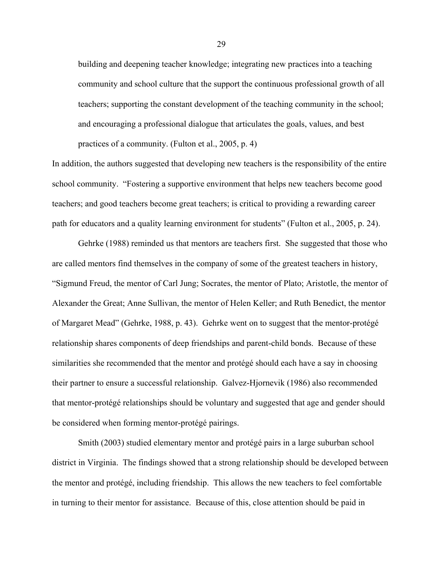building and deepening teacher knowledge; integrating new practices into a teaching community and school culture that the support the continuous professional growth of all teachers; supporting the constant development of the teaching community in the school; and encouraging a professional dialogue that articulates the goals, values, and best practices of a community. (Fulton et al., 2005, p. 4)

In addition, the authors suggested that developing new teachers is the responsibility of the entire school community. "Fostering a supportive environment that helps new teachers become good teachers; and good teachers become great teachers; is critical to providing a rewarding career path for educators and a quality learning environment for students" (Fulton et al., 2005, p. 24).

Gehrke (1988) reminded us that mentors are teachers first. She suggested that those who are called mentors find themselves in the company of some of the greatest teachers in history, "Sigmund Freud, the mentor of Carl Jung; Socrates, the mentor of Plato; Aristotle, the mentor of Alexander the Great; Anne Sullivan, the mentor of Helen Keller; and Ruth Benedict, the mentor of Margaret Mead" (Gehrke, 1988, p. 43). Gehrke went on to suggest that the mentor-protégé relationship shares components of deep friendships and parent-child bonds. Because of these similarities she recommended that the mentor and protégé should each have a say in choosing their partner to ensure a successful relationship. Galvez-Hjornevik (1986) also recommended that mentor-protégé relationships should be voluntary and suggested that age and gender should be considered when forming mentor-protégé pairings.

Smith (2003) studied elementary mentor and protégé pairs in a large suburban school district in Virginia. The findings showed that a strong relationship should be developed between the mentor and protégé, including friendship. This allows the new teachers to feel comfortable in turning to their mentor for assistance. Because of this, close attention should be paid in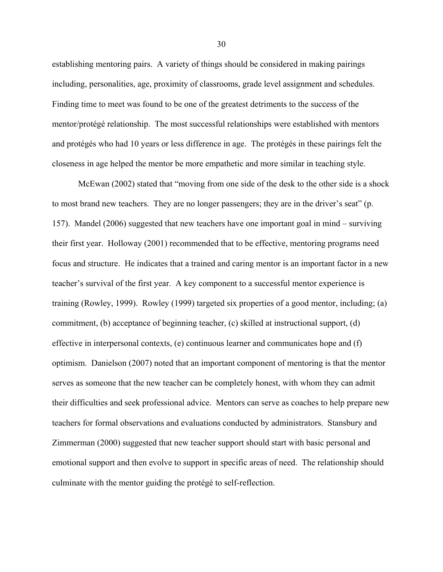establishing mentoring pairs. A variety of things should be considered in making pairings including, personalities, age, proximity of classrooms, grade level assignment and schedules. Finding time to meet was found to be one of the greatest detriments to the success of the mentor/protégé relationship. The most successful relationships were established with mentors and protégés who had 10 years or less difference in age. The protégés in these pairings felt the closeness in age helped the mentor be more empathetic and more similar in teaching style.

McEwan (2002) stated that "moving from one side of the desk to the other side is a shock to most brand new teachers. They are no longer passengers; they are in the driver's seat" (p. 157). Mandel (2006) suggested that new teachers have one important goal in mind – surviving their first year. Holloway (2001) recommended that to be effective, mentoring programs need focus and structure. He indicates that a trained and caring mentor is an important factor in a new teacher's survival of the first year. A key component to a successful mentor experience is training (Rowley, 1999). Rowley (1999) targeted six properties of a good mentor, including; (a) commitment, (b) acceptance of beginning teacher, (c) skilled at instructional support, (d) effective in interpersonal contexts, (e) continuous learner and communicates hope and (f) optimism. Danielson (2007) noted that an important component of mentoring is that the mentor serves as someone that the new teacher can be completely honest, with whom they can admit their difficulties and seek professional advice. Mentors can serve as coaches to help prepare new teachers for formal observations and evaluations conducted by administrators. Stansbury and Zimmerman (2000) suggested that new teacher support should start with basic personal and emotional support and then evolve to support in specific areas of need. The relationship should culminate with the mentor guiding the protégé to self-reflection.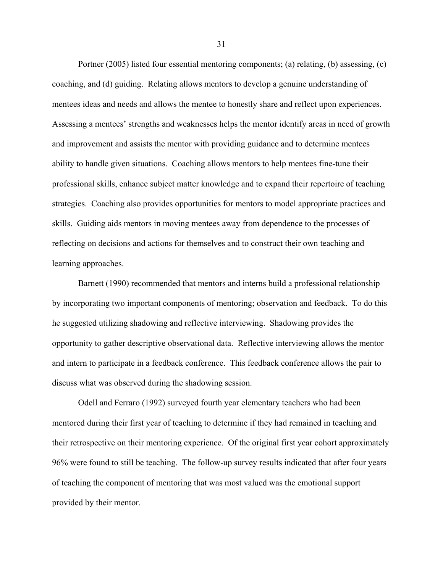Portner (2005) listed four essential mentoring components; (a) relating, (b) assessing, (c) coaching, and (d) guiding. Relating allows mentors to develop a genuine understanding of mentees ideas and needs and allows the mentee to honestly share and reflect upon experiences. Assessing a mentees' strengths and weaknesses helps the mentor identify areas in need of growth and improvement and assists the mentor with providing guidance and to determine mentees ability to handle given situations. Coaching allows mentors to help mentees fine-tune their professional skills, enhance subject matter knowledge and to expand their repertoire of teaching strategies. Coaching also provides opportunities for mentors to model appropriate practices and skills. Guiding aids mentors in moving mentees away from dependence to the processes of reflecting on decisions and actions for themselves and to construct their own teaching and learning approaches.

Barnett (1990) recommended that mentors and interns build a professional relationship by incorporating two important components of mentoring; observation and feedback. To do this he suggested utilizing shadowing and reflective interviewing. Shadowing provides the opportunity to gather descriptive observational data. Reflective interviewing allows the mentor and intern to participate in a feedback conference. This feedback conference allows the pair to discuss what was observed during the shadowing session.

Odell and Ferraro (1992) surveyed fourth year elementary teachers who had been mentored during their first year of teaching to determine if they had remained in teaching and their retrospective on their mentoring experience. Of the original first year cohort approximately 96% were found to still be teaching. The follow-up survey results indicated that after four years of teaching the component of mentoring that was most valued was the emotional support provided by their mentor.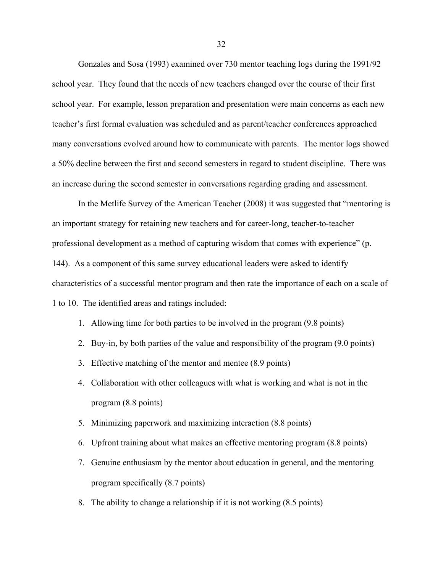Gonzales and Sosa (1993) examined over 730 mentor teaching logs during the 1991/92 school year. They found that the needs of new teachers changed over the course of their first school year. For example, lesson preparation and presentation were main concerns as each new teacher's first formal evaluation was scheduled and as parent/teacher conferences approached many conversations evolved around how to communicate with parents. The mentor logs showed a 50% decline between the first and second semesters in regard to student discipline. There was an increase during the second semester in conversations regarding grading and assessment.

In the Metlife Survey of the American Teacher (2008) it was suggested that "mentoring is an important strategy for retaining new teachers and for career-long, teacher-to-teacher professional development as a method of capturing wisdom that comes with experience" (p. 144). As a component of this same survey educational leaders were asked to identify characteristics of a successful mentor program and then rate the importance of each on a scale of 1 to 10. The identified areas and ratings included:

- 1. Allowing time for both parties to be involved in the program (9.8 points)
- 2. Buy-in, by both parties of the value and responsibility of the program (9.0 points)
- 3. Effective matching of the mentor and mentee (8.9 points)
- 4. Collaboration with other colleagues with what is working and what is not in the program (8.8 points)
- 5. Minimizing paperwork and maximizing interaction (8.8 points)
- 6. Upfront training about what makes an effective mentoring program (8.8 points)
- 7. Genuine enthusiasm by the mentor about education in general, and the mentoring program specifically (8.7 points)
- 8. The ability to change a relationship if it is not working (8.5 points)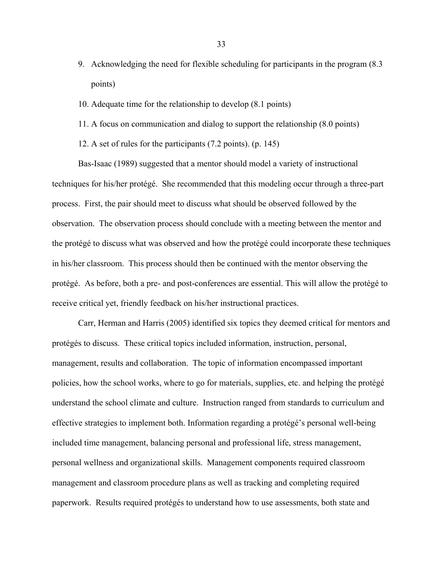- 9. Acknowledging the need for flexible scheduling for participants in the program (8.3 points)
- 10. Adequate time for the relationship to develop (8.1 points)
- 11. A focus on communication and dialog to support the relationship (8.0 points)
- 12. A set of rules for the participants (7.2 points). (p. 145)

Bas-Isaac (1989) suggested that a mentor should model a variety of instructional techniques for his/her protégé. She recommended that this modeling occur through a three-part process. First, the pair should meet to discuss what should be observed followed by the observation. The observation process should conclude with a meeting between the mentor and the protégé to discuss what was observed and how the protégé could incorporate these techniques in his/her classroom. This process should then be continued with the mentor observing the protégé. As before, both a pre- and post-conferences are essential. This will allow the protégé to receive critical yet, friendly feedback on his/her instructional practices.

Carr, Herman and Harris (2005) identified six topics they deemed critical for mentors and protégés to discuss. These critical topics included information, instruction, personal, management, results and collaboration. The topic of information encompassed important policies, how the school works, where to go for materials, supplies, etc. and helping the protégé understand the school climate and culture. Instruction ranged from standards to curriculum and effective strategies to implement both. Information regarding a protégé's personal well-being included time management, balancing personal and professional life, stress management, personal wellness and organizational skills. Management components required classroom management and classroom procedure plans as well as tracking and completing required paperwork. Results required protégés to understand how to use assessments, both state and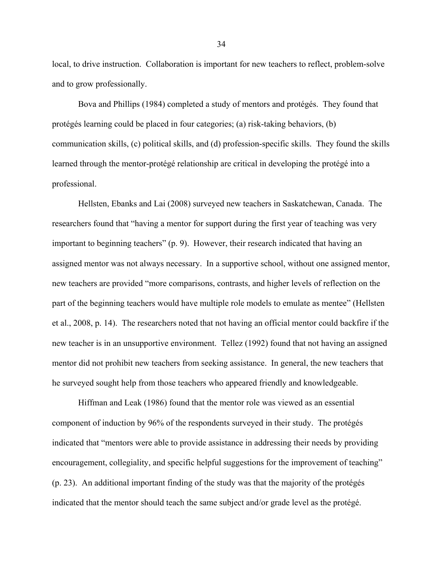local, to drive instruction. Collaboration is important for new teachers to reflect, problem-solve and to grow professionally.

Bova and Phillips (1984) completed a study of mentors and protégés. They found that protégés learning could be placed in four categories; (a) risk-taking behaviors, (b) communication skills, (c) political skills, and (d) profession-specific skills. They found the skills learned through the mentor-protégé relationship are critical in developing the protégé into a professional.

Hellsten, Ebanks and Lai (2008) surveyed new teachers in Saskatchewan, Canada. The researchers found that "having a mentor for support during the first year of teaching was very important to beginning teachers" (p. 9). However, their research indicated that having an assigned mentor was not always necessary. In a supportive school, without one assigned mentor, new teachers are provided "more comparisons, contrasts, and higher levels of reflection on the part of the beginning teachers would have multiple role models to emulate as mentee" (Hellsten et al., 2008, p. 14). The researchers noted that not having an official mentor could backfire if the new teacher is in an unsupportive environment. Tellez (1992) found that not having an assigned mentor did not prohibit new teachers from seeking assistance. In general, the new teachers that he surveyed sought help from those teachers who appeared friendly and knowledgeable.

Hiffman and Leak (1986) found that the mentor role was viewed as an essential component of induction by 96% of the respondents surveyed in their study. The protégés indicated that "mentors were able to provide assistance in addressing their needs by providing encouragement, collegiality, and specific helpful suggestions for the improvement of teaching" (p. 23). An additional important finding of the study was that the majority of the protégés indicated that the mentor should teach the same subject and/or grade level as the protégé.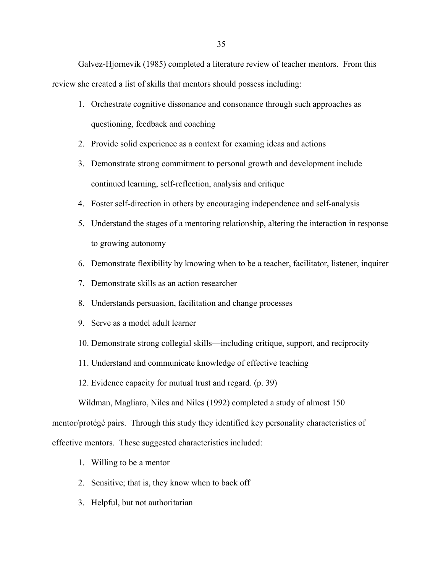Galvez-Hjornevik (1985) completed a literature review of teacher mentors. From this review she created a list of skills that mentors should possess including:

- 1. Orchestrate cognitive dissonance and consonance through such approaches as questioning, feedback and coaching
- 2. Provide solid experience as a context for examing ideas and actions
- 3. Demonstrate strong commitment to personal growth and development include continued learning, self-reflection, analysis and critique
- 4. Foster self-direction in others by encouraging independence and self-analysis
- 5. Understand the stages of a mentoring relationship, altering the interaction in response to growing autonomy
- 6. Demonstrate flexibility by knowing when to be a teacher, facilitator, listener, inquirer
- 7. Demonstrate skills as an action researcher
- 8. Understands persuasion, facilitation and change processes
- 9. Serve as a model adult learner
- 10. Demonstrate strong collegial skills—including critique, support, and reciprocity
- 11. Understand and communicate knowledge of effective teaching
- 12. Evidence capacity for mutual trust and regard. (p. 39)

Wildman, Magliaro, Niles and Niles (1992) completed a study of almost 150

mentor/protégé pairs. Through this study they identified key personality characteristics of

effective mentors. These suggested characteristics included:

- 1. Willing to be a mentor
- 2. Sensitive; that is, they know when to back off
- 3. Helpful, but not authoritarian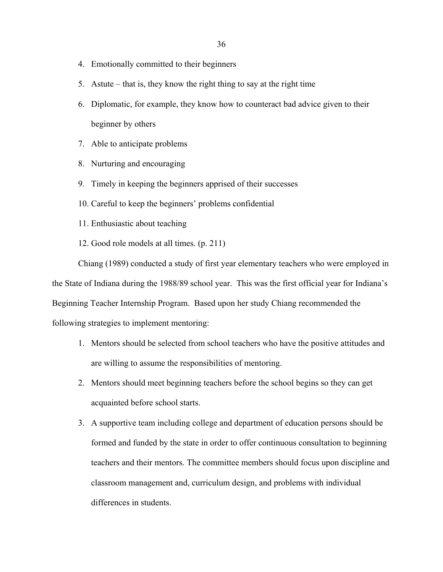- 4. Emotionally committed to their beginners
- 5. Astute that is, they know the right thing to say at the right time
- 6. Diplomatic, for example, they know how to counteract bad advice given to their beginner by others
- 7. Able to anticipate problems
- 8. Nurturing and encouraging
- 9. Timely in keeping the beginners apprised of their successes
- 10. Careful to keep the beginners' problems confidential
- 11. Enthusiastic about teaching
- 12. Good role models at all times. (p. 211)

Chiang (1989) conducted a study of first year elementary teachers who were employed in the State of Indiana during the 1988/89 school year. This was the first official year for Indiana's Beginning Teacher Internship Program. Based upon her study Chiang recommended the following strategies to implement mentoring:

- 1. Mentors should be selected from school teachers who have the positive attitudes and are willing to assume the responsibilities of mentoring.
- 2. Mentors should meet beginning teachers before the school begins so they can get acquainted before school starts.
- 3. A supportive team including college and department of education persons should be formed and funded by the state in order to offer continuous consultation to beginning teachers and their mentors. The committee members should focus upon discipline and classroom management and, curriculum design, and problems with individual differences in students.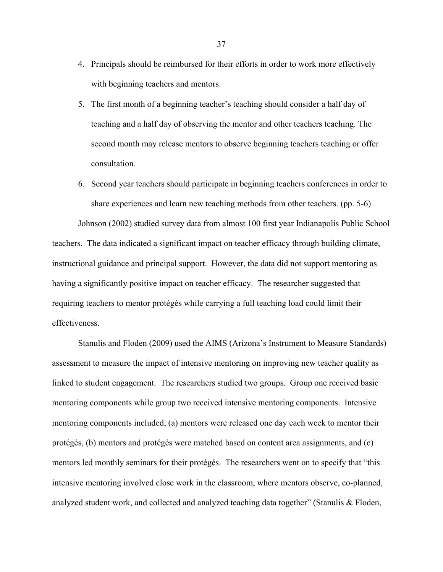- 4. Principals should be reimbursed for their efforts in order to work more effectively with beginning teachers and mentors.
- 5. The first month of a beginning teacher's teaching should consider a half day of teaching and a half day of observing the mentor and other teachers teaching. The second month may release mentors to observe beginning teachers teaching or offer consultation.
- 6. Second year teachers should participate in beginning teachers conferences in order to share experiences and learn new teaching methods from other teachers. (pp. 5-6)

Johnson (2002) studied survey data from almost 100 first year Indianapolis Public School teachers. The data indicated a significant impact on teacher efficacy through building climate, instructional guidance and principal support. However, the data did not support mentoring as having a significantly positive impact on teacher efficacy. The researcher suggested that requiring teachers to mentor protégés while carrying a full teaching load could limit their effectiveness.

Stanulis and Floden (2009) used the AIMS (Arizona's Instrument to Measure Standards) assessment to measure the impact of intensive mentoring on improving new teacher quality as linked to student engagement. The researchers studied two groups. Group one received basic mentoring components while group two received intensive mentoring components. Intensive mentoring components included, (a) mentors were released one day each week to mentor their protégés, (b) mentors and protégés were matched based on content area assignments, and (c) mentors led monthly seminars for their protégés. The researchers went on to specify that "this intensive mentoring involved close work in the classroom, where mentors observe, co-planned, analyzed student work, and collected and analyzed teaching data together" (Stanulis & Floden,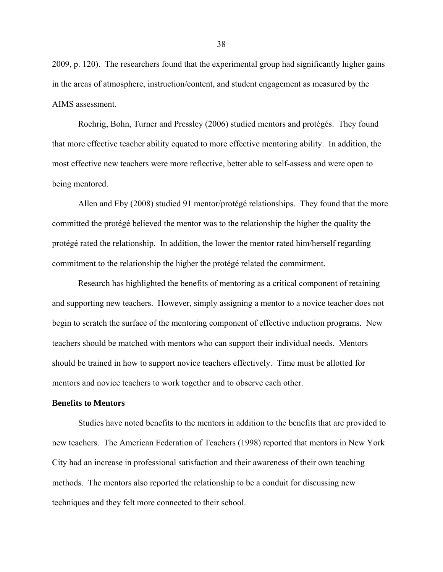2009, p. 120). The researchers found that the experimental group had significantly higher gains in the areas of atmosphere, instruction/content, and student engagement as measured by the AIMS assessment.

Roehrig, Bohn, Turner and Pressley (2006) studied mentors and protégés. They found that more effective teacher ability equated to more effective mentoring ability. In addition, the most effective new teachers were more reflective, better able to self-assess and were open to being mentored.

Allen and Eby (2008) studied 91 mentor/protégé relationships. They found that the more committed the protégé believed the mentor was to the relationship the higher the quality the protégé rated the relationship. In addition, the lower the mentor rated him/herself regarding commitment to the relationship the higher the protégé related the commitment.

Research has highlighted the benefits of mentoring as a critical component of retaining and supporting new teachers. However, simply assigning a mentor to a novice teacher does not begin to scratch the surface of the mentoring component of effective induction programs. New teachers should be matched with mentors who can support their individual needs. Mentors should be trained in how to support novice teachers effectively. Time must be allotted for mentors and novice teachers to work together and to observe each other.

### **Benefits to Mentors**

Studies have noted benefits to the mentors in addition to the benefits that are provided to new teachers. The American Federation of Teachers (1998) reported that mentors in New York City had an increase in professional satisfaction and their awareness of their own teaching methods. The mentors also reported the relationship to be a conduit for discussing new techniques and they felt more connected to their school.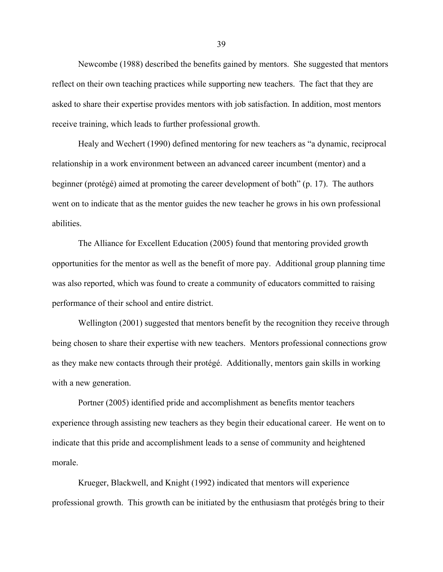Newcombe (1988) described the benefits gained by mentors. She suggested that mentors reflect on their own teaching practices while supporting new teachers. The fact that they are asked to share their expertise provides mentors with job satisfaction. In addition, most mentors receive training, which leads to further professional growth.

Healy and Wechert (1990) defined mentoring for new teachers as "a dynamic, reciprocal relationship in a work environment between an advanced career incumbent (mentor) and a beginner (protégé) aimed at promoting the career development of both" (p. 17). The authors went on to indicate that as the mentor guides the new teacher he grows in his own professional abilities.

The Alliance for Excellent Education (2005) found that mentoring provided growth opportunities for the mentor as well as the benefit of more pay. Additional group planning time was also reported, which was found to create a community of educators committed to raising performance of their school and entire district.

Wellington (2001) suggested that mentors benefit by the recognition they receive through being chosen to share their expertise with new teachers. Mentors professional connections grow as they make new contacts through their protégé. Additionally, mentors gain skills in working with a new generation.

Portner (2005) identified pride and accomplishment as benefits mentor teachers experience through assisting new teachers as they begin their educational career. He went on to indicate that this pride and accomplishment leads to a sense of community and heightened morale.

Krueger, Blackwell, and Knight (1992) indicated that mentors will experience professional growth. This growth can be initiated by the enthusiasm that protégés bring to their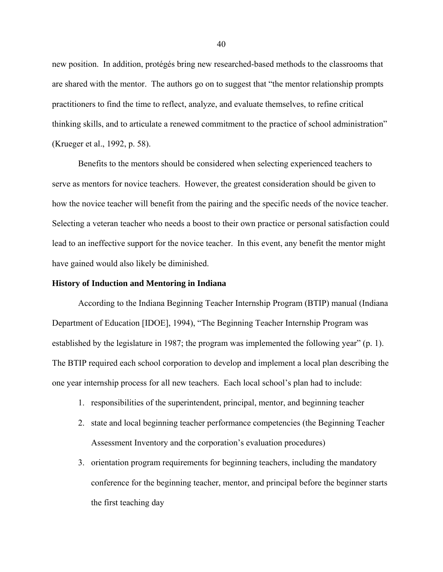new position. In addition, protégés bring new researched-based methods to the classrooms that are shared with the mentor. The authors go on to suggest that "the mentor relationship prompts practitioners to find the time to reflect, analyze, and evaluate themselves, to refine critical thinking skills, and to articulate a renewed commitment to the practice of school administration" (Krueger et al., 1992, p. 58).

Benefits to the mentors should be considered when selecting experienced teachers to serve as mentors for novice teachers. However, the greatest consideration should be given to how the novice teacher will benefit from the pairing and the specific needs of the novice teacher. Selecting a veteran teacher who needs a boost to their own practice or personal satisfaction could lead to an ineffective support for the novice teacher. In this event, any benefit the mentor might have gained would also likely be diminished.

#### **History of Induction and Mentoring in Indiana**

According to the Indiana Beginning Teacher Internship Program (BTIP) manual (Indiana Department of Education [IDOE], 1994), "The Beginning Teacher Internship Program was established by the legislature in 1987; the program was implemented the following year" (p. 1). The BTIP required each school corporation to develop and implement a local plan describing the one year internship process for all new teachers. Each local school's plan had to include:

- 1. responsibilities of the superintendent, principal, mentor, and beginning teacher
- 2. state and local beginning teacher performance competencies (the Beginning Teacher Assessment Inventory and the corporation's evaluation procedures)
- 3. orientation program requirements for beginning teachers, including the mandatory conference for the beginning teacher, mentor, and principal before the beginner starts the first teaching day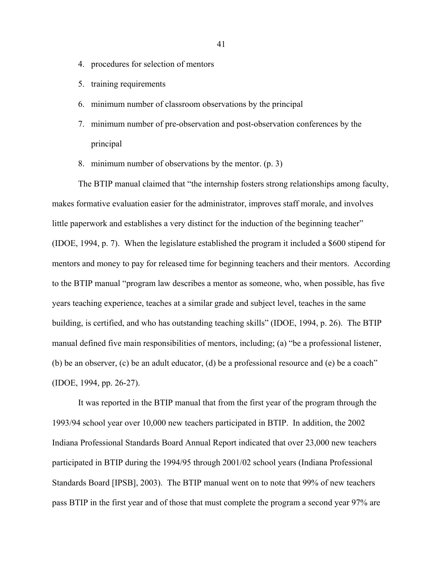- 4. procedures for selection of mentors
- 5. training requirements
- 6. minimum number of classroom observations by the principal
- 7. minimum number of pre-observation and post-observation conferences by the principal
- 8. minimum number of observations by the mentor. (p. 3)

The BTIP manual claimed that "the internship fosters strong relationships among faculty, makes formative evaluation easier for the administrator, improves staff morale, and involves little paperwork and establishes a very distinct for the induction of the beginning teacher" (IDOE, 1994, p. 7). When the legislature established the program it included a \$600 stipend for mentors and money to pay for released time for beginning teachers and their mentors. According to the BTIP manual "program law describes a mentor as someone, who, when possible, has five years teaching experience, teaches at a similar grade and subject level, teaches in the same building, is certified, and who has outstanding teaching skills" (IDOE, 1994, p. 26). The BTIP manual defined five main responsibilities of mentors, including; (a) "be a professional listener, (b) be an observer, (c) be an adult educator, (d) be a professional resource and (e) be a coach" (IDOE, 1994, pp. 26-27).

It was reported in the BTIP manual that from the first year of the program through the 1993/94 school year over 10,000 new teachers participated in BTIP. In addition, the 2002 Indiana Professional Standards Board Annual Report indicated that over 23,000 new teachers participated in BTIP during the 1994/95 through 2001/02 school years (Indiana Professional Standards Board [IPSB], 2003). The BTIP manual went on to note that 99% of new teachers pass BTIP in the first year and of those that must complete the program a second year 97% are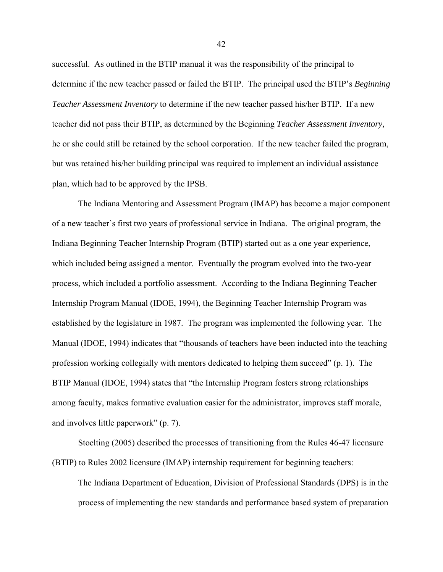successful. As outlined in the BTIP manual it was the responsibility of the principal to determine if the new teacher passed or failed the BTIP. The principal used the BTIP's *Beginning Teacher Assessment Inventory* to determine if the new teacher passed his/her BTIP. If a new teacher did not pass their BTIP, as determined by the Beginning *Teacher Assessment Inventory,*  he or she could still be retained by the school corporation. If the new teacher failed the program, but was retained his/her building principal was required to implement an individual assistance plan, which had to be approved by the IPSB.

The Indiana Mentoring and Assessment Program (IMAP) has become a major component of a new teacher's first two years of professional service in Indiana. The original program, the Indiana Beginning Teacher Internship Program (BTIP) started out as a one year experience, which included being assigned a mentor. Eventually the program evolved into the two-year process, which included a portfolio assessment. According to the Indiana Beginning Teacher Internship Program Manual (IDOE, 1994), the Beginning Teacher Internship Program was established by the legislature in 1987. The program was implemented the following year. The Manual (IDOE, 1994) indicates that "thousands of teachers have been inducted into the teaching profession working collegially with mentors dedicated to helping them succeed" (p. 1). The BTIP Manual (IDOE, 1994) states that "the Internship Program fosters strong relationships among faculty, makes formative evaluation easier for the administrator, improves staff morale, and involves little paperwork" (p. 7).

Stoelting (2005) described the processes of transitioning from the Rules 46-47 licensure (BTIP) to Rules 2002 licensure (IMAP) internship requirement for beginning teachers:

The Indiana Department of Education, Division of Professional Standards (DPS) is in the process of implementing the new standards and performance based system of preparation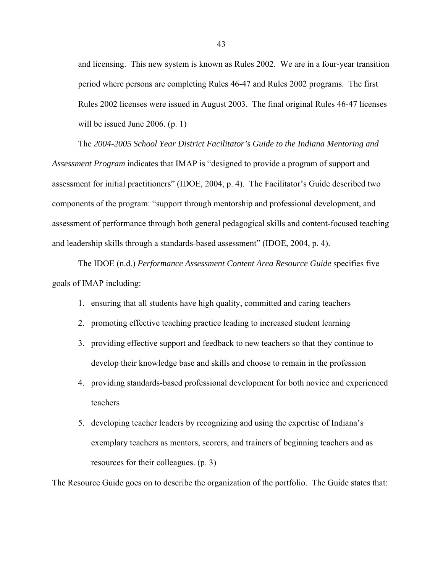and licensing. This new system is known as Rules 2002. We are in a four-year transition period where persons are completing Rules 46-47 and Rules 2002 programs. The first Rules 2002 licenses were issued in August 2003. The final original Rules 46-47 licenses will be issued June 2006. (p. 1)

The *2004-2005 School Year District Facilitator's Guide to the Indiana Mentoring and Assessment Program* indicates that IMAP is "designed to provide a program of support and assessment for initial practitioners" (IDOE, 2004, p. 4). The Facilitator's Guide described two components of the program: "support through mentorship and professional development, and assessment of performance through both general pedagogical skills and content-focused teaching and leadership skills through a standards-based assessment" (IDOE, 2004, p. 4).

The IDOE (n.d.) *Performance Assessment Content Area Resource Guide* specifies five goals of IMAP including:

- 1. ensuring that all students have high quality, committed and caring teachers
- 2. promoting effective teaching practice leading to increased student learning
- 3. providing effective support and feedback to new teachers so that they continue to develop their knowledge base and skills and choose to remain in the profession
- 4. providing standards-based professional development for both novice and experienced teachers
- 5. developing teacher leaders by recognizing and using the expertise of Indiana's exemplary teachers as mentors, scorers, and trainers of beginning teachers and as resources for their colleagues. (p. 3)

The Resource Guide goes on to describe the organization of the portfolio. The Guide states that: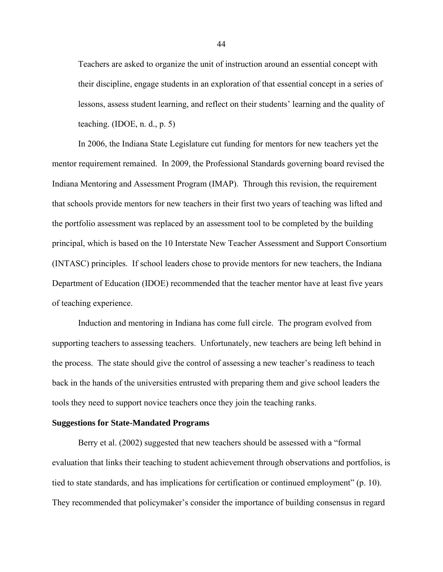Teachers are asked to organize the unit of instruction around an essential concept with their discipline, engage students in an exploration of that essential concept in a series of lessons, assess student learning, and reflect on their students' learning and the quality of teaching.  $(IDOE, n. d., p. 5)$ 

In 2006, the Indiana State Legislature cut funding for mentors for new teachers yet the mentor requirement remained. In 2009, the Professional Standards governing board revised the Indiana Mentoring and Assessment Program (IMAP). Through this revision, the requirement that schools provide mentors for new teachers in their first two years of teaching was lifted and the portfolio assessment was replaced by an assessment tool to be completed by the building principal, which is based on the 10 Interstate New Teacher Assessment and Support Consortium (INTASC) principles. If school leaders chose to provide mentors for new teachers, the Indiana Department of Education (IDOE) recommended that the teacher mentor have at least five years of teaching experience.

Induction and mentoring in Indiana has come full circle. The program evolved from supporting teachers to assessing teachers. Unfortunately, new teachers are being left behind in the process. The state should give the control of assessing a new teacher's readiness to teach back in the hands of the universities entrusted with preparing them and give school leaders the tools they need to support novice teachers once they join the teaching ranks.

### **Suggestions for State-Mandated Programs**

Berry et al. (2002) suggested that new teachers should be assessed with a "formal evaluation that links their teaching to student achievement through observations and portfolios, is tied to state standards, and has implications for certification or continued employment" (p. 10). They recommended that policymaker's consider the importance of building consensus in regard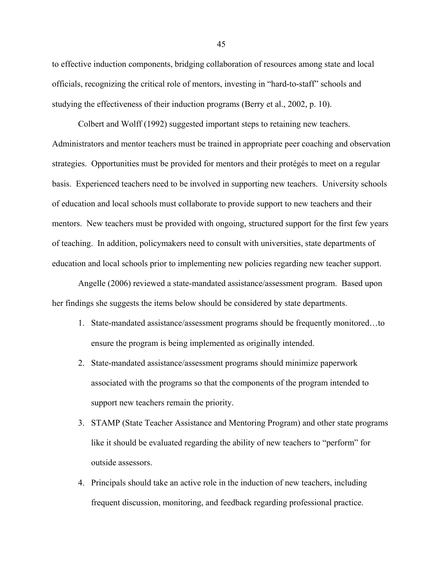to effective induction components, bridging collaboration of resources among state and local officials, recognizing the critical role of mentors, investing in "hard-to-staff" schools and studying the effectiveness of their induction programs (Berry et al., 2002, p. 10).

Colbert and Wolff (1992) suggested important steps to retaining new teachers. Administrators and mentor teachers must be trained in appropriate peer coaching and observation strategies. Opportunities must be provided for mentors and their protégés to meet on a regular basis. Experienced teachers need to be involved in supporting new teachers. University schools of education and local schools must collaborate to provide support to new teachers and their mentors. New teachers must be provided with ongoing, structured support for the first few years of teaching. In addition, policymakers need to consult with universities, state departments of education and local schools prior to implementing new policies regarding new teacher support.

Angelle (2006) reviewed a state-mandated assistance/assessment program. Based upon her findings she suggests the items below should be considered by state departments.

- 1. State-mandated assistance/assessment programs should be frequently monitored…to ensure the program is being implemented as originally intended.
- 2. State-mandated assistance/assessment programs should minimize paperwork associated with the programs so that the components of the program intended to support new teachers remain the priority.
- 3. STAMP (State Teacher Assistance and Mentoring Program) and other state programs like it should be evaluated regarding the ability of new teachers to "perform" for outside assessors.
- 4. Principals should take an active role in the induction of new teachers, including frequent discussion, monitoring, and feedback regarding professional practice.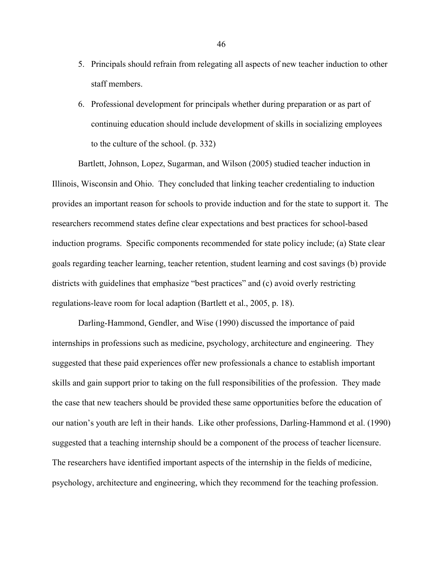- 5. Principals should refrain from relegating all aspects of new teacher induction to other staff members.
- 6. Professional development for principals whether during preparation or as part of continuing education should include development of skills in socializing employees to the culture of the school. (p. 332)

Bartlett, Johnson, Lopez, Sugarman, and Wilson (2005) studied teacher induction in Illinois, Wisconsin and Ohio. They concluded that linking teacher credentialing to induction provides an important reason for schools to provide induction and for the state to support it. The researchers recommend states define clear expectations and best practices for school-based induction programs. Specific components recommended for state policy include; (a) State clear goals regarding teacher learning, teacher retention, student learning and cost savings (b) provide districts with guidelines that emphasize "best practices" and (c) avoid overly restricting regulations-leave room for local adaption (Bartlett et al., 2005, p. 18).

Darling-Hammond, Gendler, and Wise (1990) discussed the importance of paid internships in professions such as medicine, psychology, architecture and engineering. They suggested that these paid experiences offer new professionals a chance to establish important skills and gain support prior to taking on the full responsibilities of the profession. They made the case that new teachers should be provided these same opportunities before the education of our nation's youth are left in their hands. Like other professions, Darling-Hammond et al. (1990) suggested that a teaching internship should be a component of the process of teacher licensure. The researchers have identified important aspects of the internship in the fields of medicine, psychology, architecture and engineering, which they recommend for the teaching profession.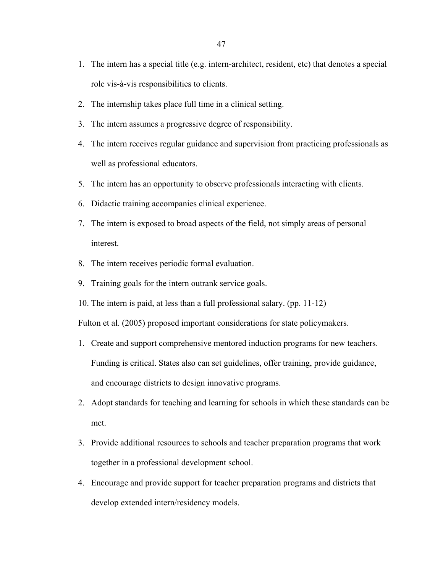- 1. The intern has a special title (e.g. intern-architect, resident, etc) that denotes a special role vis-à-vis responsibilities to clients.
- 2. The internship takes place full time in a clinical setting.
- 3. The intern assumes a progressive degree of responsibility.
- 4. The intern receives regular guidance and supervision from practicing professionals as well as professional educators.
- 5. The intern has an opportunity to observe professionals interacting with clients.
- 6. Didactic training accompanies clinical experience.
- 7. The intern is exposed to broad aspects of the field, not simply areas of personal interest.
- 8. The intern receives periodic formal evaluation.
- 9. Training goals for the intern outrank service goals.
- 10. The intern is paid, at less than a full professional salary. (pp. 11-12)

Fulton et al. (2005) proposed important considerations for state policymakers.

- 1. Create and support comprehensive mentored induction programs for new teachers. Funding is critical. States also can set guidelines, offer training, provide guidance, and encourage districts to design innovative programs.
- 2. Adopt standards for teaching and learning for schools in which these standards can be met.
- 3. Provide additional resources to schools and teacher preparation programs that work together in a professional development school.
- 4. Encourage and provide support for teacher preparation programs and districts that develop extended intern/residency models.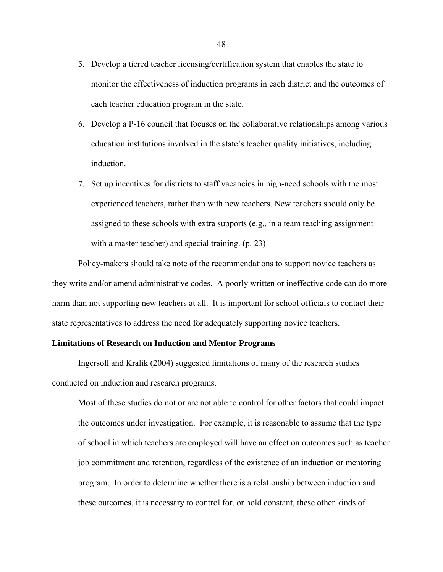- 5. Develop a tiered teacher licensing/certification system that enables the state to monitor the effectiveness of induction programs in each district and the outcomes of each teacher education program in the state.
- 6. Develop a P-16 council that focuses on the collaborative relationships among various education institutions involved in the state's teacher quality initiatives, including induction.
- 7. Set up incentives for districts to staff vacancies in high-need schools with the most experienced teachers, rather than with new teachers. New teachers should only be assigned to these schools with extra supports (e.g., in a team teaching assignment with a master teacher) and special training. (p. 23)

Policy-makers should take note of the recommendations to support novice teachers as they write and/or amend administrative codes. A poorly written or ineffective code can do more harm than not supporting new teachers at all. It is important for school officials to contact their state representatives to address the need for adequately supporting novice teachers.

#### **Limitations of Research on Induction and Mentor Programs**

Ingersoll and Kralik (2004) suggested limitations of many of the research studies conducted on induction and research programs.

Most of these studies do not or are not able to control for other factors that could impact the outcomes under investigation. For example, it is reasonable to assume that the type of school in which teachers are employed will have an effect on outcomes such as teacher job commitment and retention, regardless of the existence of an induction or mentoring program. In order to determine whether there is a relationship between induction and these outcomes, it is necessary to control for, or hold constant, these other kinds of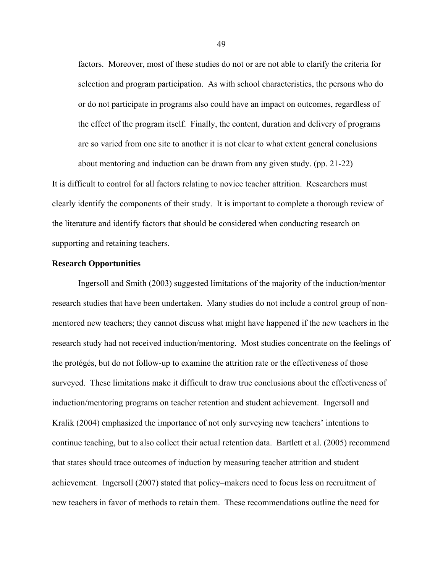factors. Moreover, most of these studies do not or are not able to clarify the criteria for selection and program participation. As with school characteristics, the persons who do or do not participate in programs also could have an impact on outcomes, regardless of the effect of the program itself. Finally, the content, duration and delivery of programs are so varied from one site to another it is not clear to what extent general conclusions about mentoring and induction can be drawn from any given study. (pp. 21-22)

It is difficult to control for all factors relating to novice teacher attrition. Researchers must clearly identify the components of their study. It is important to complete a thorough review of the literature and identify factors that should be considered when conducting research on supporting and retaining teachers.

# **Research Opportunities**

Ingersoll and Smith (2003) suggested limitations of the majority of the induction/mentor research studies that have been undertaken. Many studies do not include a control group of nonmentored new teachers; they cannot discuss what might have happened if the new teachers in the research study had not received induction/mentoring. Most studies concentrate on the feelings of the protégés, but do not follow-up to examine the attrition rate or the effectiveness of those surveyed. These limitations make it difficult to draw true conclusions about the effectiveness of induction/mentoring programs on teacher retention and student achievement. Ingersoll and Kralik (2004) emphasized the importance of not only surveying new teachers' intentions to continue teaching, but to also collect their actual retention data. Bartlett et al. (2005) recommend that states should trace outcomes of induction by measuring teacher attrition and student achievement. Ingersoll (2007) stated that policy–makers need to focus less on recruitment of new teachers in favor of methods to retain them. These recommendations outline the need for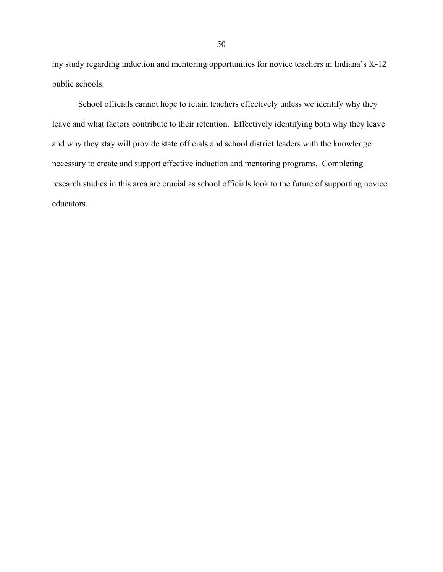my study regarding induction and mentoring opportunities for novice teachers in Indiana's K-12 public schools.

School officials cannot hope to retain teachers effectively unless we identify why they leave and what factors contribute to their retention. Effectively identifying both why they leave and why they stay will provide state officials and school district leaders with the knowledge necessary to create and support effective induction and mentoring programs. Completing research studies in this area are crucial as school officials look to the future of supporting novice educators.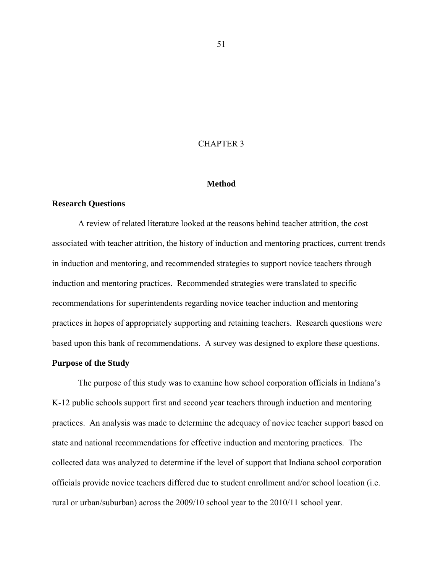# CHAPTER 3

### **Method**

### **Research Questions**

A review of related literature looked at the reasons behind teacher attrition, the cost associated with teacher attrition, the history of induction and mentoring practices, current trends in induction and mentoring, and recommended strategies to support novice teachers through induction and mentoring practices. Recommended strategies were translated to specific recommendations for superintendents regarding novice teacher induction and mentoring practices in hopes of appropriately supporting and retaining teachers. Research questions were based upon this bank of recommendations. A survey was designed to explore these questions.

# **Purpose of the Study**

The purpose of this study was to examine how school corporation officials in Indiana's K-12 public schools support first and second year teachers through induction and mentoring practices. An analysis was made to determine the adequacy of novice teacher support based on state and national recommendations for effective induction and mentoring practices. The collected data was analyzed to determine if the level of support that Indiana school corporation officials provide novice teachers differed due to student enrollment and/or school location (i.e. rural or urban/suburban) across the 2009/10 school year to the 2010/11 school year.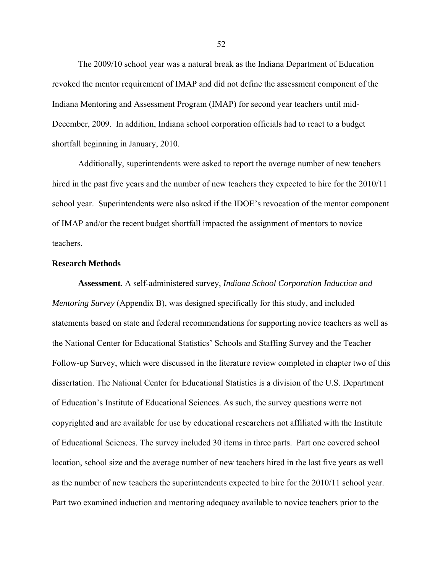The 2009/10 school year was a natural break as the Indiana Department of Education revoked the mentor requirement of IMAP and did not define the assessment component of the Indiana Mentoring and Assessment Program (IMAP) for second year teachers until mid-December, 2009. In addition, Indiana school corporation officials had to react to a budget shortfall beginning in January, 2010.

Additionally, superintendents were asked to report the average number of new teachers hired in the past five years and the number of new teachers they expected to hire for the 2010/11 school year. Superintendents were also asked if the IDOE's revocation of the mentor component of IMAP and/or the recent budget shortfall impacted the assignment of mentors to novice teachers.

# **Research Methods**

**Assessment**. A self-administered survey, *Indiana School Corporation Induction and Mentoring Survey* (Appendix B), was designed specifically for this study, and included statements based on state and federal recommendations for supporting novice teachers as well as the National Center for Educational Statistics' Schools and Staffing Survey and the Teacher Follow-up Survey, which were discussed in the literature review completed in chapter two of this dissertation. The National Center for Educational Statistics is a division of the U.S. Department of Education's Institute of Educational Sciences. As such, the survey questions werre not copyrighted and are available for use by educational researchers not affiliated with the Institute of Educational Sciences. The survey included 30 items in three parts. Part one covered school location, school size and the average number of new teachers hired in the last five years as well as the number of new teachers the superintendents expected to hire for the 2010/11 school year. Part two examined induction and mentoring adequacy available to novice teachers prior to the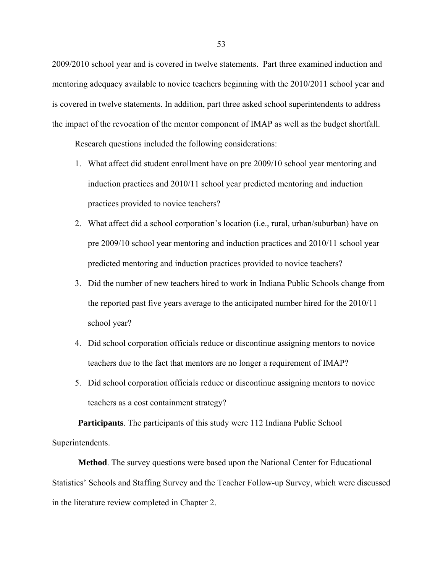2009/2010 school year and is covered in twelve statements. Part three examined induction and mentoring adequacy available to novice teachers beginning with the 2010/2011 school year and is covered in twelve statements. In addition, part three asked school superintendents to address the impact of the revocation of the mentor component of IMAP as well as the budget shortfall.

Research questions included the following considerations:

- 1. What affect did student enrollment have on pre 2009/10 school year mentoring and induction practices and 2010/11 school year predicted mentoring and induction practices provided to novice teachers?
- 2. What affect did a school corporation's location (i.e., rural, urban/suburban) have on pre 2009/10 school year mentoring and induction practices and 2010/11 school year predicted mentoring and induction practices provided to novice teachers?
- 3. Did the number of new teachers hired to work in Indiana Public Schools change from the reported past five years average to the anticipated number hired for the 2010/11 school year?
- 4. Did school corporation officials reduce or discontinue assigning mentors to novice teachers due to the fact that mentors are no longer a requirement of IMAP?
- 5. Did school corporation officials reduce or discontinue assigning mentors to novice teachers as a cost containment strategy?

**Participants**. The participants of this study were 112 Indiana Public School Superintendents.

**Method**. The survey questions were based upon the National Center for Educational Statistics' Schools and Staffing Survey and the Teacher Follow-up Survey, which were discussed in the literature review completed in Chapter 2.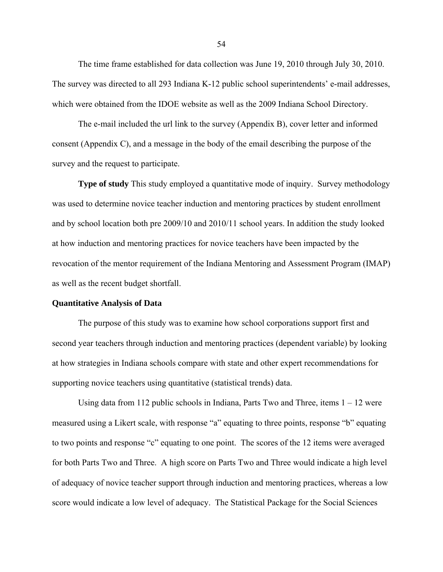The time frame established for data collection was June 19, 2010 through July 30, 2010. The survey was directed to all 293 Indiana K-12 public school superintendents' e-mail addresses, which were obtained from the IDOE website as well as the 2009 Indiana School Directory.

The e-mail included the url link to the survey (Appendix B), cover letter and informed consent (Appendix C), and a message in the body of the email describing the purpose of the survey and the request to participate.

**Type of study** This study employed a quantitative mode of inquiry. Survey methodology was used to determine novice teacher induction and mentoring practices by student enrollment and by school location both pre 2009/10 and 2010/11 school years. In addition the study looked at how induction and mentoring practices for novice teachers have been impacted by the revocation of the mentor requirement of the Indiana Mentoring and Assessment Program (IMAP) as well as the recent budget shortfall.

#### **Quantitative Analysis of Data**

The purpose of this study was to examine how school corporations support first and second year teachers through induction and mentoring practices (dependent variable) by looking at how strategies in Indiana schools compare with state and other expert recommendations for supporting novice teachers using quantitative (statistical trends) data.

Using data from 112 public schools in Indiana, Parts Two and Three, items  $1 - 12$  were measured using a Likert scale, with response "a" equating to three points, response "b" equating to two points and response "c" equating to one point. The scores of the 12 items were averaged for both Parts Two and Three. A high score on Parts Two and Three would indicate a high level of adequacy of novice teacher support through induction and mentoring practices, whereas a low score would indicate a low level of adequacy. The Statistical Package for the Social Sciences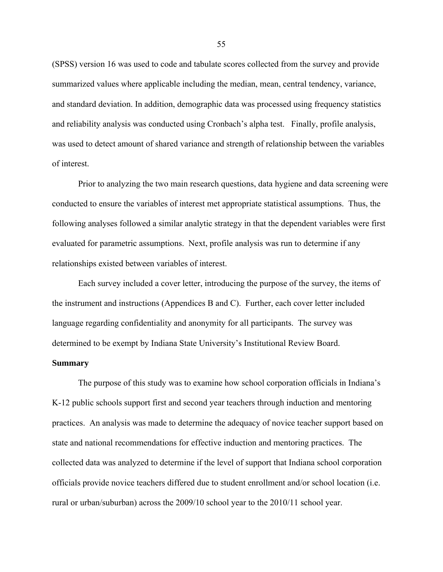(SPSS) version 16 was used to code and tabulate scores collected from the survey and provide summarized values where applicable including the median, mean, central tendency, variance, and standard deviation. In addition, demographic data was processed using frequency statistics and reliability analysis was conducted using Cronbach's alpha test. Finally, profile analysis, was used to detect amount of shared variance and strength of relationship between the variables of interest.

Prior to analyzing the two main research questions, data hygiene and data screening were conducted to ensure the variables of interest met appropriate statistical assumptions. Thus, the following analyses followed a similar analytic strategy in that the dependent variables were first evaluated for parametric assumptions. Next, profile analysis was run to determine if any relationships existed between variables of interest.

Each survey included a cover letter, introducing the purpose of the survey, the items of the instrument and instructions (Appendices B and C). Further, each cover letter included language regarding confidentiality and anonymity for all participants. The survey was determined to be exempt by Indiana State University's Institutional Review Board.

#### **Summary**

The purpose of this study was to examine how school corporation officials in Indiana's K-12 public schools support first and second year teachers through induction and mentoring practices. An analysis was made to determine the adequacy of novice teacher support based on state and national recommendations for effective induction and mentoring practices. The collected data was analyzed to determine if the level of support that Indiana school corporation officials provide novice teachers differed due to student enrollment and/or school location (i.e. rural or urban/suburban) across the 2009/10 school year to the 2010/11 school year.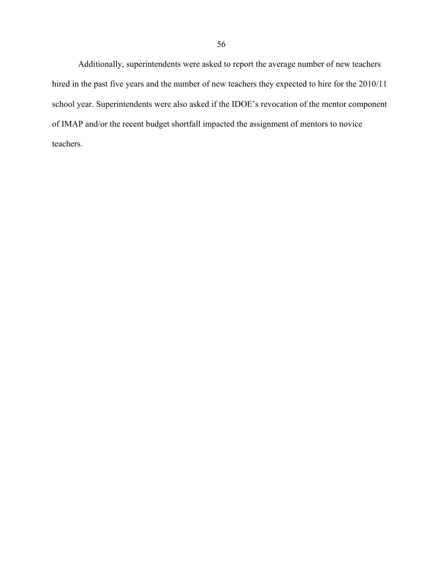Additionally, superintendents were asked to report the average number of new teachers hired in the past five years and the number of new teachers they expected to hire for the 2010/11 school year. Superintendents were also asked if the IDOE's revocation of the mentor component of IMAP and/or the recent budget shortfall impacted the assignment of mentors to novice teachers.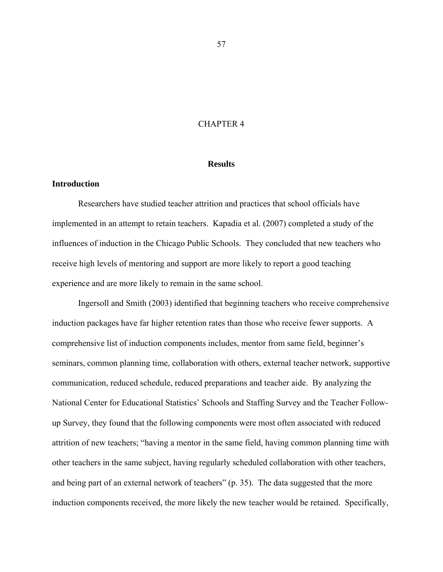# CHAPTER 4

#### **Results**

### **Introduction**

Researchers have studied teacher attrition and practices that school officials have implemented in an attempt to retain teachers. Kapadia et al. (2007) completed a study of the influences of induction in the Chicago Public Schools. They concluded that new teachers who receive high levels of mentoring and support are more likely to report a good teaching experience and are more likely to remain in the same school.

Ingersoll and Smith (2003) identified that beginning teachers who receive comprehensive induction packages have far higher retention rates than those who receive fewer supports. A comprehensive list of induction components includes, mentor from same field, beginner's seminars, common planning time, collaboration with others, external teacher network, supportive communication, reduced schedule, reduced preparations and teacher aide. By analyzing the National Center for Educational Statistics' Schools and Staffing Survey and the Teacher Followup Survey, they found that the following components were most often associated with reduced attrition of new teachers; "having a mentor in the same field, having common planning time with other teachers in the same subject, having regularly scheduled collaboration with other teachers, and being part of an external network of teachers" (p. 35). The data suggested that the more induction components received, the more likely the new teacher would be retained. Specifically,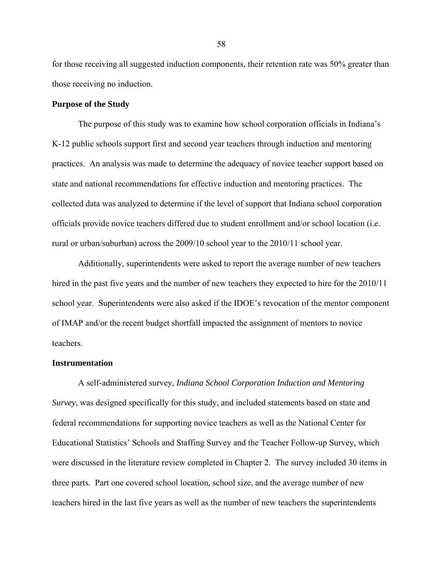for those receiving all suggested induction components, their retention rate was 50% greater than those receiving no induction.

#### **Purpose of the Study**

The purpose of this study was to examine how school corporation officials in Indiana's K-12 public schools support first and second year teachers through induction and mentoring practices. An analysis was made to determine the adequacy of novice teacher support based on state and national recommendations for effective induction and mentoring practices. The collected data was analyzed to determine if the level of support that Indiana school corporation officials provide novice teachers differed due to student enrollment and/or school location (i.e. rural or urban/suburban) across the 2009/10 school year to the 2010/11 school year.

Additionally, superintendents were asked to report the average number of new teachers hired in the past five years and the number of new teachers they expected to hire for the 2010/11 school year. Superintendents were also asked if the IDOE's revocation of the mentor component of IMAP and/or the recent budget shortfall impacted the assignment of mentors to novice teachers.

#### **Instrumentation**

A self-administered survey, *Indiana School Corporation Induction and Mentoring Survey*, was designed specifically for this study, and included statements based on state and federal recommendations for supporting novice teachers as well as the National Center for Educational Statistics' Schools and Staffing Survey and the Teacher Follow-up Survey, which were discussed in the literature review completed in Chapter 2. The survey included 30 items in three parts. Part one covered school location, school size, and the average number of new teachers hired in the last five years as well as the number of new teachers the superintendents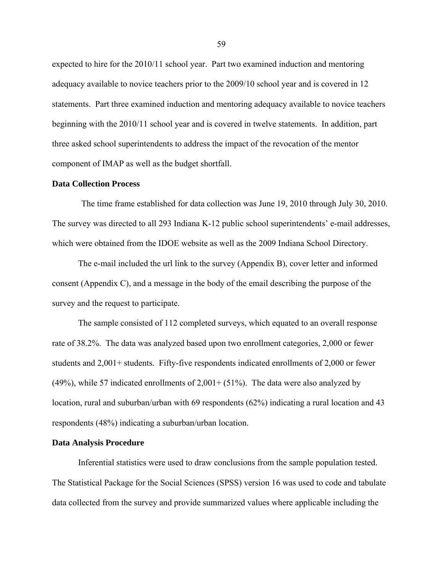expected to hire for the 2010/11 school year. Part two examined induction and mentoring adequacy available to novice teachers prior to the 2009/10 school year and is covered in 12 statements. Part three examined induction and mentoring adequacy available to novice teachers beginning with the 2010/11 school year and is covered in twelve statements. In addition, part three asked school superintendents to address the impact of the revocation of the mentor component of IMAP as well as the budget shortfall.

#### **Data Collection Process**

 The time frame established for data collection was June 19, 2010 through July 30, 2010. The survey was directed to all 293 Indiana K-12 public school superintendents' e-mail addresses, which were obtained from the IDOE website as well as the 2009 Indiana School Directory.

The e-mail included the url link to the survey (Appendix B), cover letter and informed consent (Appendix C), and a message in the body of the email describing the purpose of the survey and the request to participate.

The sample consisted of 112 completed surveys, which equated to an overall response rate of 38.2%. The data was analyzed based upon two enrollment categories, 2,000 or fewer students and 2,001+ students. Fifty-five respondents indicated enrollments of 2,000 or fewer (49%), while 57 indicated enrollments of  $2,001+ (51%)$ . The data were also analyzed by location, rural and suburban/urban with 69 respondents (62%) indicating a rural location and 43 respondents (48%) indicating a suburban/urban location.

#### **Data Analysis Procedure**

Inferential statistics were used to draw conclusions from the sample population tested. The Statistical Package for the Social Sciences (SPSS) version 16 was used to code and tabulate data collected from the survey and provide summarized values where applicable including the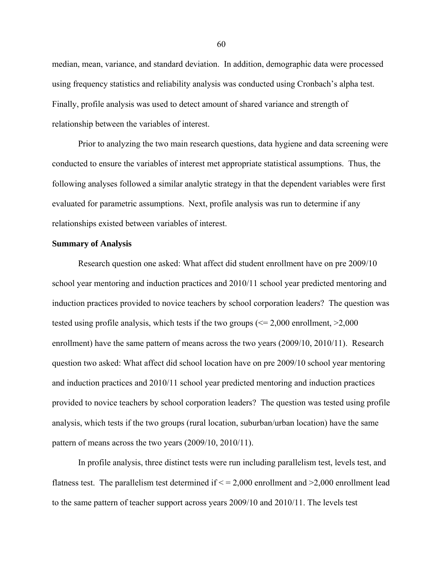median, mean, variance, and standard deviation. In addition, demographic data were processed using frequency statistics and reliability analysis was conducted using Cronbach's alpha test. Finally, profile analysis was used to detect amount of shared variance and strength of relationship between the variables of interest.

Prior to analyzing the two main research questions, data hygiene and data screening were conducted to ensure the variables of interest met appropriate statistical assumptions. Thus, the following analyses followed a similar analytic strategy in that the dependent variables were first evaluated for parametric assumptions. Next, profile analysis was run to determine if any relationships existed between variables of interest.

### **Summary of Analysis**

Research question one asked: What affect did student enrollment have on pre 2009/10 school year mentoring and induction practices and 2010/11 school year predicted mentoring and induction practices provided to novice teachers by school corporation leaders? The question was tested using profile analysis, which tests if the two groups  $\ll 2,000$  enrollment,  $\geq 2,000$ enrollment) have the same pattern of means across the two years (2009/10, 2010/11). Research question two asked: What affect did school location have on pre 2009/10 school year mentoring and induction practices and 2010/11 school year predicted mentoring and induction practices provided to novice teachers by school corporation leaders? The question was tested using profile analysis, which tests if the two groups (rural location, suburban/urban location) have the same pattern of means across the two years (2009/10, 2010/11).

In profile analysis, three distinct tests were run including parallelism test, levels test, and flatness test. The parallelism test determined if  $\leq$  = 2,000 enrollment and >2,000 enrollment lead to the same pattern of teacher support across years 2009/10 and 2010/11. The levels test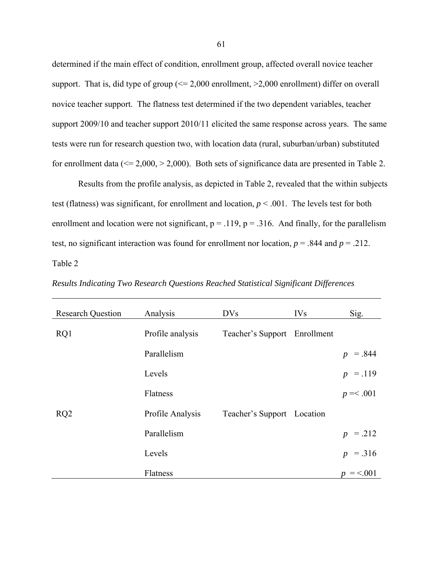determined if the main effect of condition, enrollment group, affected overall novice teacher support. That is, did type of group  $\ll 2,000$  enrollment,  $\geq 2,000$  enrollment) differ on overall novice teacher support. The flatness test determined if the two dependent variables, teacher support 2009/10 and teacher support 2010/11 elicited the same response across years. The same tests were run for research question two, with location data (rural, suburban/urban) substituted for enrollment data ( $\leq 2,000, > 2,000$ ). Both sets of significance data are presented in Table 2.

Results from the profile analysis, as depicted in Table 2, revealed that the within subjects test (flatness) was significant, for enrollment and location,  $p < .001$ . The levels test for both enrollment and location were not significant,  $p = .119$ ,  $p = .316$ . And finally, for the parallelism test, no significant interaction was found for enrollment nor location,  $p = .844$  and  $p = .212$ . Table 2

| <b>Research Question</b> | Analysis         | <b>DVs</b>                   | <b>IVs</b> | Sig.                         |
|--------------------------|------------------|------------------------------|------------|------------------------------|
| RQ1                      | Profile analysis | Teacher's Support Enrollment |            |                              |
|                          | Parallelism      |                              |            | $=.844$<br>$\boldsymbol{p}$  |
|                          | Levels           |                              |            | $= .119$<br>$\boldsymbol{p}$ |
|                          | Flatness         |                              |            | $p = 0.001$                  |
| RQ2                      | Profile Analysis | Teacher's Support Location   |            |                              |
|                          | Parallelism      |                              |            | $p = .212$                   |
|                          | Levels           |                              |            | $p = .316$                   |
|                          | Flatness         |                              |            | $=$ <.001<br>p.              |

*Results Indicating Two Research Questions Reached Statistical Significant Differences*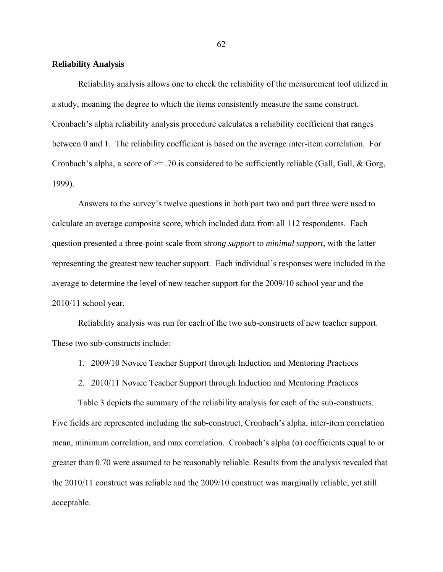#### **Reliability Analysis**

Reliability analysis allows one to check the reliability of the measurement tool utilized in a study, meaning the degree to which the items consistently measure the same construct. Cronbach's alpha reliability analysis procedure calculates a reliability coefficient that ranges between 0 and 1. The reliability coefficient is based on the average inter-item correlation. For Cronbach's alpha, a score of  $\geq$  70 is considered to be sufficiently reliable (Gall, Gall, & Gorg, 1999).

Answers to the survey's twelve questions in both part two and part three were used to calculate an average composite score, which included data from all 112 respondents. Each question presented a three-point scale from *strong support* to *minimal support*, with the latter representing the greatest new teacher support. Each individual's responses were included in the average to determine the level of new teacher support for the 2009/10 school year and the 2010/11 school year.

Reliability analysis was run for each of the two sub-constructs of new teacher support. These two sub-constructs include:

- 1. 2009/10 Novice Teacher Support through Induction and Mentoring Practices
- 2. 2010/11 Novice Teacher Support through Induction and Mentoring Practices

Table 3 depicts the summary of the reliability analysis for each of the sub-constructs. Five fields are represented including the sub-construct, Cronbach's alpha, inter-item correlation mean, minimum correlation, and max correlation. Cronbach's alpha  $(\alpha)$  coefficients equal to or greater than 0.70 were assumed to be reasonably reliable. Results from the analysis revealed that the 2010/11 construct was reliable and the 2009/10 construct was marginally reliable, yet still acceptable.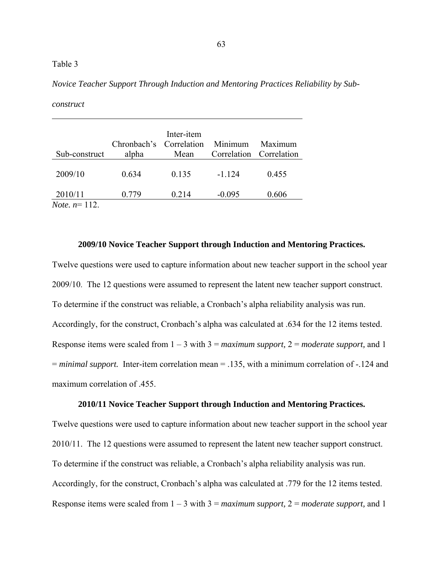## Table 3

*construct* 

| Sub-construct                       | Chronbach's Correlation<br>alpha | Inter-item<br>Mean | Minimum  | Maximum<br>Correlation Correlation |
|-------------------------------------|----------------------------------|--------------------|----------|------------------------------------|
| 2009/10                             | 0.634                            | 0.135              | $-1.124$ | 0.455                              |
| 2010/11<br><i>Note.</i> $n = 112$ . | 0.779                            | 0.214              | $-0.095$ | 0.606                              |

*Novice Teacher Support Through Induction and Mentoring Practices Reliability by Sub-*

#### **2009/10 Novice Teacher Support through Induction and Mentoring Practices.**

Twelve questions were used to capture information about new teacher support in the school year 2009/10. The 12 questions were assumed to represent the latent new teacher support construct. To determine if the construct was reliable, a Cronbach's alpha reliability analysis was run. Accordingly, for the construct, Cronbach's alpha was calculated at .634 for the 12 items tested. Response items were scaled from 1 – 3 with 3 = *maximum support,* 2 = *moderate support,* and 1 = *minimal support.* Inter-item correlation mean = .135, with a minimum correlation of -.124 and maximum correlation of .455.

#### **2010/11 Novice Teacher Support through Induction and Mentoring Practices.**

Twelve questions were used to capture information about new teacher support in the school year 2010/11. The 12 questions were assumed to represent the latent new teacher support construct. To determine if the construct was reliable, a Cronbach's alpha reliability analysis was run. Accordingly, for the construct, Cronbach's alpha was calculated at .779 for the 12 items tested. Response items were scaled from 1 – 3 with 3 = *maximum support,* 2 = *moderate support,* and 1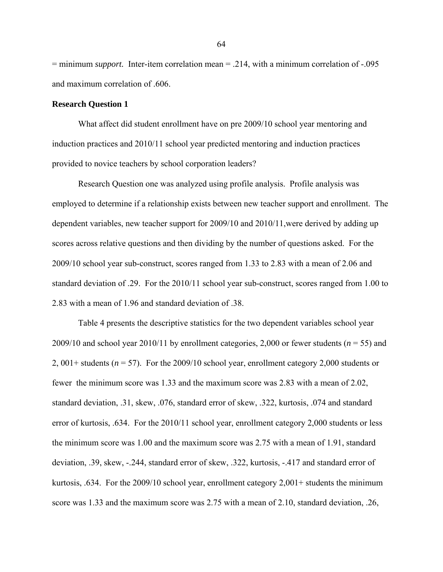= minimum *support.* Inter-item correlation mean = .214, with a minimum correlation of -.095 and maximum correlation of .606.

### **Research Question 1**

What affect did student enrollment have on pre 2009/10 school year mentoring and induction practices and 2010/11 school year predicted mentoring and induction practices provided to novice teachers by school corporation leaders?

Research Question one was analyzed using profile analysis. Profile analysis was employed to determine if a relationship exists between new teacher support and enrollment. The dependent variables, new teacher support for 2009/10 and 2010/11,were derived by adding up scores across relative questions and then dividing by the number of questions asked. For the 2009/10 school year sub-construct, scores ranged from 1.33 to 2.83 with a mean of 2.06 and standard deviation of .29. For the 2010/11 school year sub-construct, scores ranged from 1.00 to 2.83 with a mean of 1.96 and standard deviation of .38.

Table 4 presents the descriptive statistics for the two dependent variables school year 2009/10 and school year 2010/11 by enrollment categories, 2,000 or fewer students ( $n = 55$ ) and 2, 001+ students (*n* = 57). For the 2009/10 school year, enrollment category 2,000 students or fewer the minimum score was 1.33 and the maximum score was 2.83 with a mean of 2.02, standard deviation, .31, skew, .076, standard error of skew, .322, kurtosis, .074 and standard error of kurtosis, .634. For the 2010/11 school year, enrollment category 2,000 students or less the minimum score was 1.00 and the maximum score was 2.75 with a mean of 1.91, standard deviation, .39, skew, -.244, standard error of skew, .322, kurtosis, -.417 and standard error of kurtosis, .634. For the 2009/10 school year, enrollment category 2,001+ students the minimum score was 1.33 and the maximum score was 2.75 with a mean of 2.10, standard deviation, .26,

64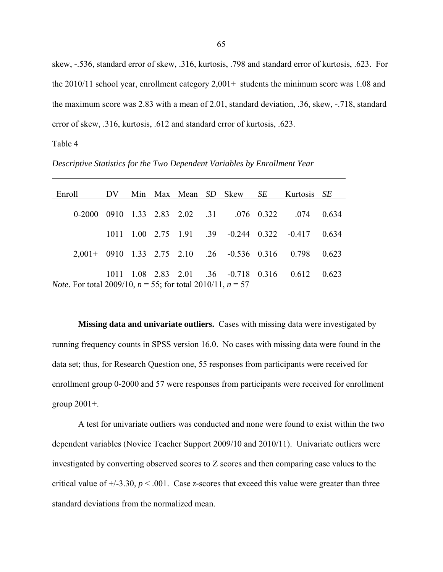skew, -.536, standard error of skew, .316, kurtosis, .798 and standard error of kurtosis, .623. For the  $2010/11$  school year, enrollment category  $2,001+$  students the minimum score was 1.08 and the maximum score was 2.83 with a mean of 2.01, standard deviation, .36, skew, -.718, standard error of skew, .316, kurtosis, .612 and standard error of kurtosis, .623.

Table 4

*Descriptive Statistics for the Two Dependent Variables by Enrollment Year*

| Enroll                                                                 | DV.  |  |  |  |  | Min Max Mean SD Skew                                 | SE | Kurtosis SE |       |
|------------------------------------------------------------------------|------|--|--|--|--|------------------------------------------------------|----|-------------|-------|
|                                                                        |      |  |  |  |  | 0-2000 0910 1.33 2.83 2.02 .31 .076 0.322            |    | 074         | 0.634 |
|                                                                        | 1011 |  |  |  |  | $1.00$ $2.75$ $1.91$ $.39$ $-0.244$ $0.322$ $-0.417$ |    |             | 0.634 |
|                                                                        |      |  |  |  |  | 2,001+ 0910 1.33 2.75 2.10 .26 -0.536 0.316          |    | 0.798       | 0.623 |
|                                                                        |      |  |  |  |  |                                                      |    |             |       |
|                                                                        | 1011 |  |  |  |  | $1.08$ 2.83 2.01 .36 -0.718 0.316                    |    | 0.612       | 0.623 |
| <i>Note.</i> For total 2009/10, $n = 55$ ; for total 2010/11, $n = 57$ |      |  |  |  |  |                                                      |    |             |       |

**Missing data and univariate outliers.** Cases with missing data were investigated by running frequency counts in SPSS version 16.0. No cases with missing data were found in the data set; thus, for Research Question one, 55 responses from participants were received for enrollment group 0-2000 and 57 were responses from participants were received for enrollment group  $2001+$ .

A test for univariate outliers was conducted and none were found to exist within the two dependent variables (Novice Teacher Support 2009/10 and 2010/11). Univariate outliers were investigated by converting observed scores to Z scores and then comparing case values to the critical value of  $+/-3.30$ ,  $p < .001$ . Case *z*-scores that exceed this value were greater than three standard deviations from the normalized mean.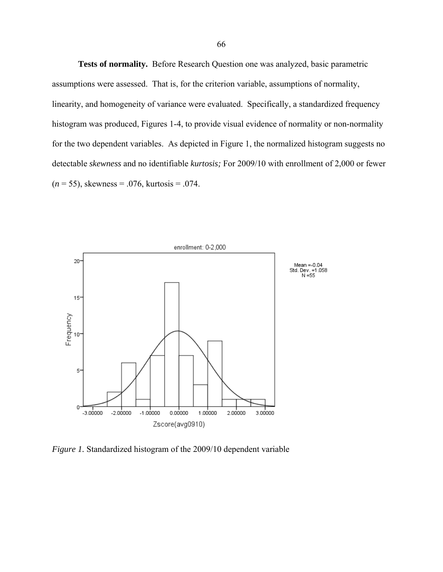**Tests of normality.** Before Research Question one was analyzed, basic parametric assumptions were assessed. That is, for the criterion variable, assumptions of normality, linearity, and homogeneity of variance were evaluated. Specifically, a standardized frequency histogram was produced, Figures 1-4, to provide visual evidence of normality or non-normality for the two dependent variables. As depicted in Figure 1, the normalized histogram suggests no detectable *skewness* and no identifiable *kurtosis;* For 2009/10 with enrollment of 2,000 or fewer (*n* = 55), skewness = .076, kurtosis = .074.



*Figure 1.* Standardized histogram of the 2009/10 dependent variable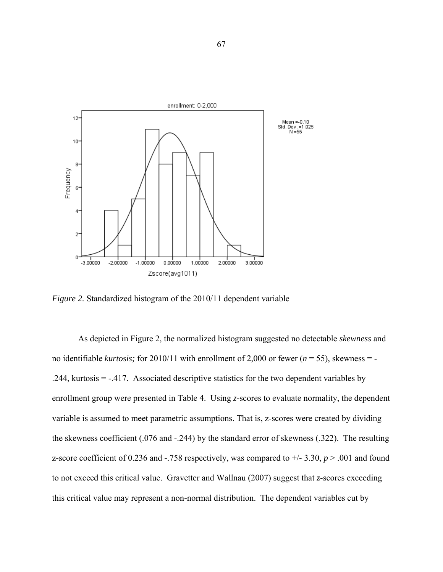

*Figure 2.* Standardized histogram of the 2010/11 dependent variable

As depicted in Figure 2, the normalized histogram suggested no detectable *skewness* and no identifiable *kurtosis;* for 2010/11 with enrollment of 2,000 or fewer (*n* = 55), skewness = - .244, kurtosis = -.417. Associated descriptive statistics for the two dependent variables by enrollment group were presented in Table 4. Using *z*-scores to evaluate normality, the dependent variable is assumed to meet parametric assumptions. That is, z-scores were created by dividing the skewness coefficient (.076 and -.244) by the standard error of skewness (.322). The resulting z-score coefficient of 0.236 and -.758 respectively, was compared to  $+/- 3.30$ ,  $p > .001$  and found to not exceed this critical value. Gravetter and Wallnau (2007) suggest that *z*-scores exceeding this critical value may represent a non-normal distribution. The dependent variables cut by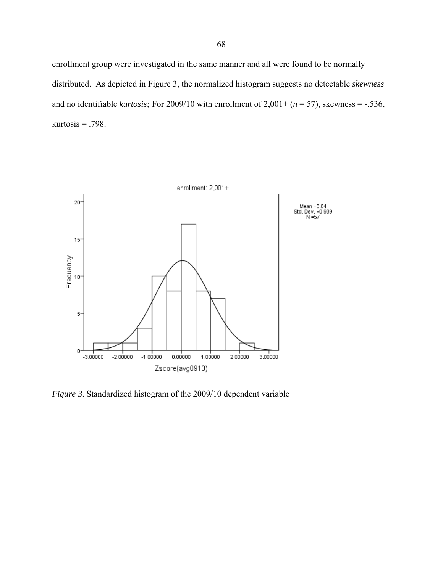enrollment group were investigated in the same manner and all were found to be normally distributed. As depicted in Figure 3, the normalized histogram suggests no detectable *skewness*  and no identifiable *kurtosis*; For 2009/10 with enrollment of  $2,001+(n=57)$ , skewness = -.536, kurtosis  $= .798$ .



*Figure 3*. Standardized histogram of the 2009/10 dependent variable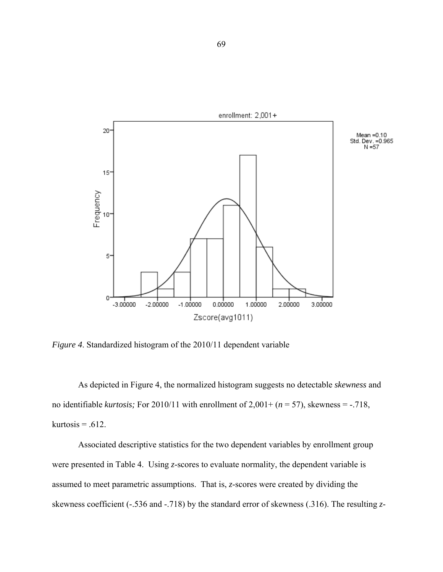

*Figure 4*. Standardized histogram of the 2010/11 dependent variable

As depicted in Figure 4, the normalized histogram suggests no detectable *skewness* and no identifiable *kurtosis*; For 2010/11 with enrollment of  $2,001 + (n = 57)$ , skewness = -.718, kurtosis =  $.612$ .

Associated descriptive statistics for the two dependent variables by enrollment group were presented in Table 4. Using *z*-scores to evaluate normality, the dependent variable is assumed to meet parametric assumptions. That is, *z*-scores were created by dividing the skewness coefficient (-.536 and -.718) by the standard error of skewness (.316). The resulting *z*-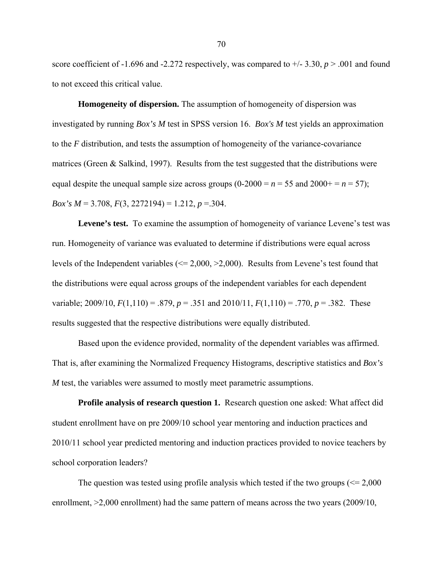score coefficient of -1.696 and -2.272 respectively, was compared to  $\pm$ /-3.30, *p* > .001 and found to not exceed this critical value.

**Homogeneity of dispersion.** The assumption of homogeneity of dispersion was investigated by running *Box's M* test in SPSS version 16. *Box's M* test yields an approximation to the *F* distribution, and tests the assumption of homogeneity of the variance-covariance matrices (Green  $\&$  Salkind, 1997). Results from the test suggested that the distributions were equal despite the unequal sample size across groups  $(0-2000 = n = 55$  and  $2000 + n = 57)$ ; *Box's M* = 3.708, *F*(3, 2272194) = 1.212, *p* = 304.

Levene's test. To examine the assumption of homogeneity of variance Levene's test was run. Homogeneity of variance was evaluated to determine if distributions were equal across levels of the Independent variables (<= 2,000, >2,000). Results from Levene's test found that the distributions were equal across groups of the independent variables for each dependent variable; 2009/10,  $F(1,110) = .879$ ,  $p = .351$  and 2010/11,  $F(1,110) = .770$ ,  $p = .382$ . These results suggested that the respective distributions were equally distributed.

Based upon the evidence provided, normality of the dependent variables was affirmed. That is, after examining the Normalized Frequency Histograms, descriptive statistics and *Box's M* test, the variables were assumed to mostly meet parametric assumptions.

**Profile analysis of research question 1.** Research question one asked: What affect did student enrollment have on pre 2009/10 school year mentoring and induction practices and 2010/11 school year predicted mentoring and induction practices provided to novice teachers by school corporation leaders?

The question was tested using profile analysis which tested if the two groups  $\ll 2,000$ enrollment, >2,000 enrollment) had the same pattern of means across the two years (2009/10,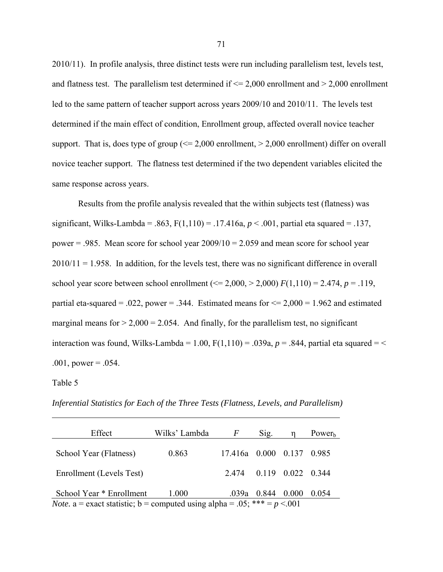2010/11). In profile analysis, three distinct tests were run including parallelism test, levels test, and flatness test. The parallelism test determined if  $\leq$  2,000 enrollment and  $>$  2,000 enrollment led to the same pattern of teacher support across years 2009/10 and 2010/11. The levels test determined if the main effect of condition, Enrollment group, affected overall novice teacher support. That is, does type of group  $\ll 2,000$  enrollment,  $> 2,000$  enrollment) differ on overall novice teacher support. The flatness test determined if the two dependent variables elicited the same response across years.

Results from the profile analysis revealed that the within subjects test (flatness) was significant, Wilks-Lambda = .863, F(1,110) = .17.416a, *p* < .001, partial eta squared = .137, power  $= .985$ . Mean score for school year  $2009/10 = 2.059$  and mean score for school year  $2010/11 = 1.958$ . In addition, for the levels test, there was no significant difference in overall school year score between school enrollment ( $\leq$  2,000,  $>$  2,000) *F*(1,110) = 2.474, *p* = .119, partial eta-squared = .022, power = .344. Estimated means for  $\leq$  2,000 = 1.962 and estimated marginal means for  $> 2,000 = 2.054$ . And finally, for the parallelism test, no significant interaction was found, Wilks-Lambda = 1.00,  $F(1,110) = .039a$ ,  $p = .844$ , partial eta squared = <  $.001$ , power =  $.054$ .

Table 5

*Inferential Statistics for Each of the Three Tests (Flatness, Levels, and Parallelism)*

| Effect                                                                             | Wilks' Lambda | F                         | Sig.          |                         | Power <sub>h</sub> |  |
|------------------------------------------------------------------------------------|---------------|---------------------------|---------------|-------------------------|--------------------|--|
| School Year (Flatness)                                                             | 0.863         | 17.416a 0.000 0.137 0.985 |               |                         |                    |  |
| Enrollment (Levels Test)                                                           |               | 2.474                     |               | $0.119$ $0.022$ $0.344$ |                    |  |
| School Year * Enrollment                                                           | 1.000         |                           | $.039a$ 0.844 | 0.000                   | 0.054              |  |
| <i>Note</i> . a = exact statistic; b = computed using alpha = .05; *** = $p < 001$ |               |                           |               |                         |                    |  |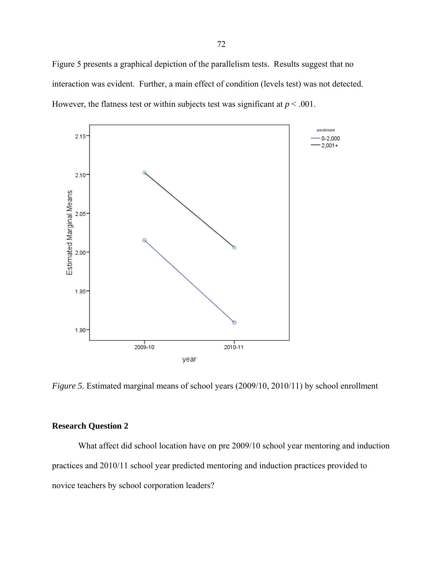Figure 5 presents a graphical depiction of the parallelism tests. Results suggest that no interaction was evident. Further, a main effect of condition (levels test) was not detected. However, the flatness test or within subjects test was significant at  $p < .001$ .



*Figure 5.* Estimated marginal means of school years (2009/10, 2010/11) by school enrollment

# **Research Question 2**

What affect did school location have on pre 2009/10 school year mentoring and induction practices and 2010/11 school year predicted mentoring and induction practices provided to novice teachers by school corporation leaders?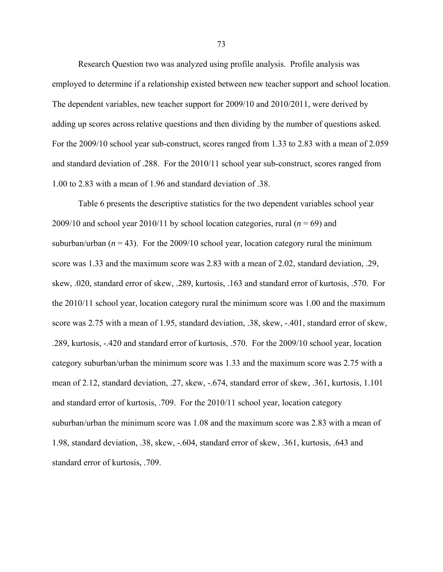Research Question two was analyzed using profile analysis. Profile analysis was employed to determine if a relationship existed between new teacher support and school location. The dependent variables, new teacher support for 2009/10 and 2010/2011, were derived by adding up scores across relative questions and then dividing by the number of questions asked. For the 2009/10 school year sub-construct, scores ranged from 1.33 to 2.83 with a mean of 2.059 and standard deviation of .288. For the 2010/11 school year sub-construct, scores ranged from 1.00 to 2.83 with a mean of 1.96 and standard deviation of .38.

Table 6 presents the descriptive statistics for the two dependent variables school year 2009/10 and school year 2010/11 by school location categories, rural  $(n = 69)$  and suburban/urban  $(n = 43)$ . For the 2009/10 school year, location category rural the minimum score was 1.33 and the maximum score was 2.83 with a mean of 2.02, standard deviation, .29, skew, .020, standard error of skew, .289, kurtosis, .163 and standard error of kurtosis, .570. For the 2010/11 school year, location category rural the minimum score was 1.00 and the maximum score was 2.75 with a mean of 1.95, standard deviation, .38, skew, -.401, standard error of skew, .289, kurtosis, -.420 and standard error of kurtosis, .570. For the 2009/10 school year, location category suburban/urban the minimum score was 1.33 and the maximum score was 2.75 with a mean of 2.12, standard deviation, .27, skew, -.674, standard error of skew, .361, kurtosis, 1.101 and standard error of kurtosis, .709. For the 2010/11 school year, location category suburban/urban the minimum score was 1.08 and the maximum score was 2.83 with a mean of 1.98, standard deviation, .38, skew, -.604, standard error of skew, .361, kurtosis, .643 and standard error of kurtosis, .709.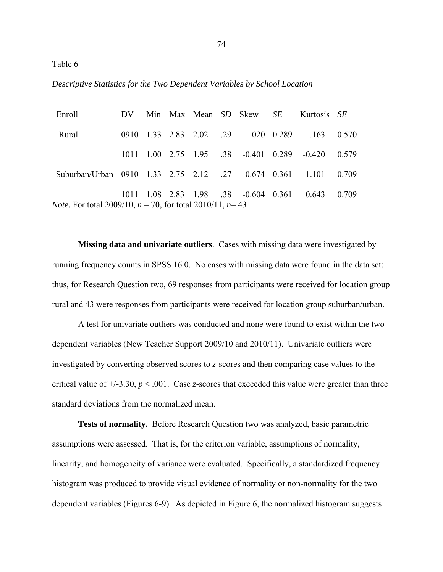|  |  |  |  |  |  |  | Descriptive Statistics for the Two Dependent Variables by School Location |  |  |  |
|--|--|--|--|--|--|--|---------------------------------------------------------------------------|--|--|--|
|--|--|--|--|--|--|--|---------------------------------------------------------------------------|--|--|--|

| Enroll                                                                 | DV.  |  |  |                        |  | Min Max Mean SD Skew SE |       | Kurtosis SE |       |
|------------------------------------------------------------------------|------|--|--|------------------------|--|-------------------------|-------|-------------|-------|
| Rural                                                                  | 0910 |  |  | 1.33 2.83 2.02 .29     |  | .020                    | 0.289 | .163        | 0.570 |
|                                                                        |      |  |  |                        |  |                         |       |             |       |
|                                                                        | 1011 |  |  | $1.00$ 2.75 $1.95$ .38 |  | $-0.401$ 0.289          |       | $-0.420$    | 0.579 |
| Suburban/Urban 0910 1.33 2.75 2.12 .27                                 |      |  |  |                        |  | $-0.674$ 0.361          |       | 1 1 0 1     | 0.709 |
|                                                                        | 1011 |  |  | 1.08 2.83 1.98 .38     |  | -0.604                  | 0.361 | 0.643       | 0.709 |
| <i>Note.</i> For total 2009/10, $n = 70$ , for total 2010/11, $n = 43$ |      |  |  |                        |  |                         |       |             |       |

**Missing data and univariate outliers**. Cases with missing data were investigated by running frequency counts in SPSS 16.0. No cases with missing data were found in the data set; thus, for Research Question two, 69 responses from participants were received for location group rural and 43 were responses from participants were received for location group suburban/urban.

A test for univariate outliers was conducted and none were found to exist within the two dependent variables (New Teacher Support 2009/10 and 2010/11). Univariate outliers were investigated by converting observed scores to *z*-scores and then comparing case values to the critical value of  $+/-3.30$ ,  $p < .001$ . Case *z*-scores that exceeded this value were greater than three standard deviations from the normalized mean.

**Tests of normality.** Before Research Question two was analyzed, basic parametric assumptions were assessed. That is, for the criterion variable, assumptions of normality, linearity, and homogeneity of variance were evaluated. Specifically, a standardized frequency histogram was produced to provide visual evidence of normality or non-normality for the two dependent variables (Figures 6-9). As depicted in Figure 6, the normalized histogram suggests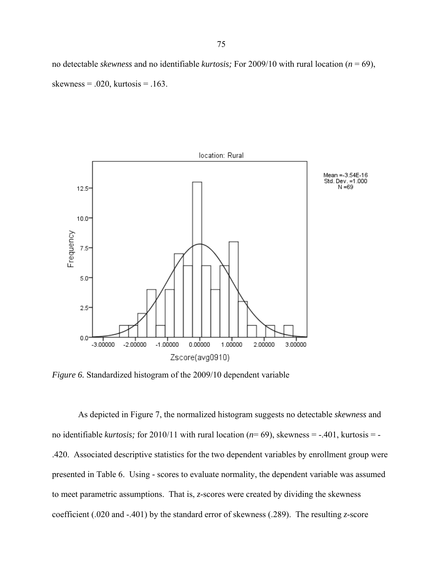no detectable *skewness* and no identifiable *kurtosis;* For 2009/10 with rural location (*n* = 69), skewness =  $.020$ , kurtosis =  $.163$ .



*Figure 6.* Standardized histogram of the 2009/10 dependent variable

As depicted in Figure 7, the normalized histogram suggests no detectable *skewness* and no identifiable *kurtosis;* for 2010/11 with rural location (*n*= 69), skewness = -.401, kurtosis = - .420. Associated descriptive statistics for the two dependent variables by enrollment group were presented in Table 6. Using *-* scores to evaluate normality, the dependent variable was assumed to meet parametric assumptions. That is, *z*-scores were created by dividing the skewness coefficient (.020 and -.401) by the standard error of skewness (.289). The resulting *z*-score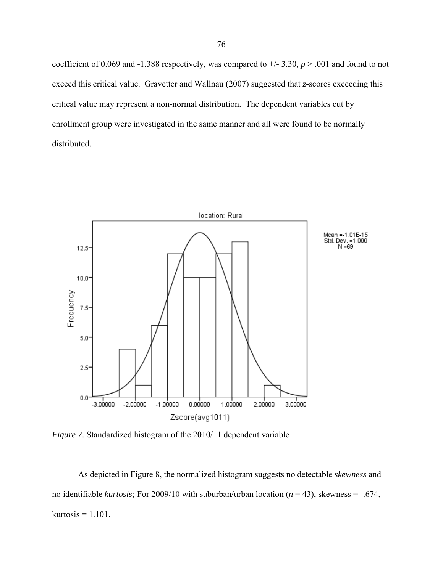coefficient of 0.069 and -1.388 respectively, was compared to  $\pm$ /-3.30, *p* > .001 and found to not exceed this critical value. Gravetter and Wallnau (2007) suggested that *z-*scores exceeding this critical value may represent a non-normal distribution. The dependent variables cut by enrollment group were investigated in the same manner and all were found to be normally distributed.



*Figure 7.* Standardized histogram of the 2010/11 dependent variable

As depicted in Figure 8, the normalized histogram suggests no detectable *skewness* and no identifiable *kurtosis;* For 2009/10 with suburban/urban location (*n* = 43), skewness = -.674, kurtosis  $= 1.101$ .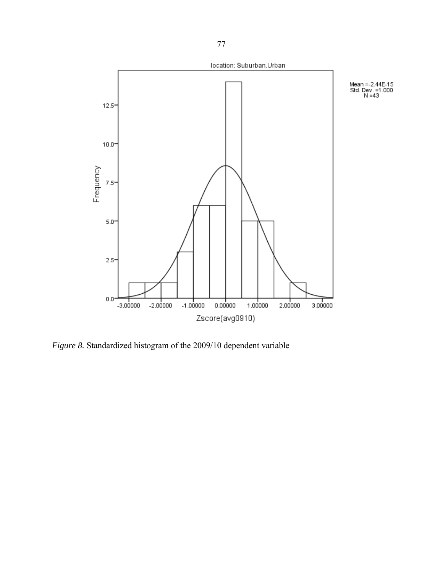

*Figure 8.* Standardized histogram of the 2009/10 dependent variable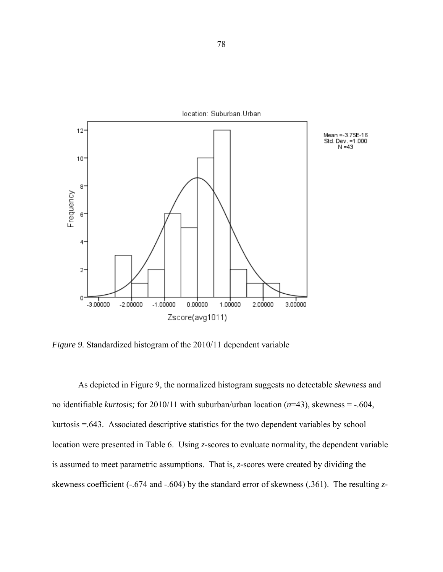

*Figure 9.* Standardized histogram of the 2010/11 dependent variable

As depicted in Figure 9, the normalized histogram suggests no detectable *skewness* and no identifiable *kurtosis;* for 2010/11 with suburban/urban location (*n*=43), skewness = -.604, kurtosis =.643. Associated descriptive statistics for the two dependent variables by school location were presented in Table 6. Using *z-*scores to evaluate normality, the dependent variable is assumed to meet parametric assumptions. That is, *z-*scores were created by dividing the skewness coefficient (-.674 and -.604) by the standard error of skewness (.361). The resulting *z-*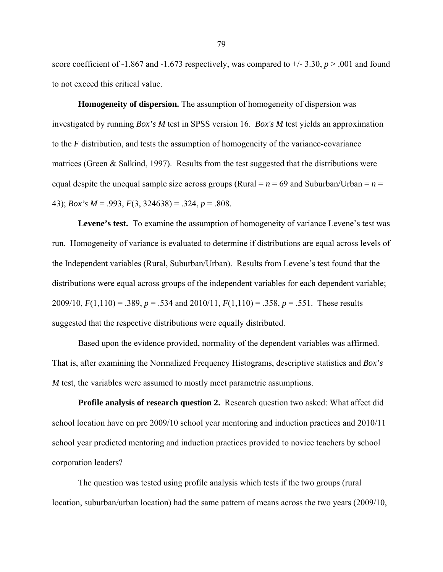score coefficient of -1.867 and -1.673 respectively, was compared to  $\pm$  -1.3.30, *p* > .001 and found to not exceed this critical value.

**Homogeneity of dispersion.** The assumption of homogeneity of dispersion was investigated by running *Box's M* test in SPSS version 16. *Box's M* test yields an approximation to the *F* distribution, and tests the assumption of homogeneity of the variance-covariance matrices (Green  $\&$  Salkind, 1997). Results from the test suggested that the distributions were equal despite the unequal sample size across groups (Rural  $= n = 69$  and Suburban/Urban  $= n =$ 43); *Box's M* = .993, *F*(3, 324638) = .324, *p* = .808.

Levene's test. To examine the assumption of homogeneity of variance Levene's test was run. Homogeneity of variance is evaluated to determine if distributions are equal across levels of the Independent variables (Rural, Suburban/Urban). Results from Levene's test found that the distributions were equal across groups of the independent variables for each dependent variable; 2009/10, *F*(1,110) = .389, *p* = .534 and 2010/11, *F*(1,110) = .358, *p* = .551. These results suggested that the respective distributions were equally distributed.

Based upon the evidence provided, normality of the dependent variables was affirmed. That is, after examining the Normalized Frequency Histograms, descriptive statistics and *Box's M* test, the variables were assumed to mostly meet parametric assumptions.

**Profile analysis of research question 2.** Research question two asked: What affect did school location have on pre 2009/10 school year mentoring and induction practices and 2010/11 school year predicted mentoring and induction practices provided to novice teachers by school corporation leaders?

The question was tested using profile analysis which tests if the two groups (rural location, suburban/urban location) had the same pattern of means across the two years (2009/10,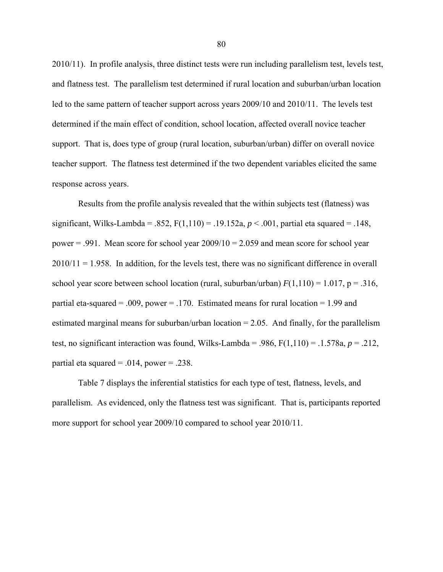2010/11). In profile analysis, three distinct tests were run including parallelism test, levels test, and flatness test. The parallelism test determined if rural location and suburban/urban location led to the same pattern of teacher support across years 2009/10 and 2010/11. The levels test determined if the main effect of condition, school location, affected overall novice teacher support. That is, does type of group (rural location, suburban/urban) differ on overall novice teacher support. The flatness test determined if the two dependent variables elicited the same response across years.

Results from the profile analysis revealed that the within subjects test (flatness) was significant, Wilks-Lambda = .852,  $F(1,110) = .19.152a$ ,  $p < .001$ , partial eta squared = .148, power  $= .991$ . Mean score for school year  $2009/10 = 2.059$  and mean score for school year  $2010/11 = 1.958$ . In addition, for the levels test, there was no significant difference in overall school year score between school location (rural, suburban/urban)  $F(1,110) = 1.017$ ,  $p = .316$ , partial eta-squared = .009, power = .170. Estimated means for rural location = 1.99 and estimated marginal means for suburban/urban location  $= 2.05$ . And finally, for the parallelism test, no significant interaction was found, Wilks-Lambda = .986,  $F(1,110) = .1.578a$ ,  $p = .212$ , partial eta squared  $= .014$ , power  $= .238$ .

Table 7 displays the inferential statistics for each type of test, flatness, levels, and parallelism. As evidenced, only the flatness test was significant. That is, participants reported more support for school year 2009/10 compared to school year 2010/11.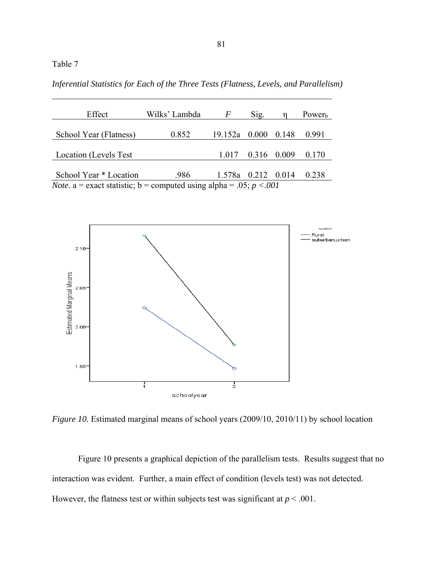Table 7

*Inferential Statistics for Each of the Three Tests (Flatness, Levels, and Parallelism)*

| Effect                                                                       | Wilks' Lambda | F                  | Sig.        |       | Power <sub>b</sub> |  |  |
|------------------------------------------------------------------------------|---------------|--------------------|-------------|-------|--------------------|--|--|
| School Year (Flatness)                                                       | 0.852         | 19.152a 0.000      |             | 0.148 | 0.991              |  |  |
|                                                                              |               |                    |             |       |                    |  |  |
| Location (Levels Test                                                        |               | 1.017              | 0.316 0.009 |       | 0.170              |  |  |
|                                                                              |               |                    |             |       |                    |  |  |
| School Year * Location                                                       | .986          | 1.578a 0.212 0.014 |             |       | 0.238              |  |  |
| <i>Note.</i> a = exact statistic; b = computed using alpha = .05; $p < .001$ |               |                    |             |       |                    |  |  |



*Figure 10.* Estimated marginal means of school years (2009/10, 2010/11) by school location

Figure 10 presents a graphical depiction of the parallelism tests. Results suggest that no interaction was evident. Further, a main effect of condition (levels test) was not detected. However, the flatness test or within subjects test was significant at  $p < .001$ .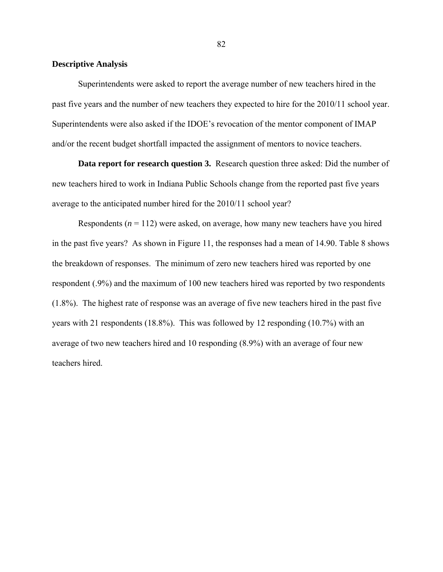## **Descriptive Analysis**

Superintendents were asked to report the average number of new teachers hired in the past five years and the number of new teachers they expected to hire for the 2010/11 school year. Superintendents were also asked if the IDOE's revocation of the mentor component of IMAP and/or the recent budget shortfall impacted the assignment of mentors to novice teachers.

**Data report for research question 3.** Research question three asked: Did the number of new teachers hired to work in Indiana Public Schools change from the reported past five years average to the anticipated number hired for the 2010/11 school year?

Respondents  $(n = 112)$  were asked, on average, how many new teachers have you hired in the past five years? As shown in Figure 11, the responses had a mean of 14.90. Table 8 shows the breakdown of responses. The minimum of zero new teachers hired was reported by one respondent (.9%) and the maximum of 100 new teachers hired was reported by two respondents (1.8%). The highest rate of response was an average of five new teachers hired in the past five years with 21 respondents (18.8%). This was followed by 12 responding (10.7%) with an average of two new teachers hired and 10 responding (8.9%) with an average of four new teachers hired.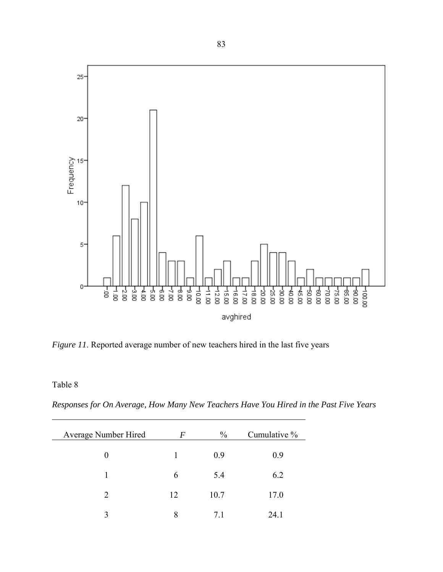

*Figure 11*. Reported average number of new teachers hired in the last five years

Table 8

*Responses for On Average, How Many New Teachers Have You Hired in the Past Five Years*

| Average Number Hired | F  | $\frac{0}{0}$ | Cumulative % |
|----------------------|----|---------------|--------------|
| 0                    | 1  | 0.9           | 0.9          |
|                      | 6  | 5.4           | 6.2          |
| $\overline{2}$       | 12 | 10.7          | 17.0         |
| $\mathbf{c}$         | 8  | 71            | 24.1         |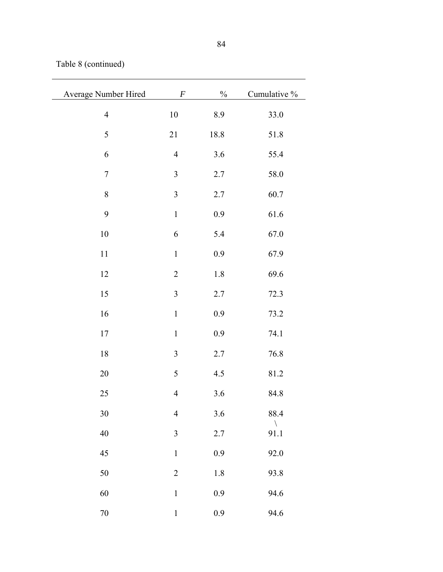Table 8 (continued)

| Average Number Hired | $\cal F$                 | $\%$    | Cumulative %         |
|----------------------|--------------------------|---------|----------------------|
| $\overline{4}$       | 10                       | 8.9     | 33.0                 |
| 5                    | 21                       | 18.8    | 51.8                 |
| $\boldsymbol{6}$     | $\overline{4}$           | 3.6     | 55.4                 |
| $\boldsymbol{7}$     | $\mathfrak{Z}$           | 2.7     | 58.0                 |
| $\,$ $\,$            | $\mathfrak{Z}$           | $2.7\,$ | 60.7                 |
| 9                    | $\,1$                    | 0.9     | 61.6                 |
| 10                   | 6                        | 5.4     | 67.0                 |
| 11                   | $\mathbf 1$              | $0.9\,$ | 67.9                 |
| 12                   | $\overline{c}$           | 1.8     | 69.6                 |
| 15                   | $\mathfrak{Z}$           | 2.7     | 72.3                 |
| 16                   | $\mathbf 1$              | 0.9     | 73.2                 |
| 17                   | $\,1$                    | 0.9     | 74.1                 |
| $18\,$               | 3                        | 2.7     | 76.8                 |
| 20                   | 5                        | 4.5     | 81.2                 |
| 25                   | $\overline{4}$           | 3.6     | 84.8                 |
| 30                   | $\overline{\mathcal{A}}$ | $3.6$   | 88.4                 |
| 40                   | 3                        | 2.7     | $\backslash$<br>91.1 |
| 45                   | $\mathbf 1$              | 0.9     | 92.0                 |
| 50                   | $\overline{2}$           | 1.8     | 93.8                 |
| 60                   | $\mathbf{1}$             | 0.9     | 94.6                 |
| $70\,$               | $\mathbf{1}$             | 0.9     | 94.6                 |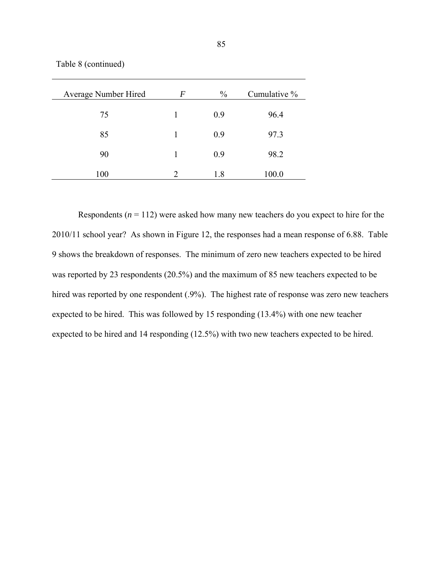Table 8 (continued)

| Average Number Hired | F | $\frac{0}{0}$ | Cumulative % |
|----------------------|---|---------------|--------------|
| 75                   | 1 | 0.9           | 96.4         |
| 85                   | 1 | 0.9           | 97.3         |
| 90                   | 1 | 0.9           | 98.2         |
| 100                  | 2 | 1.8           | 100.0        |

Respondents  $(n = 112)$  were asked how many new teachers do you expect to hire for the 2010/11 school year? As shown in Figure 12, the responses had a mean response of 6.88. Table 9 shows the breakdown of responses. The minimum of zero new teachers expected to be hired was reported by 23 respondents (20.5%) and the maximum of 85 new teachers expected to be hired was reported by one respondent (.9%). The highest rate of response was zero new teachers expected to be hired. This was followed by 15 responding (13.4%) with one new teacher expected to be hired and 14 responding (12.5%) with two new teachers expected to be hired.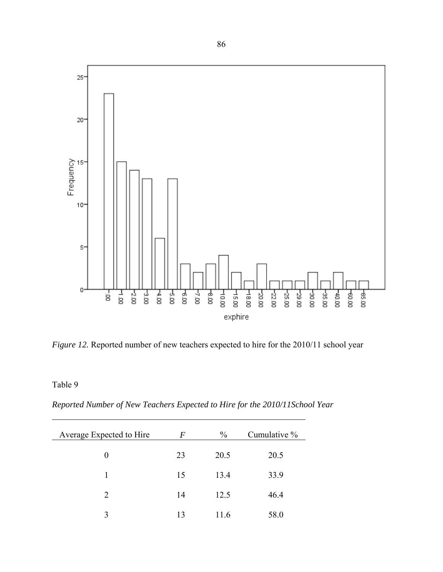

*Figure 12.* Reported number of new teachers expected to hire for the 2010/11 school year

Table 9

*Reported Number of New Teachers Expected to Hire for the 2010/11School Year*

| Average Expected to Hire | F  | $\frac{0}{0}$ | Cumulative % |
|--------------------------|----|---------------|--------------|
| 0                        | 23 | 20.5          | 20.5         |
| 1                        | 15 | 13.4          | 33.9         |
| $\overline{2}$           | 14 | 12.5          | 46.4         |
| 3                        | 13 | 11.6          | 58.0         |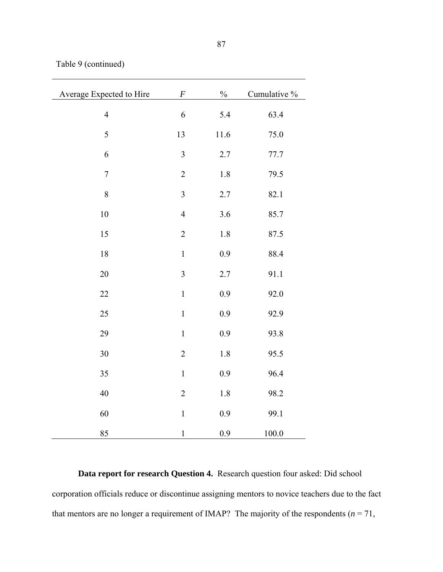Table 9 (continued)

| Average Expected to Hire | $\boldsymbol{F}$        | $\%$    | Cumulative % |
|--------------------------|-------------------------|---------|--------------|
|                          |                         |         |              |
| $\overline{4}$           | 6                       | 5.4     | 63.4         |
| 5                        | 13                      | 11.6    | 75.0         |
| 6                        | $\overline{3}$          | 2.7     | 77.7         |
| $\boldsymbol{7}$         | $\sqrt{2}$              | 1.8     | 79.5         |
| 8                        | $\overline{\mathbf{3}}$ | 2.7     | 82.1         |
| $10\,$                   | $\overline{4}$          | 3.6     | 85.7         |
| 15                       | $\overline{2}$          | 1.8     | 87.5         |
| 18                       | $\mathbf 1$             | 0.9     | 88.4         |
| 20                       | $\mathfrak{Z}$          | 2.7     | 91.1         |
| 22                       | $\mathbf{1}$            | 0.9     | 92.0         |
| 25                       | $\mathbf{1}$            | 0.9     | 92.9         |
| 29                       | $\mathbf{1}$            | 0.9     | 93.8         |
| 30                       | $\overline{2}$          | 1.8     | 95.5         |
| 35                       | $\mathbf{1}$            | $0.9\,$ | 96.4         |
| 40                       | $\sqrt{2}$              | 1.8     | 98.2         |
| 60                       | $\,1$                   | 0.9     | 99.1         |
| 85                       | $\mathbf 1$             | 0.9     | 100.0        |

**Data report for research Question 4.** Research question four asked: Did school corporation officials reduce or discontinue assigning mentors to novice teachers due to the fact that mentors are no longer a requirement of IMAP? The majority of the respondents  $(n = 71,$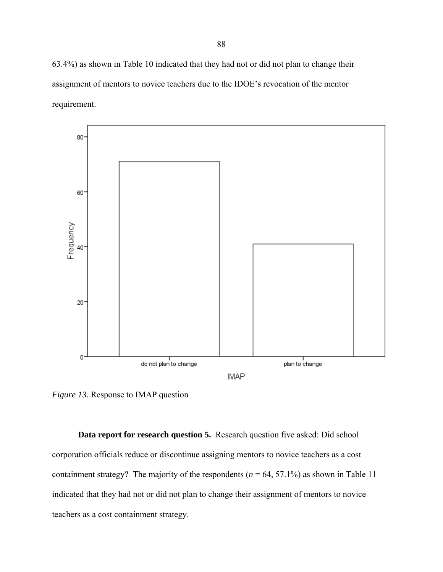63.4%) as shown in Table 10 indicated that they had not or did not plan to change their assignment of mentors to novice teachers due to the IDOE's revocation of the mentor requirement.



*Figure 13.* Response to IMAP question

**Data report for research question 5.** Research question five asked: Did school corporation officials reduce or discontinue assigning mentors to novice teachers as a cost containment strategy? The majority of the respondents  $(n = 64, 57.1\%)$  as shown in Table 11 indicated that they had not or did not plan to change their assignment of mentors to novice teachers as a cost containment strategy.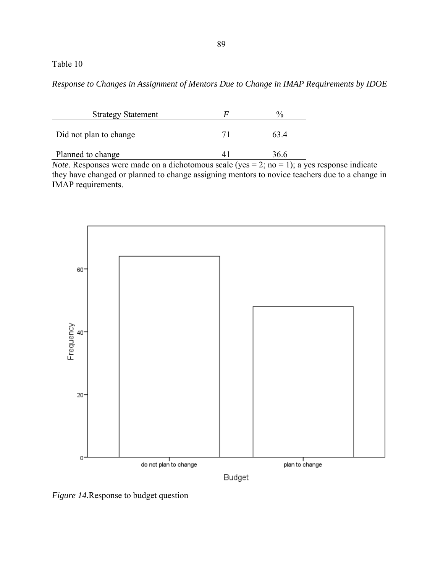## Table 10

*Response to Changes in Assignment of Mentors Due to Change in IMAP Requirements by IDOE*

| <b>Strategy Statement</b> | F  | $\%$ |
|---------------------------|----|------|
| Did not plan to change    | 71 | 634  |
| Planned to change         |    | 36.6 |

*Note*. Responses were made on a dichotomous scale (yes = 2; no = 1); a yes response indicate they have changed or planned to change assigning mentors to novice teachers due to a change in IMAP requirements.



*Figure 14*.Response to budget question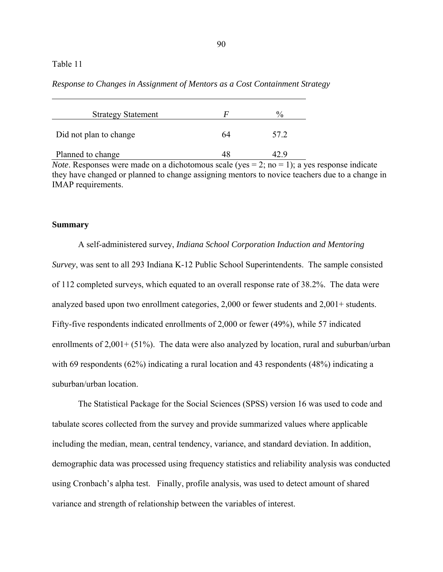## Table 11

*Response to Changes in Assignment of Mentors as a Cost Containment Strategy* 

| <b>Strategy Statement</b> | F  | $\frac{0}{0}$ |
|---------------------------|----|---------------|
| Did not plan to change    | 64 | 57 2          |
| Planned to change         |    |               |

*Note*. Responses were made on a dichotomous scale (yes  $= 2$ ; no  $= 1$ ); a yes response indicate they have changed or planned to change assigning mentors to novice teachers due to a change in IMAP requirements.

### **Summary**

A self-administered survey, *Indiana School Corporation Induction and Mentoring Survey*, was sent to all 293 Indiana K-12 Public School Superintendents. The sample consisted of 112 completed surveys, which equated to an overall response rate of 38.2%. The data were analyzed based upon two enrollment categories, 2,000 or fewer students and 2,001+ students. Fifty-five respondents indicated enrollments of 2,000 or fewer (49%), while 57 indicated enrollments of 2,001+ (51%). The data were also analyzed by location, rural and suburban/urban with 69 respondents (62%) indicating a rural location and 43 respondents (48%) indicating a suburban/urban location.

The Statistical Package for the Social Sciences (SPSS) version 16 was used to code and tabulate scores collected from the survey and provide summarized values where applicable including the median, mean, central tendency, variance, and standard deviation. In addition, demographic data was processed using frequency statistics and reliability analysis was conducted using Cronbach's alpha test. Finally, profile analysis, was used to detect amount of shared variance and strength of relationship between the variables of interest.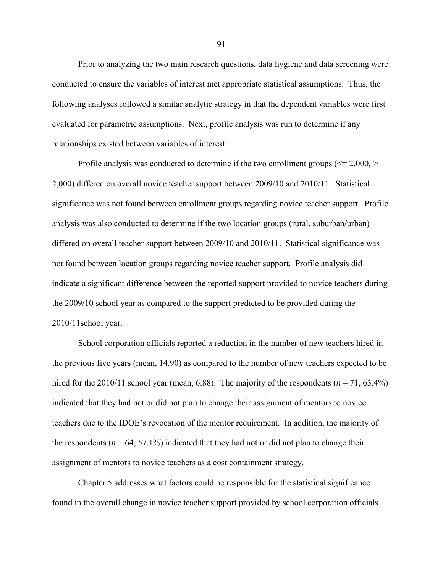Prior to analyzing the two main research questions, data hygiene and data screening were conducted to ensure the variables of interest met appropriate statistical assumptions. Thus, the following analyses followed a similar analytic strategy in that the dependent variables were first evaluated for parametric assumptions. Next, profile analysis was run to determine if any relationships existed between variables of interest.

Profile analysis was conducted to determine if the two enrollment groups ( $\leq$  2,000,  $>$ 2,000) differed on overall novice teacher support between 2009/10 and 2010/11. Statistical significance was not found between enrollment groups regarding novice teacher support. Profile analysis was also conducted to determine if the two location groups (rural, suburban/urban) differed on overall teacher support between 2009/10 and 2010/11. Statistical significance was not found between location groups regarding novice teacher support. Profile analysis did indicate a significant difference between the reported support provided to novice teachers during the 2009/10 school year as compared to the support predicted to be provided during the 2010/11school year.

School corporation officials reported a reduction in the number of new teachers hired in the previous five years (mean, 14.90) as compared to the number of new teachers expected to be hired for the 2010/11 school year (mean, 6.88). The majority of the respondents ( $n = 71, 63.4\%$ ) indicated that they had not or did not plan to change their assignment of mentors to novice teachers due to the IDOE's revocation of the mentor requirement. In addition, the majority of the respondents ( $n = 64, 57.1\%$ ) indicated that they had not or did not plan to change their assignment of mentors to novice teachers as a cost containment strategy.

Chapter 5 addresses what factors could be responsible for the statistical significance found in the overall change in novice teacher support provided by school corporation officials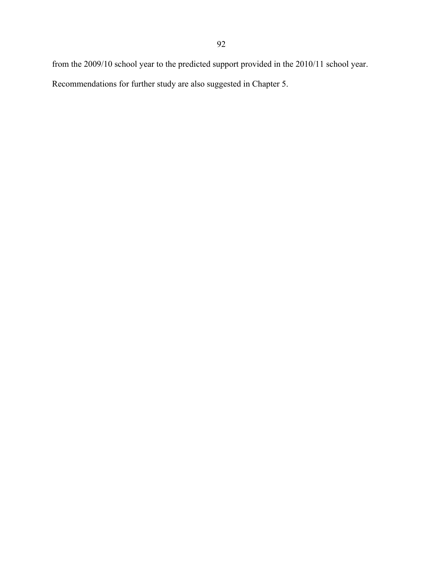from the 2009/10 school year to the predicted support provided in the 2010/11 school year.

Recommendations for further study are also suggested in Chapter 5.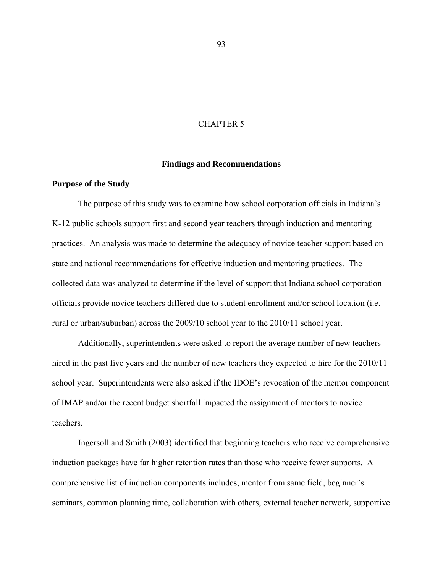## CHAPTER 5

### **Findings and Recommendations**

#### **Purpose of the Study**

The purpose of this study was to examine how school corporation officials in Indiana's K-12 public schools support first and second year teachers through induction and mentoring practices. An analysis was made to determine the adequacy of novice teacher support based on state and national recommendations for effective induction and mentoring practices. The collected data was analyzed to determine if the level of support that Indiana school corporation officials provide novice teachers differed due to student enrollment and/or school location (i.e. rural or urban/suburban) across the 2009/10 school year to the 2010/11 school year.

Additionally, superintendents were asked to report the average number of new teachers hired in the past five years and the number of new teachers they expected to hire for the 2010/11 school year. Superintendents were also asked if the IDOE's revocation of the mentor component of IMAP and/or the recent budget shortfall impacted the assignment of mentors to novice teachers.

Ingersoll and Smith (2003) identified that beginning teachers who receive comprehensive induction packages have far higher retention rates than those who receive fewer supports. A comprehensive list of induction components includes, mentor from same field, beginner's seminars, common planning time, collaboration with others, external teacher network, supportive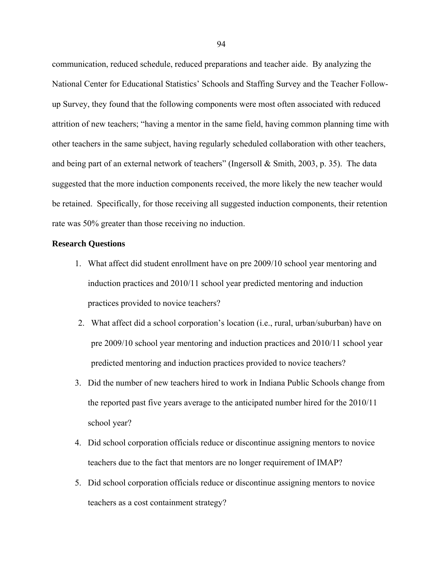communication, reduced schedule, reduced preparations and teacher aide. By analyzing the National Center for Educational Statistics' Schools and Staffing Survey and the Teacher Followup Survey, they found that the following components were most often associated with reduced attrition of new teachers; "having a mentor in the same field, having common planning time with other teachers in the same subject, having regularly scheduled collaboration with other teachers, and being part of an external network of teachers" (Ingersoll & Smith, 2003, p. 35). The data suggested that the more induction components received, the more likely the new teacher would be retained. Specifically, for those receiving all suggested induction components, their retention rate was 50% greater than those receiving no induction.

## **Research Questions**

- 1. What affect did student enrollment have on pre 2009/10 school year mentoring and induction practices and 2010/11 school year predicted mentoring and induction practices provided to novice teachers?
- 2. What affect did a school corporation's location (i.e., rural, urban/suburban) have on pre 2009/10 school year mentoring and induction practices and 2010/11 school year predicted mentoring and induction practices provided to novice teachers?
- 3. Did the number of new teachers hired to work in Indiana Public Schools change from the reported past five years average to the anticipated number hired for the 2010/11 school year?
- 4. Did school corporation officials reduce or discontinue assigning mentors to novice teachers due to the fact that mentors are no longer requirement of IMAP?
- 5. Did school corporation officials reduce or discontinue assigning mentors to novice teachers as a cost containment strategy?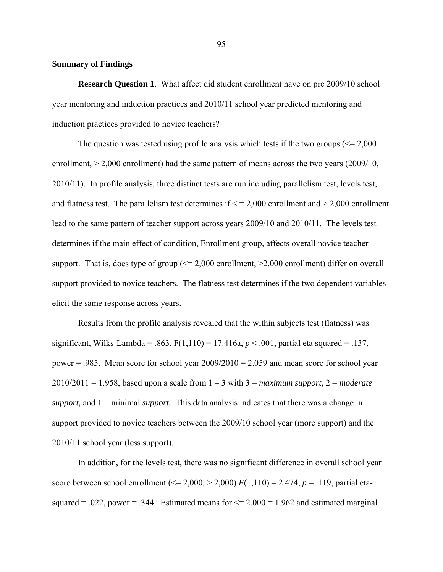## **Summary of Findings**

**Research Question 1**. What affect did student enrollment have on pre 2009/10 school year mentoring and induction practices and 2010/11 school year predicted mentoring and induction practices provided to novice teachers?

The question was tested using profile analysis which tests if the two groups  $\ll 2,000$ enrollment,  $> 2,000$  enrollment) had the same pattern of means across the two years (2009/10, 2010/11). In profile analysis, three distinct tests are run including parallelism test, levels test, and flatness test. The parallelism test determines if  $\leq$  = 2,000 enrollment and  $>$  2,000 enrollment lead to the same pattern of teacher support across years 2009/10 and 2010/11. The levels test determines if the main effect of condition, Enrollment group, affects overall novice teacher support. That is, does type of group  $\ll 2,000$  enrollment,  $\ge 2,000$  enrollment) differ on overall support provided to novice teachers. The flatness test determines if the two dependent variables elicit the same response across years.

Results from the profile analysis revealed that the within subjects test (flatness) was significant, Wilks-Lambda = .863,  $F(1,110) = 17.416a$ ,  $p < .001$ , partial eta squared = .137, power = .985. Mean score for school year  $2009/2010 = 2.059$  and mean score for school year 2010/2011 = 1.958, based upon a scale from 1 – 3 with 3 = *maximum support,* 2 = *moderate support,* and 1 = minimal *support.* This data analysis indicates that there was a change in support provided to novice teachers between the 2009/10 school year (more support) and the 2010/11 school year (less support).

In addition, for the levels test, there was no significant difference in overall school year score between school enrollment (<= 2,000, > 2,000) *F*(1,110) = 2.474, *p* = .119, partial etasquared = .022, power = .344. Estimated means for  $\leq$  2,000 = 1.962 and estimated marginal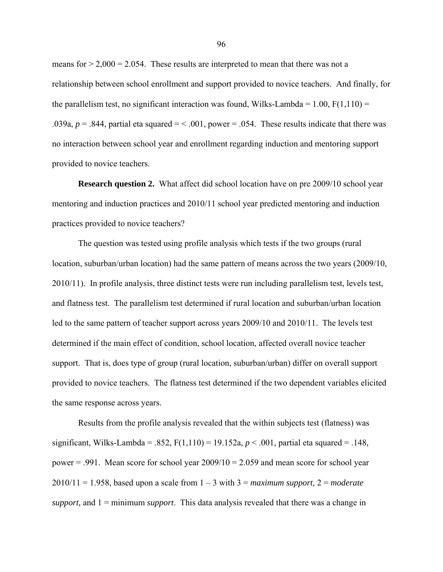means for  $> 2,000 = 2.054$ . These results are interpreted to mean that there was not a relationship between school enrollment and support provided to novice teachers. And finally, for the parallelism test, no significant interaction was found, Wilks-Lambda =  $1.00$ ,  $F(1,110) =$ .039a,  $p = 0.844$ , partial eta squared = < .001, power = .054. These results indicate that there was no interaction between school year and enrollment regarding induction and mentoring support provided to novice teachers.

**Research question 2.** What affect did school location have on pre 2009/10 school year mentoring and induction practices and 2010/11 school year predicted mentoring and induction practices provided to novice teachers?

The question was tested using profile analysis which tests if the two groups (rural location, suburban/urban location) had the same pattern of means across the two years (2009/10, 2010/11). In profile analysis, three distinct tests were run including parallelism test, levels test, and flatness test. The parallelism test determined if rural location and suburban/urban location led to the same pattern of teacher support across years 2009/10 and 2010/11. The levels test determined if the main effect of condition, school location, affected overall novice teacher support. That is, does type of group (rural location, suburban/urban) differ on overall support provided to novice teachers. The flatness test determined if the two dependent variables elicited the same response across years.

Results from the profile analysis revealed that the within subjects test (flatness) was significant, Wilks-Lambda = .852,  $F(1,110) = 19.152a, p < .001$ , partial eta squared = .148, power  $= .991$ . Mean score for school year  $2009/10 = 2.059$  and mean score for school year 2010/11 = 1.958, based upon a scale from  $1 - 3$  with  $3 =$  *maximum support*,  $2 =$  *moderate support,* and 1 = minimum *support*. This data analysis revealed that there was a change in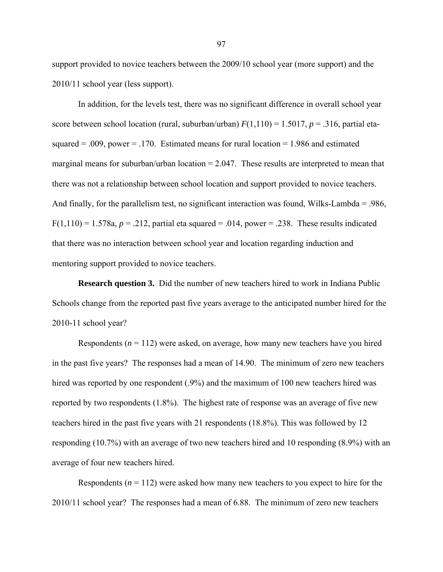support provided to novice teachers between the 2009/10 school year (more support) and the 2010/11 school year (less support).

In addition, for the levels test, there was no significant difference in overall school year score between school location (rural, suburban/urban)  $F(1,110) = 1.5017$ ,  $p = .316$ , partial etasquared  $= .009$ , power  $= .170$ . Estimated means for rural location  $= 1.986$  and estimated marginal means for suburban/urban location  $= 2.047$ . These results are interpreted to mean that there was not a relationship between school location and support provided to novice teachers. And finally, for the parallelism test, no significant interaction was found, Wilks-Lambda = .986,  $F(1,110) = 1.578a$ ,  $p = 0.212$ , partial eta squared = .014, power = .238. These results indicated that there was no interaction between school year and location regarding induction and mentoring support provided to novice teachers.

**Research question 3.** Did the number of new teachers hired to work in Indiana Public Schools change from the reported past five years average to the anticipated number hired for the 2010-11 school year?

Respondents  $(n = 112)$  were asked, on average, how many new teachers have you hired in the past five years? The responses had a mean of 14.90. The minimum of zero new teachers hired was reported by one respondent (.9%) and the maximum of 100 new teachers hired was reported by two respondents (1.8%). The highest rate of response was an average of five new teachers hired in the past five years with 21 respondents (18.8%). This was followed by 12 responding (10.7%) with an average of two new teachers hired and 10 responding (8.9%) with an average of four new teachers hired.

Respondents  $(n = 112)$  were asked how many new teachers to you expect to hire for the 2010/11 school year? The responses had a mean of 6.88. The minimum of zero new teachers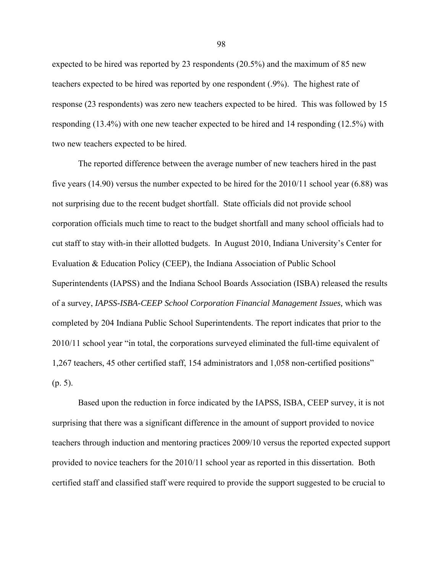expected to be hired was reported by 23 respondents (20.5%) and the maximum of 85 new teachers expected to be hired was reported by one respondent (.9%). The highest rate of response (23 respondents) was zero new teachers expected to be hired. This was followed by 15 responding (13.4%) with one new teacher expected to be hired and 14 responding (12.5%) with two new teachers expected to be hired.

The reported difference between the average number of new teachers hired in the past five years (14.90) versus the number expected to be hired for the 2010/11 school year (6.88) was not surprising due to the recent budget shortfall. State officials did not provide school corporation officials much time to react to the budget shortfall and many school officials had to cut staff to stay with-in their allotted budgets. In August 2010, Indiana University's Center for Evaluation & Education Policy (CEEP), the Indiana Association of Public School Superintendents (IAPSS) and the Indiana School Boards Association (ISBA) released the results of a survey, *IAPSS-ISBA-CEEP School Corporation Financial Management Issues,* which was completed by 204 Indiana Public School Superintendents. The report indicates that prior to the 2010/11 school year "in total, the corporations surveyed eliminated the full-time equivalent of 1,267 teachers, 45 other certified staff, 154 administrators and 1,058 non-certified positions" (p. 5).

Based upon the reduction in force indicated by the IAPSS, ISBA, CEEP survey, it is not surprising that there was a significant difference in the amount of support provided to novice teachers through induction and mentoring practices 2009/10 versus the reported expected support provided to novice teachers for the 2010/11 school year as reported in this dissertation. Both certified staff and classified staff were required to provide the support suggested to be crucial to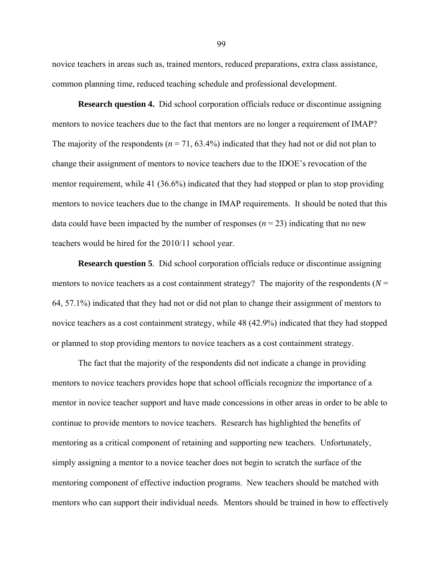novice teachers in areas such as, trained mentors, reduced preparations, extra class assistance, common planning time, reduced teaching schedule and professional development.

**Research question 4.** Did school corporation officials reduce or discontinue assigning mentors to novice teachers due to the fact that mentors are no longer a requirement of IMAP? The majority of the respondents ( $n = 71, 63.4\%$ ) indicated that they had not or did not plan to change their assignment of mentors to novice teachers due to the IDOE's revocation of the mentor requirement, while 41 (36.6%) indicated that they had stopped or plan to stop providing mentors to novice teachers due to the change in IMAP requirements. It should be noted that this data could have been impacted by the number of responses  $(n = 23)$  indicating that no new teachers would be hired for the 2010/11 school year.

**Research question 5**. Did school corporation officials reduce or discontinue assigning mentors to novice teachers as a cost containment strategy? The majority of the respondents ( $N =$ 64, 57.1%) indicated that they had not or did not plan to change their assignment of mentors to novice teachers as a cost containment strategy, while 48 (42.9%) indicated that they had stopped or planned to stop providing mentors to novice teachers as a cost containment strategy.

The fact that the majority of the respondents did not indicate a change in providing mentors to novice teachers provides hope that school officials recognize the importance of a mentor in novice teacher support and have made concessions in other areas in order to be able to continue to provide mentors to novice teachers. Research has highlighted the benefits of mentoring as a critical component of retaining and supporting new teachers. Unfortunately, simply assigning a mentor to a novice teacher does not begin to scratch the surface of the mentoring component of effective induction programs. New teachers should be matched with mentors who can support their individual needs. Mentors should be trained in how to effectively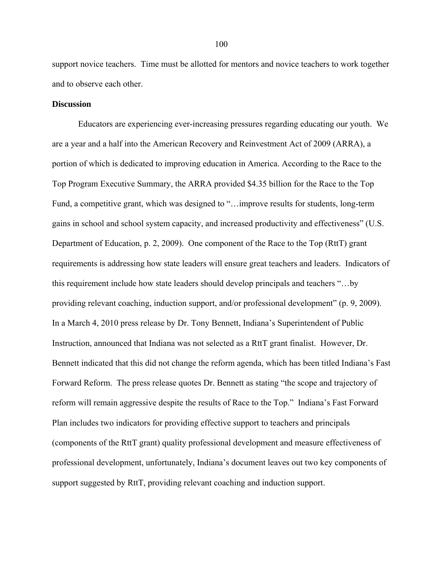support novice teachers. Time must be allotted for mentors and novice teachers to work together and to observe each other.

### **Discussion**

Educators are experiencing ever-increasing pressures regarding educating our youth. We are a year and a half into the American Recovery and Reinvestment Act of 2009 (ARRA), a portion of which is dedicated to improving education in America. According to the Race to the Top Program Executive Summary, the ARRA provided \$4.35 billion for the Race to the Top Fund, a competitive grant, which was designed to "…improve results for students, long-term gains in school and school system capacity, and increased productivity and effectiveness" (U.S. Department of Education, p. 2, 2009). One component of the Race to the Top (RttT) grant requirements is addressing how state leaders will ensure great teachers and leaders. Indicators of this requirement include how state leaders should develop principals and teachers "…by providing relevant coaching, induction support, and/or professional development" (p. 9, 2009). In a March 4, 2010 press release by Dr. Tony Bennett, Indiana's Superintendent of Public Instruction, announced that Indiana was not selected as a RttT grant finalist. However, Dr. Bennett indicated that this did not change the reform agenda, which has been titled Indiana's Fast Forward Reform. The press release quotes Dr. Bennett as stating "the scope and trajectory of reform will remain aggressive despite the results of Race to the Top." Indiana's Fast Forward Plan includes two indicators for providing effective support to teachers and principals (components of the RttT grant) quality professional development and measure effectiveness of professional development, unfortunately, Indiana's document leaves out two key components of support suggested by RttT, providing relevant coaching and induction support.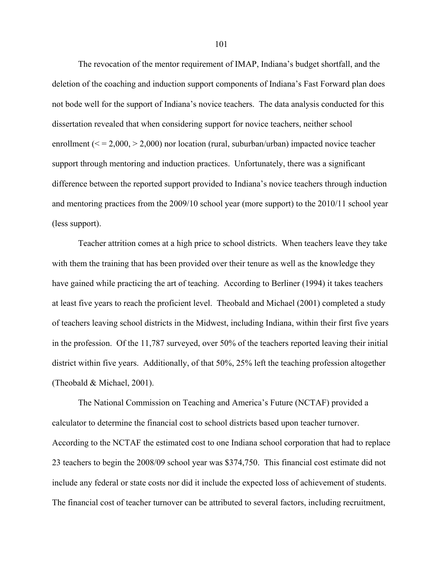The revocation of the mentor requirement of IMAP, Indiana's budget shortfall, and the deletion of the coaching and induction support components of Indiana's Fast Forward plan does not bode well for the support of Indiana's novice teachers. The data analysis conducted for this dissertation revealed that when considering support for novice teachers, neither school enrollment ( $\le$  = 2,000,  $>$  2,000) nor location (rural, suburban/urban) impacted novice teacher support through mentoring and induction practices. Unfortunately, there was a significant difference between the reported support provided to Indiana's novice teachers through induction and mentoring practices from the 2009/10 school year (more support) to the 2010/11 school year (less support).

Teacher attrition comes at a high price to school districts. When teachers leave they take with them the training that has been provided over their tenure as well as the knowledge they have gained while practicing the art of teaching. According to Berliner (1994) it takes teachers at least five years to reach the proficient level. Theobald and Michael (2001) completed a study of teachers leaving school districts in the Midwest, including Indiana, within their first five years in the profession. Of the 11,787 surveyed, over 50% of the teachers reported leaving their initial district within five years. Additionally, of that 50%, 25% left the teaching profession altogether (Theobald & Michael, 2001).

The National Commission on Teaching and America's Future (NCTAF) provided a calculator to determine the financial cost to school districts based upon teacher turnover. According to the NCTAF the estimated cost to one Indiana school corporation that had to replace 23 teachers to begin the 2008/09 school year was \$374,750. This financial cost estimate did not include any federal or state costs nor did it include the expected loss of achievement of students. The financial cost of teacher turnover can be attributed to several factors, including recruitment,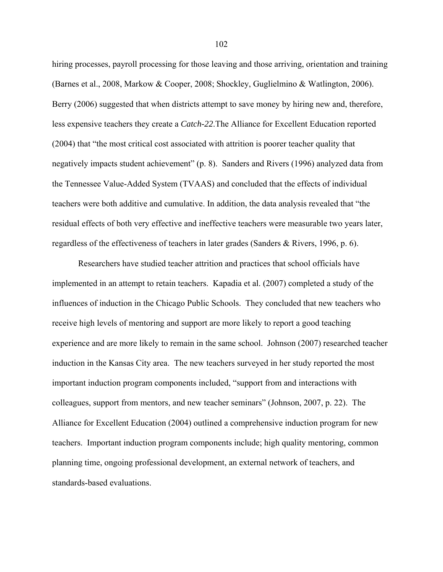hiring processes, payroll processing for those leaving and those arriving, orientation and training (Barnes et al., 2008, Markow & Cooper, 2008; Shockley, Guglielmino & Watlington, 2006). Berry (2006) suggested that when districts attempt to save money by hiring new and, therefore, less expensive teachers they create a *Catch-22*.The Alliance for Excellent Education reported (2004) that "the most critical cost associated with attrition is poorer teacher quality that negatively impacts student achievement" (p. 8). Sanders and Rivers (1996) analyzed data from the Tennessee Value-Added System (TVAAS) and concluded that the effects of individual teachers were both additive and cumulative. In addition, the data analysis revealed that "the residual effects of both very effective and ineffective teachers were measurable two years later, regardless of the effectiveness of teachers in later grades (Sanders & Rivers, 1996, p. 6).

Researchers have studied teacher attrition and practices that school officials have implemented in an attempt to retain teachers. Kapadia et al. (2007) completed a study of the influences of induction in the Chicago Public Schools. They concluded that new teachers who receive high levels of mentoring and support are more likely to report a good teaching experience and are more likely to remain in the same school. Johnson (2007) researched teacher induction in the Kansas City area. The new teachers surveyed in her study reported the most important induction program components included, "support from and interactions with colleagues, support from mentors, and new teacher seminars" (Johnson, 2007, p. 22). The Alliance for Excellent Education (2004) outlined a comprehensive induction program for new teachers. Important induction program components include; high quality mentoring, common planning time, ongoing professional development, an external network of teachers, and standards-based evaluations.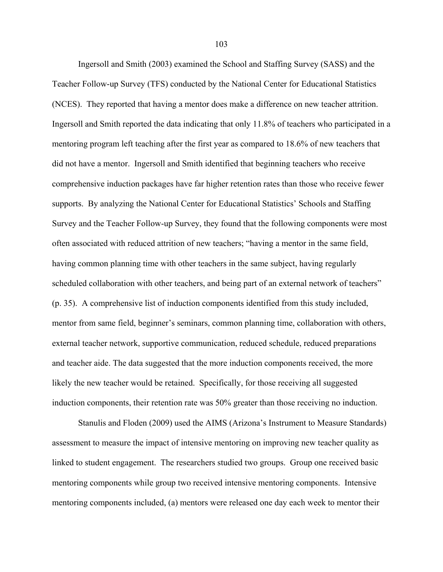Ingersoll and Smith (2003) examined the School and Staffing Survey (SASS) and the Teacher Follow-up Survey (TFS) conducted by the National Center for Educational Statistics (NCES). They reported that having a mentor does make a difference on new teacher attrition. Ingersoll and Smith reported the data indicating that only 11.8% of teachers who participated in a mentoring program left teaching after the first year as compared to 18.6% of new teachers that did not have a mentor. Ingersoll and Smith identified that beginning teachers who receive comprehensive induction packages have far higher retention rates than those who receive fewer supports. By analyzing the National Center for Educational Statistics' Schools and Staffing Survey and the Teacher Follow-up Survey, they found that the following components were most often associated with reduced attrition of new teachers; "having a mentor in the same field, having common planning time with other teachers in the same subject, having regularly scheduled collaboration with other teachers, and being part of an external network of teachers" (p. 35). A comprehensive list of induction components identified from this study included, mentor from same field, beginner's seminars, common planning time, collaboration with others, external teacher network, supportive communication, reduced schedule, reduced preparations and teacher aide. The data suggested that the more induction components received, the more likely the new teacher would be retained. Specifically, for those receiving all suggested induction components, their retention rate was 50% greater than those receiving no induction.

Stanulis and Floden (2009) used the AIMS (Arizona's Instrument to Measure Standards) assessment to measure the impact of intensive mentoring on improving new teacher quality as linked to student engagement. The researchers studied two groups. Group one received basic mentoring components while group two received intensive mentoring components. Intensive mentoring components included, (a) mentors were released one day each week to mentor their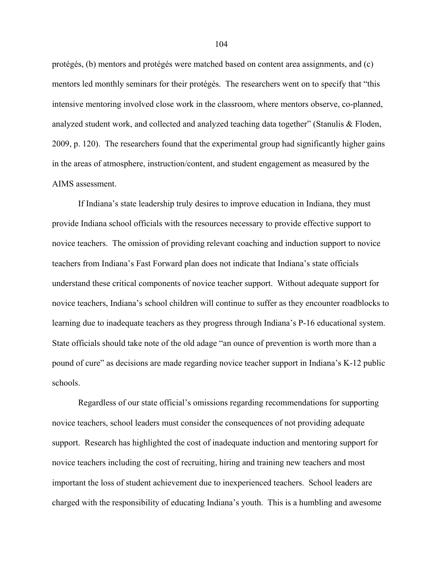protégés, (b) mentors and protégés were matched based on content area assignments, and (c) mentors led monthly seminars for their protégés. The researchers went on to specify that "this intensive mentoring involved close work in the classroom, where mentors observe, co-planned, analyzed student work, and collected and analyzed teaching data together" (Stanulis & Floden, 2009, p. 120). The researchers found that the experimental group had significantly higher gains in the areas of atmosphere, instruction/content, and student engagement as measured by the AIMS assessment.

If Indiana's state leadership truly desires to improve education in Indiana, they must provide Indiana school officials with the resources necessary to provide effective support to novice teachers. The omission of providing relevant coaching and induction support to novice teachers from Indiana's Fast Forward plan does not indicate that Indiana's state officials understand these critical components of novice teacher support. Without adequate support for novice teachers, Indiana's school children will continue to suffer as they encounter roadblocks to learning due to inadequate teachers as they progress through Indiana's P-16 educational system. State officials should take note of the old adage "an ounce of prevention is worth more than a pound of cure" as decisions are made regarding novice teacher support in Indiana's K-12 public schools.

Regardless of our state official's omissions regarding recommendations for supporting novice teachers, school leaders must consider the consequences of not providing adequate support. Research has highlighted the cost of inadequate induction and mentoring support for novice teachers including the cost of recruiting, hiring and training new teachers and most important the loss of student achievement due to inexperienced teachers. School leaders are charged with the responsibility of educating Indiana's youth. This is a humbling and awesome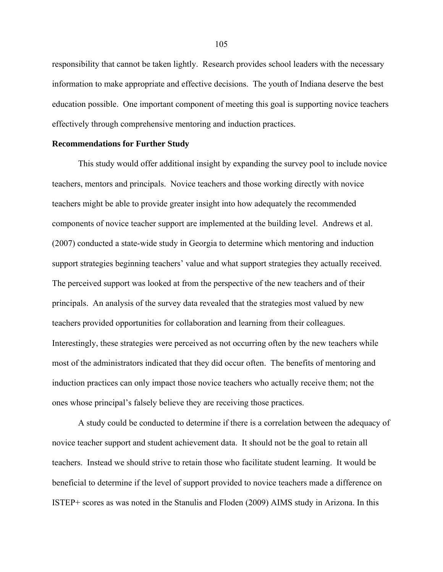responsibility that cannot be taken lightly. Research provides school leaders with the necessary information to make appropriate and effective decisions. The youth of Indiana deserve the best education possible. One important component of meeting this goal is supporting novice teachers effectively through comprehensive mentoring and induction practices.

### **Recommendations for Further Study**

This study would offer additional insight by expanding the survey pool to include novice teachers, mentors and principals. Novice teachers and those working directly with novice teachers might be able to provide greater insight into how adequately the recommended components of novice teacher support are implemented at the building level. Andrews et al. (2007) conducted a state-wide study in Georgia to determine which mentoring and induction support strategies beginning teachers' value and what support strategies they actually received. The perceived support was looked at from the perspective of the new teachers and of their principals. An analysis of the survey data revealed that the strategies most valued by new teachers provided opportunities for collaboration and learning from their colleagues. Interestingly, these strategies were perceived as not occurring often by the new teachers while most of the administrators indicated that they did occur often. The benefits of mentoring and induction practices can only impact those novice teachers who actually receive them; not the ones whose principal's falsely believe they are receiving those practices.

A study could be conducted to determine if there is a correlation between the adequacy of novice teacher support and student achievement data. It should not be the goal to retain all teachers. Instead we should strive to retain those who facilitate student learning. It would be beneficial to determine if the level of support provided to novice teachers made a difference on ISTEP+ scores as was noted in the Stanulis and Floden (2009) AIMS study in Arizona. In this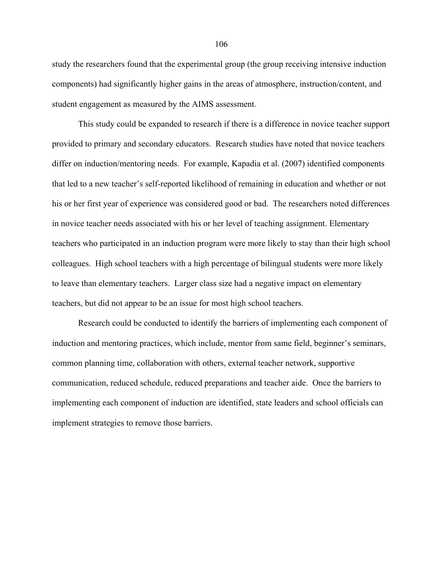study the researchers found that the experimental group (the group receiving intensive induction components) had significantly higher gains in the areas of atmosphere, instruction/content, and student engagement as measured by the AIMS assessment.

This study could be expanded to research if there is a difference in novice teacher support provided to primary and secondary educators. Research studies have noted that novice teachers differ on induction/mentoring needs. For example, Kapadia et al. (2007) identified components that led to a new teacher's self-reported likelihood of remaining in education and whether or not his or her first year of experience was considered good or bad. The researchers noted differences in novice teacher needs associated with his or her level of teaching assignment. Elementary teachers who participated in an induction program were more likely to stay than their high school colleagues. High school teachers with a high percentage of bilingual students were more likely to leave than elementary teachers. Larger class size had a negative impact on elementary teachers, but did not appear to be an issue for most high school teachers.

Research could be conducted to identify the barriers of implementing each component of induction and mentoring practices, which include, mentor from same field, beginner's seminars, common planning time, collaboration with others, external teacher network, supportive communication, reduced schedule, reduced preparations and teacher aide. Once the barriers to implementing each component of induction are identified, state leaders and school officials can implement strategies to remove those barriers.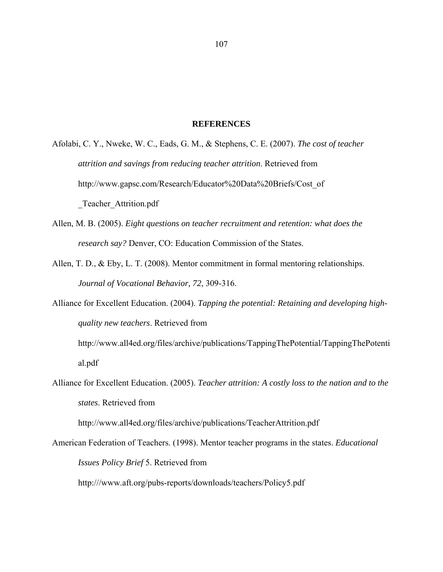#### **REFERENCES**

Afolabi, C. Y., Nweke, W. C., Eads, G. M., & Stephens, C. E. (2007). *The cost of teacher attrition and savings from reducing teacher attrition*. Retrieved from http://www.gapsc.com/Research/Educator%20Data%20Briefs/Cost\_of Teacher Attrition.pdf

- Allen, M. B. (2005). *Eight questions on teacher recruitment and retention: what does the research say?* Denver, CO: Education Commission of the States.
- Allen, T. D., & Eby, L. T. (2008). Mentor commitment in formal mentoring relationships. *Journal of Vocational Behavior, 72*, 309-316.
- Alliance for Excellent Education. (2004). *Tapping the potential: Retaining and developing highquality new teachers*. Retrieved from

http://www.all4ed.org/files/archive/publications/TappingThePotential/TappingThePotenti al.pdf

Alliance for Excellent Education. (2005). *Teacher attrition: A costly loss to the nation and to the states*. Retrieved from

http://www.all4ed.org/files/archive/publications/TeacherAttrition.pdf

American Federation of Teachers. (1998). Mentor teacher programs in the states. *Educational Issues Policy Brief* 5. Retrieved from

http:///www.aft.org/pubs-reports/downloads/teachers/Policy5.pdf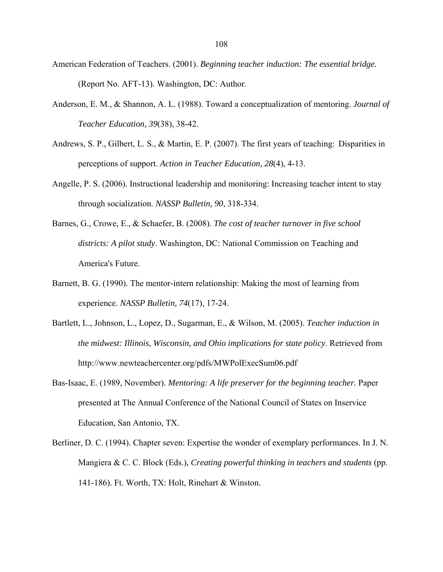- American Federation of Teachers. (2001). *Beginning teacher induction: The essential bridge.*  (Report No. AFT-13). Washington, DC: Author.
- Anderson, E. M., & Shannon, A. L. (1988). Toward a conceptualization of mentoring. *Journal of Teacher Education, 39*(38), 38-42.
- Andrews, S. P., Gilbert, L. S., & Martin, E. P. (2007). The first years of teaching: Disparities in perceptions of support. *Action in Teacher Education, 28*(4), 4-13.
- Angelle, P. S. (2006). Instructional leadership and monitoring: Increasing teacher intent to stay through socialization. *NASSP Bulletin, 90*, 318-334.
- Barnes, G., Crowe, E., & Schaefer, B. (2008). *The cost of teacher turnover in five school districts: A pilot study*. Washington, DC: National Commission on Teaching and America's Future.
- Barnett, B. G. (1990). The mentor-intern relationship: Making the most of learning from experience. *NASSP Bulletin, 74*(17), 17-24.
- Bartlett, L., Johnson, L., Lopez, D., Sugarman, E., & Wilson, M. (2005). *Teacher induction in the midwest: Illinois, Wisconsin, and Ohio implications for state policy*. Retrieved from http://www.newteachercenter.org/pdfs/MWPolExecSum06.pdf
- Bas-Isaac, E. (1989, November). *Mentoring: A life preserver for the beginning teacher*. Paper presented at The Annual Conference of the National Council of States on Inservice Education, San Antonio, TX.
- Berliner, D. C. (1994). Chapter seven: Expertise the wonder of exemplary performances. In J. N. Mangiera & C. C. Block (Eds.), *Creating powerful thinking in teachers and students* (pp. 141-186). Ft. Worth, TX: Holt, Rinehart & Winston.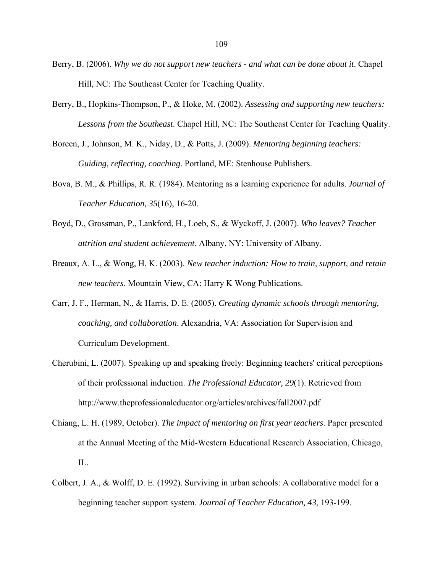- Berry, B. (2006). *Why we do not support new teachers and what can be done about it*. Chapel Hill, NC: The Southeast Center for Teaching Quality.
- Berry, B., Hopkins-Thompson, P., & Hoke, M. (2002). *Assessing and supporting new teachers: Lessons from the Southeast*. Chapel Hill, NC: The Southeast Center for Teaching Quality.
- Boreen, J., Johnson, M. K., Niday, D., & Potts, J. (2009). *Mentoring beginning teachers: Guiding, reflecting, coaching*. Portland, ME: Stenhouse Publishers.
- Bova, B. M., & Phillips, R. R. (1984). Mentoring as a learning experience for adults. *Journal of Teacher Education, 35*(16), 16-20.
- Boyd, D., Grossman, P., Lankford, H., Loeb, S., & Wyckoff, J. (2007). *Who leaves? Teacher attrition and student achievement*. Albany, NY: University of Albany.
- Breaux, A. L., & Wong, H. K. (2003). *New teacher induction: How to train, support, and retain new teachers*. Mountain View, CA: Harry K Wong Publications.
- Carr, J. F., Herman, N., & Harris, D. E. (2005). *Creating dynamic schools through mentoring, coaching, and collaboration*. Alexandria, VA: Association for Supervision and Curriculum Development.
- Cherubini, L. (2007). Speaking up and speaking freely: Beginning teachers' critical perceptions of their professional induction. *The Professional Educator, 29*(1). Retrieved from http://www.theprofessionaleducator.org/articles/archives/fall2007.pdf
- Chiang, L. H. (1989, October). *The impact of mentoring on first year teachers*. Paper presented at the Annual Meeting of the Mid-Western Educational Research Association, Chicago, IL.
- Colbert, J. A., & Wolff, D. E. (1992). Surviving in urban schools: A collaborative model for a beginning teacher support system. *Journal of Teacher Education, 43*, 193-199.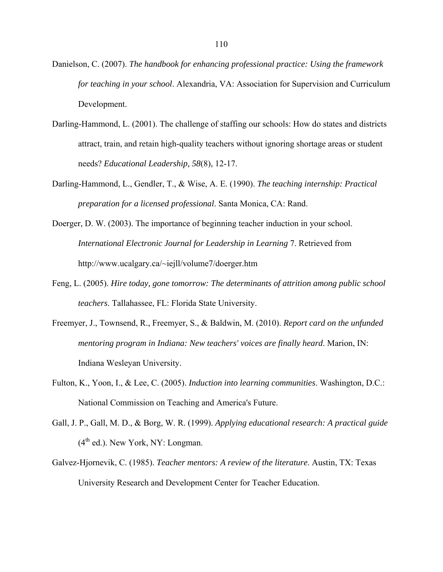- Danielson, C. (2007). *The handbook for enhancing professional practice: Using the framework for teaching in your school*. Alexandria, VA: Association for Supervision and Curriculum Development.
- Darling-Hammond, L. (2001). The challenge of staffing our schools: How do states and districts attract, train, and retain high-quality teachers without ignoring shortage areas or student needs? *Educational Leadership, 58*(8), 12-17.
- Darling-Hammond, L., Gendler, T., & Wise, A. E. (1990). *The teaching internship: Practical preparation for a licensed professional*. Santa Monica, CA: Rand.
- Doerger, D. W. (2003). The importance of beginning teacher induction in your school. *International Electronic Journal for Leadership in Learning* 7. Retrieved from http://www.ucalgary.ca/~iejll/volume7/doerger.htm
- Feng, L. (2005). *Hire today, gone tomorrow: The determinants of attrition among public school teachers*. Tallahassee, FL: Florida State University.
- Freemyer, J., Townsend, R., Freemyer, S., & Baldwin, M. (2010). *Report card on the unfunded mentoring program in Indiana: New teachers' voices are finally heard*. Marion, IN: Indiana Wesleyan University.
- Fulton, K., Yoon, I., & Lee, C. (2005). *Induction into learning communities*. Washington, D.C.: National Commission on Teaching and America's Future.
- Gall, J. P., Gall, M. D., & Borg, W. R. (1999). *Applying educational research: A practical guide*   $(4<sup>th</sup>$  ed.). New York, NY: Longman.
- Galvez-Hjornevik, C. (1985). *Teacher mentors: A review of the literature*. Austin, TX: Texas University Research and Development Center for Teacher Education.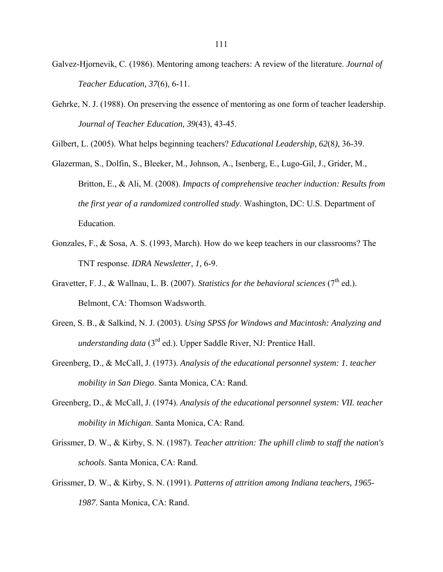- Galvez-Hjornevik, C. (1986). Mentoring among teachers: A review of the literature. *Journal of Teacher Education, 37*(6), 6-11.
- Gehrke, N. J. (1988). On preserving the essence of mentoring as one form of teacher leadership. *Journal of Teacher Education, 39*(43), 43-45.

Gilbert, L. (2005). What helps beginning teachers? *Educational Leadership, 62*(8*)*, 36-39.

- Glazerman, S., Dolfin, S., Bleeker, M., Johnson, A., Isenberg, E., Lugo-Gil, J., Grider, M., Britton, E., & Ali, M. (2008). *Impacts of comprehensive teacher induction: Results from the first year of a randomized controlled study*. Washington, DC: U.S. Department of Education.
- Gonzales, F., & Sosa, A. S. (1993, March). How do we keep teachers in our classrooms? The TNT response. *IDRA Newsletter*, *1,* 6-9.
- Gravetter, F. J., & Wallnau, L. B. (2007). *Statistics for the behavioral sciences*  $(7<sup>th</sup>$  ed.). Belmont, CA: Thomson Wadsworth.
- Green, S. B., & Salkind, N. J. (2003). *Using SPSS for Windows and Macintosh: Analyzing and understanding data* (3rd ed.). Upper Saddle River, NJ: Prentice Hall.
- Greenberg, D., & McCall, J. (1973). *Analysis of the educational personnel system: 1. teacher mobility in San Diego*. Santa Monica, CA: Rand.
- Greenberg, D., & McCall, J. (1974). *Analysis of the educational personnel system: VII. teacher mobility in Michigan*. Santa Monica, CA: Rand.
- Grissmer, D. W., & Kirby, S. N. (1987). *Teacher attrition: The uphill climb to staff the nation's schools*. Santa Monica, CA: Rand.
- Grissmer, D. W., & Kirby, S. N. (1991). *Patterns of attrition among Indiana teachers, 1965- 1987*. Santa Monica, CA: Rand.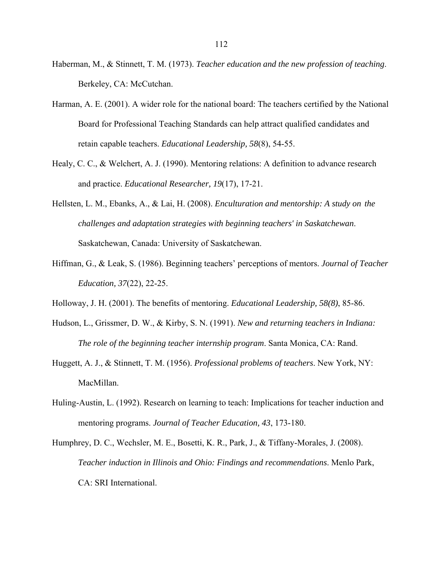- Haberman, M., & Stinnett, T. M. (1973). *Teacher education and the new profession of teaching*. Berkeley, CA: McCutchan.
- Harman, A. E. (2001). A wider role for the national board: The teachers certified by the National Board for Professional Teaching Standards can help attract qualified candidates and retain capable teachers. *Educational Leadership, 58*(8), 54-55.
- Healy, C. C., & Welchert, A. J. (1990). Mentoring relations: A definition to advance research and practice. *Educational Researcher, 19*(17), 17-21.
- Hellsten, L. M., Ebanks, A., & Lai, H. (2008). *Enculturation and mentorship: A study on the challenges and adaptation strategies with beginning teachers' in Saskatchewan*. Saskatchewan, Canada: University of Saskatchewan.
- Hiffman, G., & Leak, S. (1986). Beginning teachers' perceptions of mentors. *Journal of Teacher Education, 37*(22), 22-25.
- Holloway, J. H. (2001). The benefits of mentoring. *Educational Leadership, 58(8)*, 85-86.
- Hudson, L., Grissmer, D. W., & Kirby, S. N. (1991). *New and returning teachers in Indiana: The role of the beginning teacher internship program*. Santa Monica, CA: Rand.
- Huggett, A. J., & Stinnett, T. M. (1956). *Professional problems of teachers*. New York, NY: MacMillan.
- Huling-Austin, L. (1992). Research on learning to teach: Implications for teacher induction and mentoring programs. *Journal of Teacher Education, 43*, 173-180.
- Humphrey, D. C., Wechsler, M. E., Bosetti, K. R., Park, J., & Tiffany-Morales, J. (2008). *Teacher induction in Illinois and Ohio: Findings and recommendations*. Menlo Park, CA: SRI International.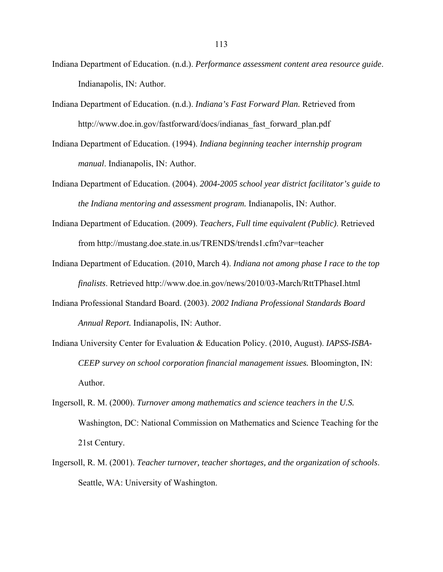- Indiana Department of Education. (n.d.). *Performance assessment content area resource guide*. Indianapolis, IN: Author.
- Indiana Department of Education. (n.d.). *Indiana's Fast Forward Plan.* Retrieved from http://www.doe.in.gov/fastforward/docs/indianas\_fast\_forward\_plan.pdf
- Indiana Department of Education. (1994). *Indiana beginning teacher internship program manual*. Indianapolis, IN: Author.
- Indiana Department of Education. (2004). *2004-2005 school year district facilitator's guide to the Indiana mentoring and assessment program.* Indianapolis, IN: Author.
- Indiana Department of Education. (2009). *Teachers, Full time equivalent (Public)*. Retrieved from http://mustang.doe.state.in.us/TRENDS/trends1.cfm?var=teacher
- Indiana Department of Education. (2010, March 4). *Indiana not among phase I race to the top finalists*. Retrieved http://www.doe.in.gov/news/2010/03-March/RttTPhaseI.html
- Indiana Professional Standard Board. (2003). *2002 Indiana Professional Standards Board Annual Report.* Indianapolis, IN: Author.
- Indiana University Center for Evaluation & Education Policy. (2010, August). *IAPSS-ISBA-CEEP survey on school corporation financial management issues.* Bloomington, IN: Author.
- Ingersoll, R. M. (2000). *Turnover among mathematics and science teachers in the U.S.* Washington, DC: National Commission on Mathematics and Science Teaching for the 21st Century.
- Ingersoll, R. M. (2001). *Teacher turnover, teacher shortages, and the organization of schools*. Seattle, WA: University of Washington.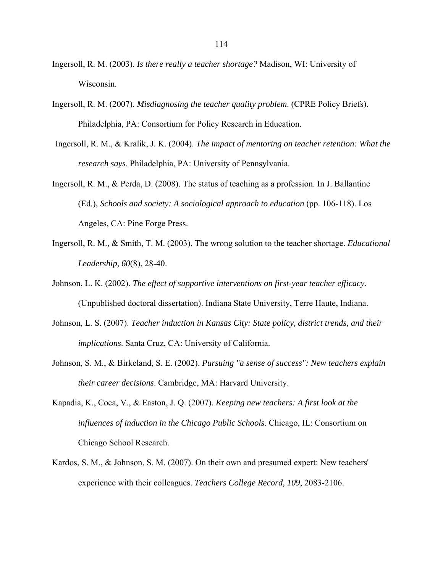- Ingersoll, R. M. (2003). *Is there really a teacher shortage?* Madison, WI: University of Wisconsin.
- Ingersoll, R. M. (2007). *Misdiagnosing the teacher quality problem*. (CPRE Policy Briefs). Philadelphia, PA: Consortium for Policy Research in Education.
- Ingersoll, R. M., & Kralik, J. K. (2004). *The impact of mentoring on teacher retention: What the research says*. Philadelphia, PA: University of Pennsylvania.
- Ingersoll, R. M., & Perda, D. (2008). The status of teaching as a profession. In J. Ballantine (Ed.), *Schools and society: A sociological approach to education* (pp. 106-118). Los Angeles, CA: Pine Forge Press.
- Ingersoll, R. M., & Smith, T. M. (2003). The wrong solution to the teacher shortage. *Educational Leadership, 60*(8), 28-40.
- Johnson, L. K. (2002). *The effect of supportive interventions on first-year teacher efficacy.* (Unpublished doctoral dissertation). Indiana State University, Terre Haute, Indiana.
- Johnson, L. S. (2007). *Teacher induction in Kansas City: State policy, district trends, and their implications*. Santa Cruz, CA: University of California.
- Johnson, S. M., & Birkeland, S. E. (2002). *Pursuing "a sense of success": New teachers explain their career decisions*. Cambridge, MA: Harvard University.
- Kapadia, K., Coca, V., & Easton, J. Q. (2007). *Keeping new teachers: A first look at the influences of induction in the Chicago Public Schools*. Chicago, IL: Consortium on Chicago School Research.
- Kardos, S. M., & Johnson, S. M. (2007). On their own and presumed expert: New teachers' experience with their colleagues. *Teachers College Record, 109*, 2083-2106.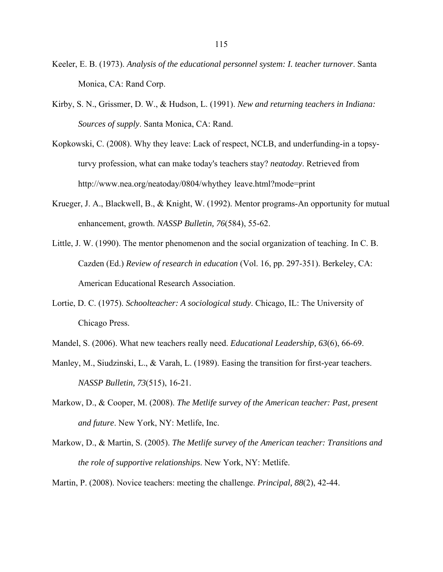- Keeler, E. B. (1973). *Analysis of the educational personnel system: I. teacher turnover*. Santa Monica, CA: Rand Corp.
- Kirby, S. N., Grissmer, D. W., & Hudson, L. (1991). *New and returning teachers in Indiana: Sources of supply*. Santa Monica, CA: Rand.
- Kopkowski, C. (2008). Why they leave: Lack of respect, NCLB, and underfunding-in a topsyturvy profession, what can make today's teachers stay? *neatoday*. Retrieved from http://www.nea.org/neatoday/0804/whythey leave.html?mode=print
- Krueger, J. A., Blackwell, B., & Knight, W. (1992). Mentor programs-An opportunity for mutual enhancement, growth. *NASSP Bulletin, 76*(584), 55-62.
- Little, J. W. (1990). The mentor phenomenon and the social organization of teaching. In C. B. Cazden (Ed.) *Review of research in education* (Vol. 16, pp. 297-351). Berkeley, CA: American Educational Research Association.
- Lortie, D. C. (1975). *Schoolteacher: A sociological study*. Chicago, IL: The University of Chicago Press.
- Mandel, S. (2006). What new teachers really need. *Educational Leadership, 63*(6), 66-69.
- Manley, M., Siudzinski, L., & Varah, L. (1989). Easing the transition for first-year teachers. *NASSP Bulletin, 73*(515), 16-21.
- Markow, D., & Cooper, M. (2008). *The Metlife survey of the American teacher: Past, present and future*. New York, NY: Metlife, Inc.
- Markow, D., & Martin, S. (2005). *The Metlife survey of the American teacher: Transitions and the role of supportive relationships*. New York, NY: Metlife.

Martin, P. (2008). Novice teachers: meeting the challenge. *Principal, 88*(2), 42-44.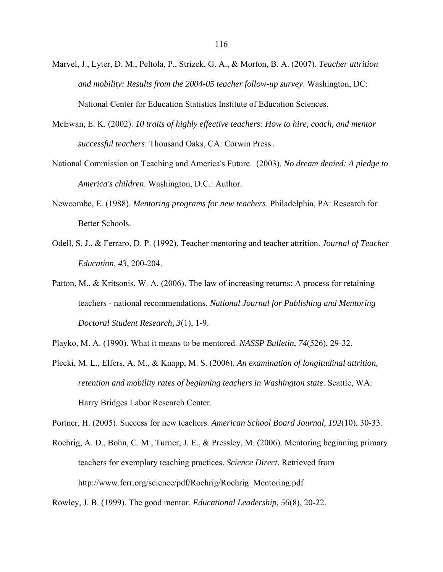- Marvel, J., Lyter, D. M., Peltola, P., Strizek, G. A., & Morton, B. A. (2007). *Teacher attrition and mobility: Results from the 2004-05 teacher follow-up survey*. Washington, DC: National Center for Education Statistics Institute of Education Sciences.
- McEwan, E. K. (2002). *10 traits of highly effective teachers: How to hire, coach, and mentor successful teachers*. Thousand Oaks, CA: Corwin Press.
- National Commission on Teaching and America's Future. (2003). *No dream denied: A pledge to America's children*. Washington, D.C.: Author.
- Newcombe, E. (1988). *Mentoring programs for new teachers*. Philadelphia, PA: Research for Better Schools.
- Odell, S. J., & Ferraro, D. P. (1992). Teacher mentoring and teacher attrition. *Journal of Teacher Education, 43*, 200-204.
- Patton, M., & Kritsonis, W. A. (2006). The law of increasing returns: A process for retaining teachers - national recommendations. *National Journal for Publishing and Mentoring Doctoral Student Research, 3*(1), 1-9.
- Playko, M. A. (1990). What it means to be mentored. *NASSP Bulletin, 74*(526), 29-32.
- Plecki, M. L., Elfers, A. M., & Knapp, M. S. (2006). *An examination of longitudinal attrition, retention and mobility rates of beginning teachers in Washington state*. Seattle, WA: Harry Bridges Labor Research Center.

Portner, H. (2005). Success for new teachers. *American School Board Journal, 192*(10), 30-33.

Roehrig, A. D., Bohn, C. M., Turner, J. E., & Pressley, M. (2006). Mentoring beginning primary teachers for exemplary teaching practices. *Science Direct*. Retrieved from http://www.fcrr.org/science/pdf/Roehrig/Roehrig\_Mentoring.pdf

Rowley, J. B. (1999). The good mentor. *Educational Leadership, 56*(8), 20-22.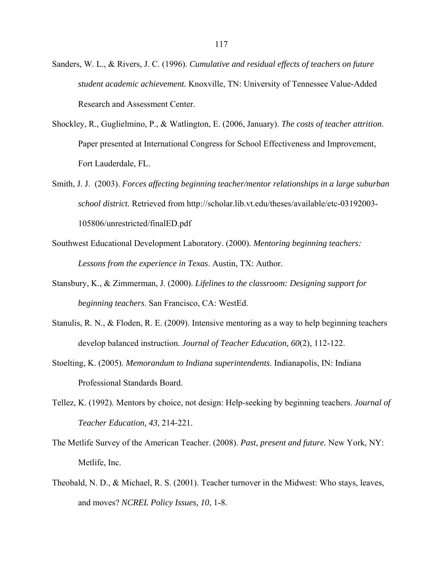- Sanders, W. L., & Rivers, J. C. (1996). *Cumulative and residual effects of teachers on future student academic achievement.* Knoxville, TN: University of Tennessee Value-Added Research and Assessment Center.
- Shockley, R., Guglielmino, P., & Watlington, E. (2006, January). *The costs of teacher attrition*. Paper presented at International Congress for School Effectiveness and Improvement, Fort Lauderdale, FL.
- Smith, J. J. (2003). *Forces affecting beginning teacher/mentor relationships in a large suburban school district.* Retrieved from http://scholar.lib.vt.edu/theses/available/etc-03192003- 105806/unrestricted/finalED.pdf
- Southwest Educational Development Laboratory. (2000). *Mentoring beginning teachers: Lessons from the experience in Texas*. Austin, TX: Author.
- Stansbury, K., & Zimmerman, J. (2000). *Lifelines to the classroom: Designing support for beginning teachers*. San Francisco, CA: WestEd.
- Stanulis, R. N., & Floden, R. E. (2009). Intensive mentoring as a way to help beginning teachers develop balanced instruction. *Journal of Teacher Education, 60*(2), 112-122.
- Stoelting, K. (2005). *Memorandum to Indiana superintendents*. Indianapolis, IN: Indiana Professional Standards Board.
- Tellez, K. (1992). Mentors by choice, not design: Help-seeking by beginning teachers. *Journal of Teacher Education, 43,* 214-221.
- The Metlife Survey of the American Teacher. (2008). *Past, present and future.* New York, NY: Metlife, Inc.
- Theobald, N. D., & Michael, R. S. (2001). Teacher turnover in the Midwest: Who stays, leaves, and moves? *NCREL Policy Issues, 10*, 1-8.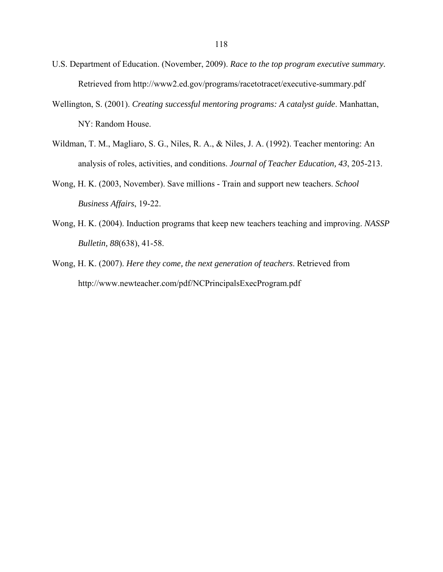- U.S. Department of Education. (November, 2009). *Race to the top program executive summary.*  Retrieved from http://www2.ed.gov/programs/racetotracet/executive-summary.pdf
- Wellington, S. (2001). *Creating successful mentoring programs: A catalyst guide*. Manhattan, NY: Random House.
- Wildman, T. M., Magliaro, S. G., Niles, R. A., & Niles, J. A. (1992). Teacher mentoring: An analysis of roles, activities, and conditions. *Journal of Teacher Education, 43*, 205-213.
- Wong, H. K. (2003, November). Save millions Train and support new teachers. *School Business Affairs*, 19-22.
- Wong, H. K. (2004). Induction programs that keep new teachers teaching and improving. *NASSP Bulletin, 88*(638), 41-58.
- Wong, H. K. (2007). *Here they come, the next generation of teachers*. Retrieved from http://www.newteacher.com/pdf/NCPrincipalsExecProgram.pdf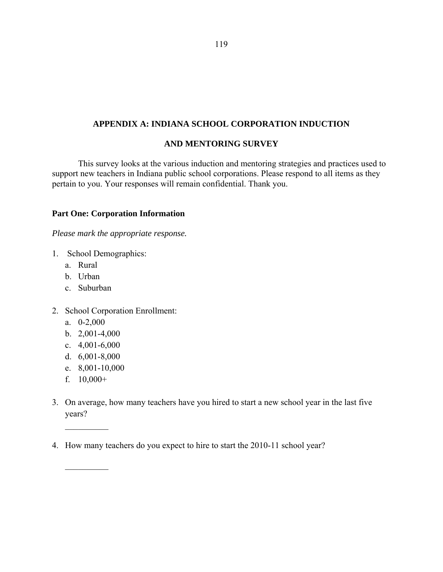## **APPENDIX A: INDIANA SCHOOL CORPORATION INDUCTION**

#### **AND MENTORING SURVEY**

This survey looks at the various induction and mentoring strategies and practices used to support new teachers in Indiana public school corporations. Please respond to all items as they pertain to you. Your responses will remain confidential. Thank you.

### **Part One: Corporation Information**

*Please mark the appropriate response.*

- 1. School Demographics:
	- a. Rural
	- b. Urban
	- c. Suburban
- 2. School Corporation Enrollment:
	- a. 0-2,000
	- b. 2,001-4,000
	- c. 4,001-6,000
	- d. 6,001-8,000
	- e. 8,001-10,000
	- f.  $10,000+$

 $\frac{1}{2}$ 

 $\frac{1}{2}$ 

- 3. On average, how many teachers have you hired to start a new school year in the last five years?
- 4. How many teachers do you expect to hire to start the 2010-11 school year?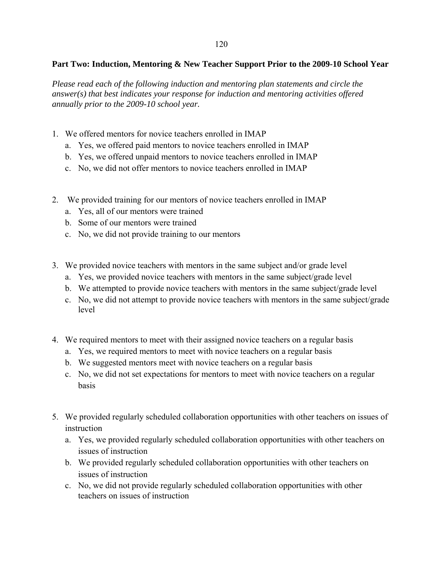## **Part Two: Induction, Mentoring & New Teacher Support Prior to the 2009-10 School Year**

*Please read each of the following induction and mentoring plan statements and circle the answer(s) that best indicates your response for induction and mentoring activities offered annually prior to the 2009-10 school year.* 

- 1. We offered mentors for novice teachers enrolled in IMAP
	- a. Yes, we offered paid mentors to novice teachers enrolled in IMAP
	- b. Yes, we offered unpaid mentors to novice teachers enrolled in IMAP
	- c. No, we did not offer mentors to novice teachers enrolled in IMAP
- 2. We provided training for our mentors of novice teachers enrolled in IMAP
	- a. Yes, all of our mentors were trained
	- b. Some of our mentors were trained
	- c. No, we did not provide training to our mentors
- 3. We provided novice teachers with mentors in the same subject and/or grade level
	- a. Yes, we provided novice teachers with mentors in the same subject/grade level
	- b. We attempted to provide novice teachers with mentors in the same subject/grade level
	- c. No, we did not attempt to provide novice teachers with mentors in the same subject/grade level
- 4. We required mentors to meet with their assigned novice teachers on a regular basis
	- a. Yes, we required mentors to meet with novice teachers on a regular basis
	- b. We suggested mentors meet with novice teachers on a regular basis
	- c. No, we did not set expectations for mentors to meet with novice teachers on a regular basis
- 5. We provided regularly scheduled collaboration opportunities with other teachers on issues of instruction
	- a. Yes, we provided regularly scheduled collaboration opportunities with other teachers on issues of instruction
	- b. We provided regularly scheduled collaboration opportunities with other teachers on issues of instruction
	- c. No, we did not provide regularly scheduled collaboration opportunities with other teachers on issues of instruction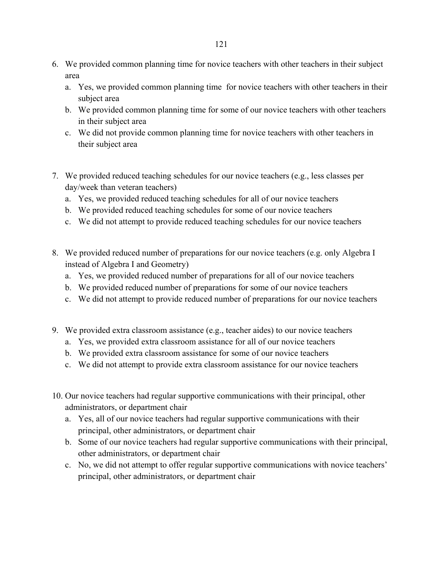- 6. We provided common planning time for novice teachers with other teachers in their subject area
	- a. Yes, we provided common planning time for novice teachers with other teachers in their subject area
	- b. We provided common planning time for some of our novice teachers with other teachers in their subject area
	- c. We did not provide common planning time for novice teachers with other teachers in their subject area
- 7. We provided reduced teaching schedules for our novice teachers (e.g., less classes per day/week than veteran teachers)
	- a. Yes, we provided reduced teaching schedules for all of our novice teachers
	- b. We provided reduced teaching schedules for some of our novice teachers
	- c. We did not attempt to provide reduced teaching schedules for our novice teachers
- 8. We provided reduced number of preparations for our novice teachers (e.g. only Algebra I instead of Algebra I and Geometry)
	- a. Yes, we provided reduced number of preparations for all of our novice teachers
	- b. We provided reduced number of preparations for some of our novice teachers
	- c. We did not attempt to provide reduced number of preparations for our novice teachers
- 9. We provided extra classroom assistance (e.g., teacher aides) to our novice teachers
	- a. Yes, we provided extra classroom assistance for all of our novice teachers
	- b. We provided extra classroom assistance for some of our novice teachers
	- c. We did not attempt to provide extra classroom assistance for our novice teachers
- 10. Our novice teachers had regular supportive communications with their principal, other administrators, or department chair
	- a. Yes, all of our novice teachers had regular supportive communications with their principal, other administrators, or department chair
	- b. Some of our novice teachers had regular supportive communications with their principal, other administrators, or department chair
	- c. No, we did not attempt to offer regular supportive communications with novice teachers' principal, other administrators, or department chair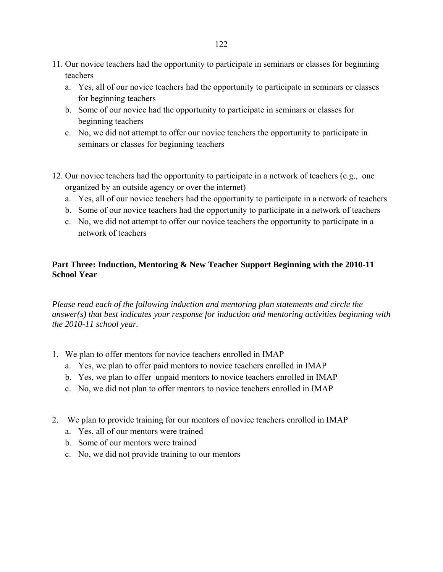- 11. Our novice teachers had the opportunity to participate in seminars or classes for beginning teachers
	- a. Yes, all of our novice teachers had the opportunity to participate in seminars or classes for beginning teachers
	- b. Some of our novice had the opportunity to participate in seminars or classes for beginning teachers
	- c. No, we did not attempt to offer our novice teachers the opportunity to participate in seminars or classes for beginning teachers
- 12. Our novice teachers had the opportunity to participate in a network of teachers (e.g., one organized by an outside agency or over the internet)
	- a. Yes, all of our novice teachers had the opportunity to participate in a network of teachers
	- b. Some of our novice teachers had the opportunity to participate in a network of teachers
	- c. No, we did not attempt to offer our novice teachers the opportunity to participate in a network of teachers

# **Part Three: Induction, Mentoring & New Teacher Support Beginning with the 2010-11 School Year**

*Please read each of the following induction and mentoring plan statements and circle the answer(s) that best indicates your response for induction and mentoring activities beginning with the 2010-11 school year.* 

- 1. We plan to offer mentors for novice teachers enrolled in IMAP
	- a. Yes, we plan to offer paid mentors to novice teachers enrolled in IMAP
	- b. Yes, we plan to offer unpaid mentors to novice teachers enrolled in IMAP
	- c. No, we did not plan to offer mentors to novice teachers enrolled in IMAP
- 2. We plan to provide training for our mentors of novice teachers enrolled in IMAP
	- a. Yes, all of our mentors were trained
	- b. Some of our mentors were trained
	- c. No, we did not provide training to our mentors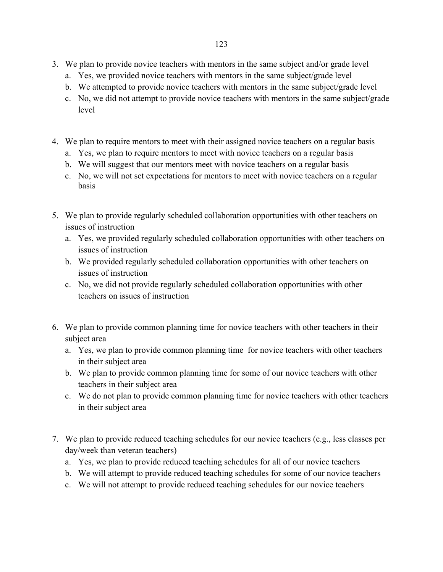- 3. We plan to provide novice teachers with mentors in the same subject and/or grade level
	- a. Yes, we provided novice teachers with mentors in the same subject/grade level
	- b. We attempted to provide novice teachers with mentors in the same subject/grade level
	- c. No, we did not attempt to provide novice teachers with mentors in the same subject/grade level
- 4. We plan to require mentors to meet with their assigned novice teachers on a regular basis
	- a. Yes, we plan to require mentors to meet with novice teachers on a regular basis
	- b. We will suggest that our mentors meet with novice teachers on a regular basis
	- c. No, we will not set expectations for mentors to meet with novice teachers on a regular basis
- 5. We plan to provide regularly scheduled collaboration opportunities with other teachers on issues of instruction
	- a. Yes, we provided regularly scheduled collaboration opportunities with other teachers on issues of instruction
	- b. We provided regularly scheduled collaboration opportunities with other teachers on issues of instruction
	- c. No, we did not provide regularly scheduled collaboration opportunities with other teachers on issues of instruction
- 6. We plan to provide common planning time for novice teachers with other teachers in their subject area
	- a. Yes, we plan to provide common planning time for novice teachers with other teachers in their subject area
	- b. We plan to provide common planning time for some of our novice teachers with other teachers in their subject area
	- c. We do not plan to provide common planning time for novice teachers with other teachers in their subject area
- 7. We plan to provide reduced teaching schedules for our novice teachers (e.g., less classes per day/week than veteran teachers)
	- a. Yes, we plan to provide reduced teaching schedules for all of our novice teachers
	- b. We will attempt to provide reduced teaching schedules for some of our novice teachers
	- c. We will not attempt to provide reduced teaching schedules for our novice teachers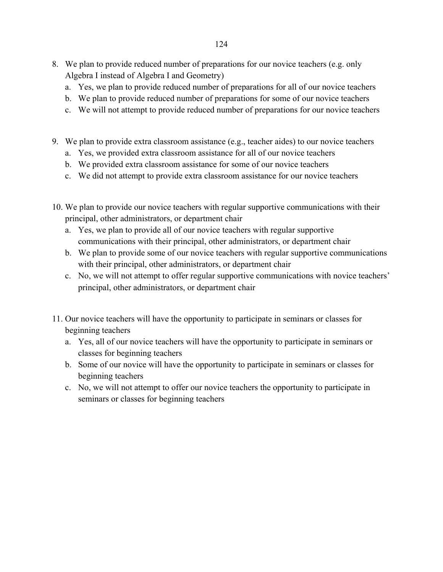- 8. We plan to provide reduced number of preparations for our novice teachers (e.g. only Algebra I instead of Algebra I and Geometry)
	- a. Yes, we plan to provide reduced number of preparations for all of our novice teachers
	- b. We plan to provide reduced number of preparations for some of our novice teachers
	- c. We will not attempt to provide reduced number of preparations for our novice teachers
- 9. We plan to provide extra classroom assistance (e.g., teacher aides) to our novice teachers
	- a. Yes, we provided extra classroom assistance for all of our novice teachers
	- b. We provided extra classroom assistance for some of our novice teachers
	- c. We did not attempt to provide extra classroom assistance for our novice teachers
- 10. We plan to provide our novice teachers with regular supportive communications with their principal, other administrators, or department chair
	- a. Yes, we plan to provide all of our novice teachers with regular supportive communications with their principal, other administrators, or department chair
	- b. We plan to provide some of our novice teachers with regular supportive communications with their principal, other administrators, or department chair
	- c. No, we will not attempt to offer regular supportive communications with novice teachers' principal, other administrators, or department chair
- 11. Our novice teachers will have the opportunity to participate in seminars or classes for beginning teachers
	- a. Yes, all of our novice teachers will have the opportunity to participate in seminars or classes for beginning teachers
	- b. Some of our novice will have the opportunity to participate in seminars or classes for beginning teachers
	- c. No, we will not attempt to offer our novice teachers the opportunity to participate in seminars or classes for beginning teachers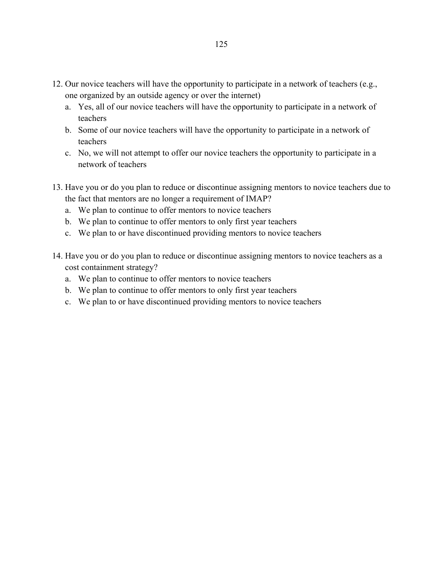- 12. Our novice teachers will have the opportunity to participate in a network of teachers (e.g., one organized by an outside agency or over the internet)
	- a. Yes, all of our novice teachers will have the opportunity to participate in a network of teachers
	- b. Some of our novice teachers will have the opportunity to participate in a network of teachers
	- c. No, we will not attempt to offer our novice teachers the opportunity to participate in a network of teachers
- 13. Have you or do you plan to reduce or discontinue assigning mentors to novice teachers due to the fact that mentors are no longer a requirement of IMAP?
	- a. We plan to continue to offer mentors to novice teachers
	- b. We plan to continue to offer mentors to only first year teachers
	- c. We plan to or have discontinued providing mentors to novice teachers
- 14. Have you or do you plan to reduce or discontinue assigning mentors to novice teachers as a cost containment strategy?
	- a. We plan to continue to offer mentors to novice teachers
	- b. We plan to continue to offer mentors to only first year teachers
	- c. We plan to or have discontinued providing mentors to novice teachers